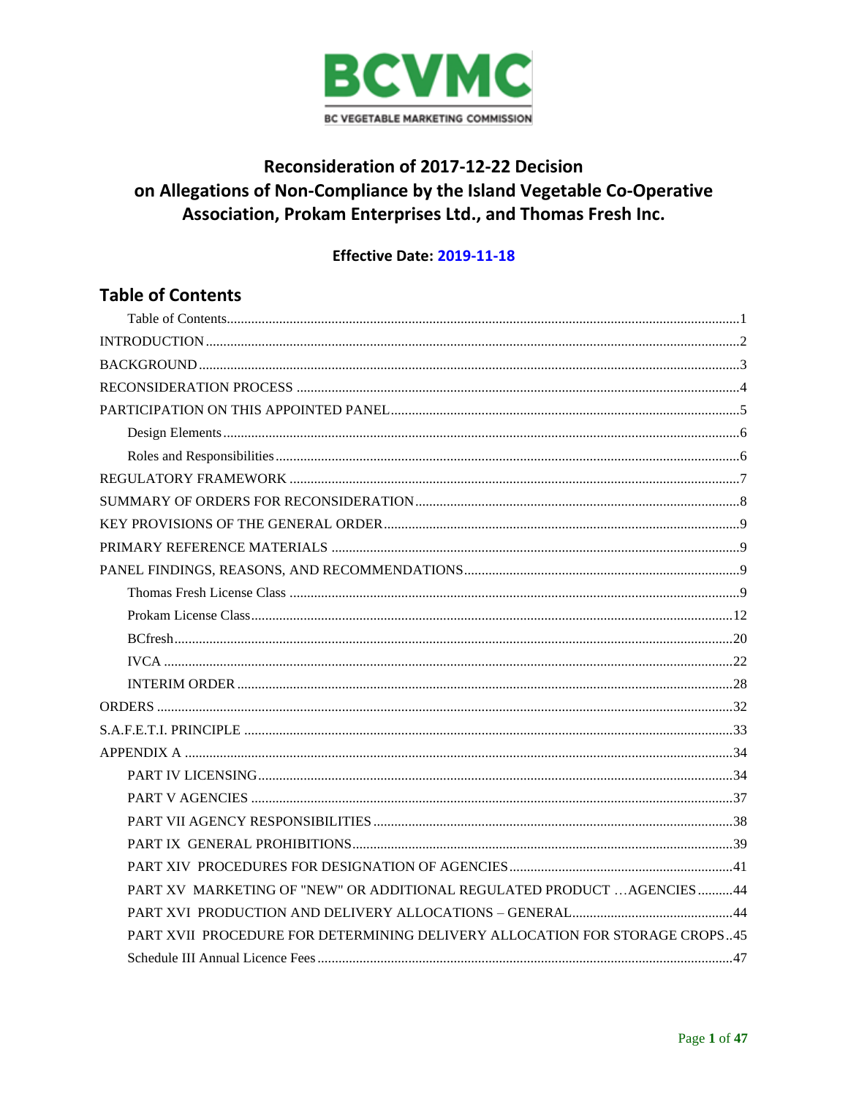

# Reconsideration of 2017-12-22 Decision on Allegations of Non-Compliance by the Island Vegetable Co-Operative Association, Prokam Enterprises Ltd., and Thomas Fresh Inc.

# Effective Date: 2019-11-18

# <span id="page-0-0"></span>**Table of Contents**

| PART XV MARKETING OF "NEW" OR ADDITIONAL REGULATED PRODUCT  AGENCIES 44     |
|-----------------------------------------------------------------------------|
|                                                                             |
| PART XVII PROCEDURE FOR DETERMINING DELIVERY ALLOCATION FOR STORAGE CROPS45 |
|                                                                             |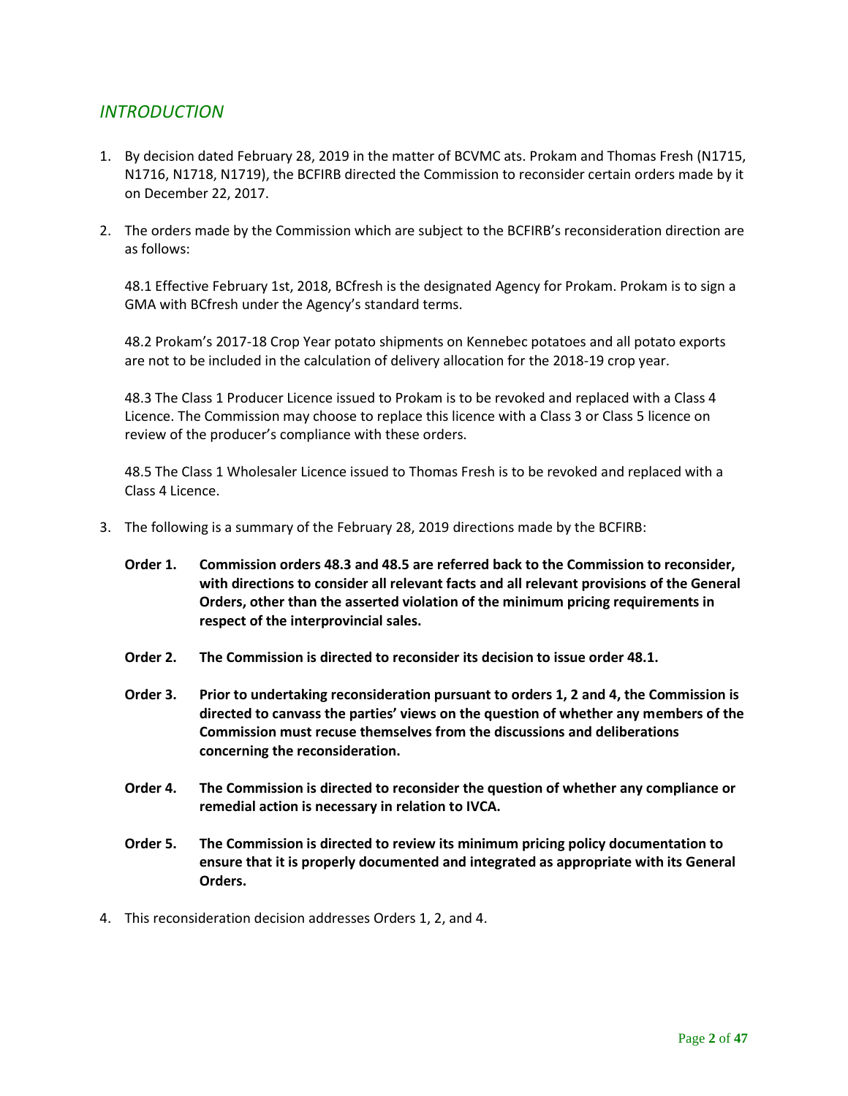# <span id="page-1-0"></span>*INTRODUCTION*

- 1. By decision dated February 28, 2019 in the matter of BCVMC ats. Prokam and Thomas Fresh (N1715, N1716, N1718, N1719), the BCFIRB directed the Commission to reconsider certain orders made by it on December 22, 2017.
- 2. The orders made by the Commission which are subject to the BCFIRB's reconsideration direction are as follows:

48.1 Effective February 1st, 2018, BCfresh is the designated Agency for Prokam. Prokam is to sign a GMA with BCfresh under the Agency's standard terms.

48.2 Prokam's 2017-18 Crop Year potato shipments on Kennebec potatoes and all potato exports are not to be included in the calculation of delivery allocation for the 2018-19 crop year.

48.3 The Class 1 Producer Licence issued to Prokam is to be revoked and replaced with a Class 4 Licence. The Commission may choose to replace this licence with a Class 3 or Class 5 licence on review of the producer's compliance with these orders.

48.5 The Class 1 Wholesaler Licence issued to Thomas Fresh is to be revoked and replaced with a Class 4 Licence.

- 3. The following is a summary of the February 28, 2019 directions made by the BCFIRB:
	- **Order 1. Commission orders 48.3 and 48.5 are referred back to the Commission to reconsider, with directions to consider all relevant facts and all relevant provisions of the General Orders, other than the asserted violation of the minimum pricing requirements in respect of the interprovincial sales.**
	- **Order 2. The Commission is directed to reconsider its decision to issue order 48.1.**
	- **Order 3. Prior to undertaking reconsideration pursuant to orders 1, 2 and 4, the Commission is directed to canvass the parties' views on the question of whether any members of the Commission must recuse themselves from the discussions and deliberations concerning the reconsideration.**
	- **Order 4. The Commission is directed to reconsider the question of whether any compliance or remedial action is necessary in relation to IVCA.**
	- **Order 5. The Commission is directed to review its minimum pricing policy documentation to ensure that it is properly documented and integrated as appropriate with its General Orders.**
- 4. This reconsideration decision addresses Orders 1, 2, and 4.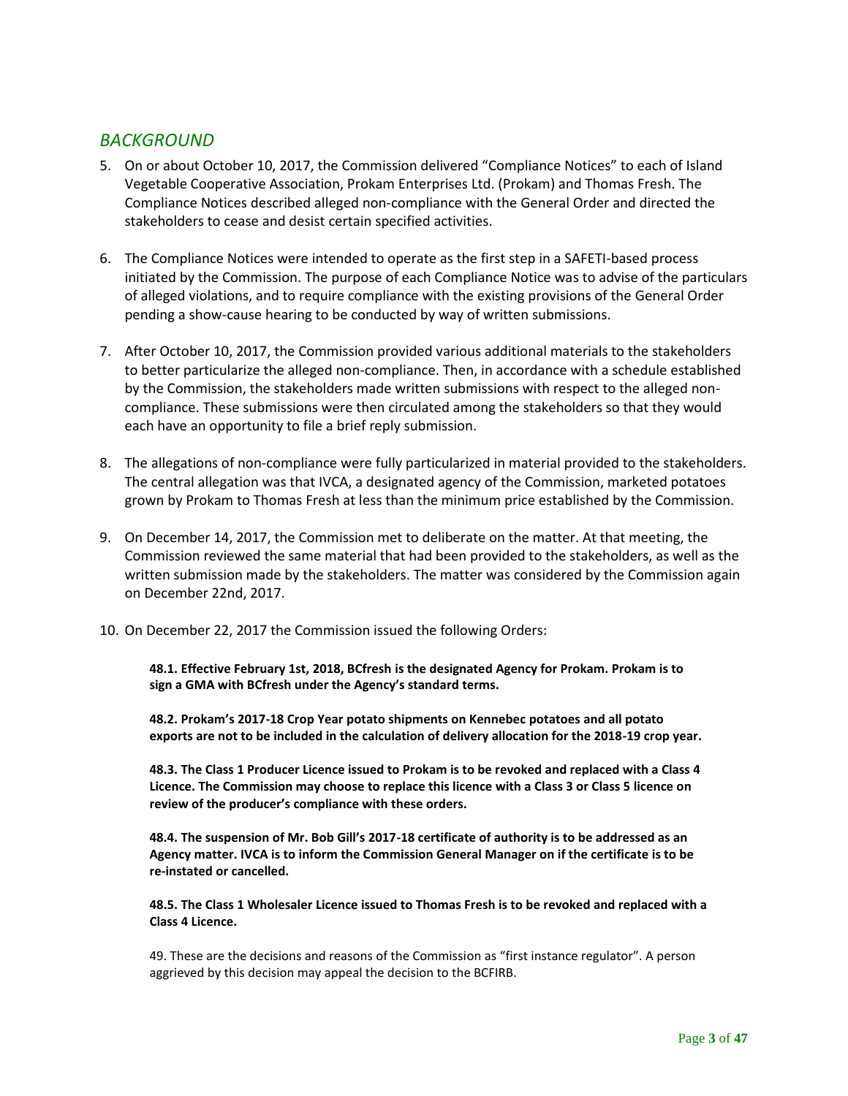# <span id="page-2-0"></span>*BACKGROUND*

- 5. On or about October 10, 2017, the Commission delivered "Compliance Notices" to each of Island Vegetable Cooperative Association, Prokam Enterprises Ltd. (Prokam) and Thomas Fresh. The Compliance Notices described alleged non-compliance with the General Order and directed the stakeholders to cease and desist certain specified activities.
- 6. The Compliance Notices were intended to operate as the first step in a SAFETI-based process initiated by the Commission. The purpose of each Compliance Notice was to advise of the particulars of alleged violations, and to require compliance with the existing provisions of the General Order pending a show-cause hearing to be conducted by way of written submissions.
- 7. After October 10, 2017, the Commission provided various additional materials to the stakeholders to better particularize the alleged non-compliance. Then, in accordance with a schedule established by the Commission, the stakeholders made written submissions with respect to the alleged noncompliance. These submissions were then circulated among the stakeholders so that they would each have an opportunity to file a brief reply submission.
- 8. The allegations of non-compliance were fully particularized in material provided to the stakeholders. The central allegation was that IVCA, a designated agency of the Commission, marketed potatoes grown by Prokam to Thomas Fresh at less than the minimum price established by the Commission.
- 9. On December 14, 2017, the Commission met to deliberate on the matter. At that meeting, the Commission reviewed the same material that had been provided to the stakeholders, as well as the written submission made by the stakeholders. The matter was considered by the Commission again on December 22nd, 2017.
- 10. On December 22, 2017 the Commission issued the following Orders:

**48.1. Effective February 1st, 2018, BCfresh is the designated Agency for Prokam. Prokam is to sign a GMA with BCfresh under the Agency's standard terms.** 

**48.2. Prokam's 2017-18 Crop Year potato shipments on Kennebec potatoes and all potato exports are not to be included in the calculation of delivery allocation for the 2018-19 crop year.** 

**48.3. The Class 1 Producer Licence issued to Prokam is to be revoked and replaced with a Class 4 Licence. The Commission may choose to replace this licence with a Class 3 or Class 5 licence on review of the producer's compliance with these orders.** 

**48.4. The suspension of Mr. Bob Gill's 2017-18 certificate of authority is to be addressed as an Agency matter. IVCA is to inform the Commission General Manager on if the certificate is to be re-instated or cancelled.** 

**48.5. The Class 1 Wholesaler Licence issued to Thomas Fresh is to be revoked and replaced with a Class 4 Licence.** 

49. These are the decisions and reasons of the Commission as "first instance regulator". A person aggrieved by this decision may appeal the decision to the BCFIRB.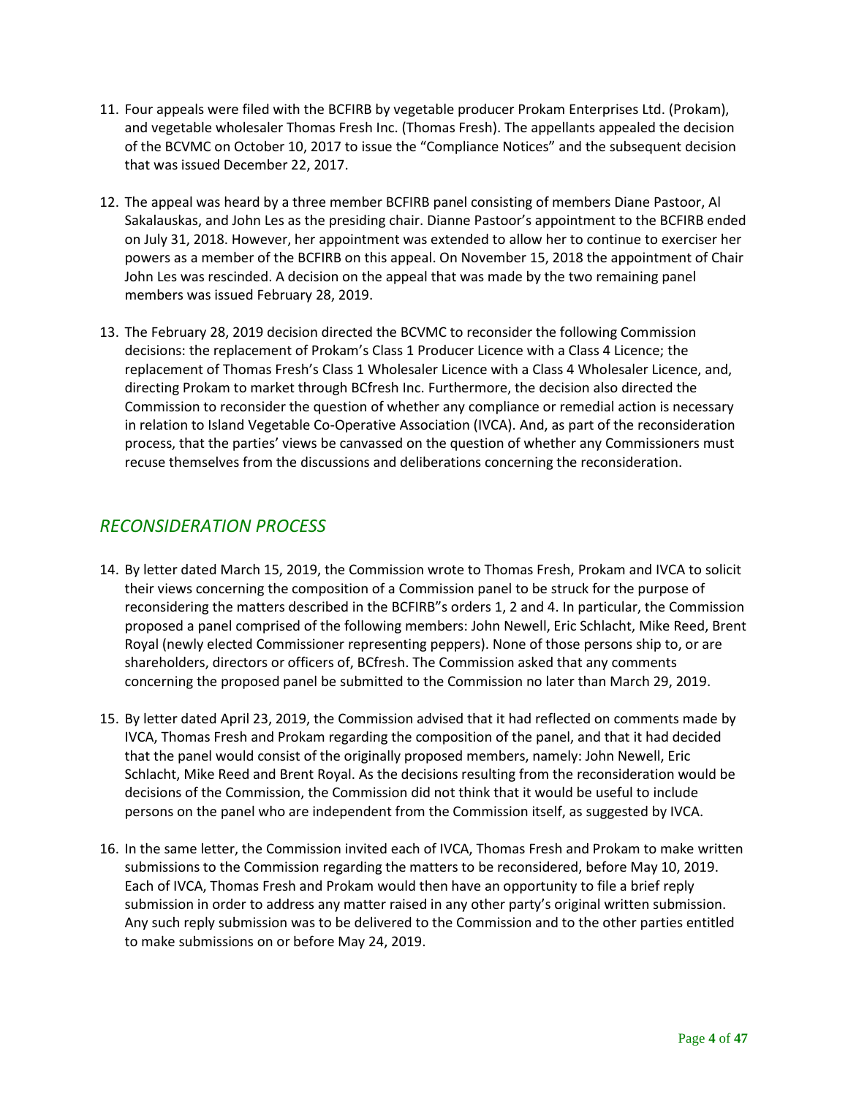- 11. Four appeals were filed with the BCFIRB by vegetable producer Prokam Enterprises Ltd. (Prokam), and vegetable wholesaler Thomas Fresh Inc. (Thomas Fresh). The appellants appealed the decision of the BCVMC on October 10, 2017 to issue the "Compliance Notices" and the subsequent decision that was issued December 22, 2017.
- 12. The appeal was heard by a three member BCFIRB panel consisting of members Diane Pastoor, Al Sakalauskas, and John Les as the presiding chair. Dianne Pastoor's appointment to the BCFIRB ended on July 31, 2018. However, her appointment was extended to allow her to continue to exerciser her powers as a member of the BCFIRB on this appeal. On November 15, 2018 the appointment of Chair John Les was rescinded. A decision on the appeal that was made by the two remaining panel members was issued February 28, 2019.
- 13. The February 28, 2019 decision directed the BCVMC to reconsider the following Commission decisions: the replacement of Prokam's Class 1 Producer Licence with a Class 4 Licence; the replacement of Thomas Fresh's Class 1 Wholesaler Licence with a Class 4 Wholesaler Licence, and, directing Prokam to market through BCfresh Inc. Furthermore, the decision also directed the Commission to reconsider the question of whether any compliance or remedial action is necessary in relation to Island Vegetable Co-Operative Association (IVCA). And, as part of the reconsideration process, that the parties' views be canvassed on the question of whether any Commissioners must recuse themselves from the discussions and deliberations concerning the reconsideration.

# <span id="page-3-0"></span>*RECONSIDERATION PROCESS*

- 14. By letter dated March 15, 2019, the Commission wrote to Thomas Fresh, Prokam and IVCA to solicit their views concerning the composition of a Commission panel to be struck for the purpose of reconsidering the matters described in the BCFIRB"s orders 1, 2 and 4. In particular, the Commission proposed a panel comprised of the following members: John Newell, Eric Schlacht, Mike Reed, Brent Royal (newly elected Commissioner representing peppers). None of those persons ship to, or are shareholders, directors or officers of, BCfresh. The Commission asked that any comments concerning the proposed panel be submitted to the Commission no later than March 29, 2019.
- 15. By letter dated April 23, 2019, the Commission advised that it had reflected on comments made by IVCA, Thomas Fresh and Prokam regarding the composition of the panel, and that it had decided that the panel would consist of the originally proposed members, namely: John Newell, Eric Schlacht, Mike Reed and Brent Royal. As the decisions resulting from the reconsideration would be decisions of the Commission, the Commission did not think that it would be useful to include persons on the panel who are independent from the Commission itself, as suggested by IVCA.
- 16. In the same letter, the Commission invited each of IVCA, Thomas Fresh and Prokam to make written submissions to the Commission regarding the matters to be reconsidered, before May 10, 2019. Each of IVCA, Thomas Fresh and Prokam would then have an opportunity to file a brief reply submission in order to address any matter raised in any other party's original written submission. Any such reply submission was to be delivered to the Commission and to the other parties entitled to make submissions on or before May 24, 2019.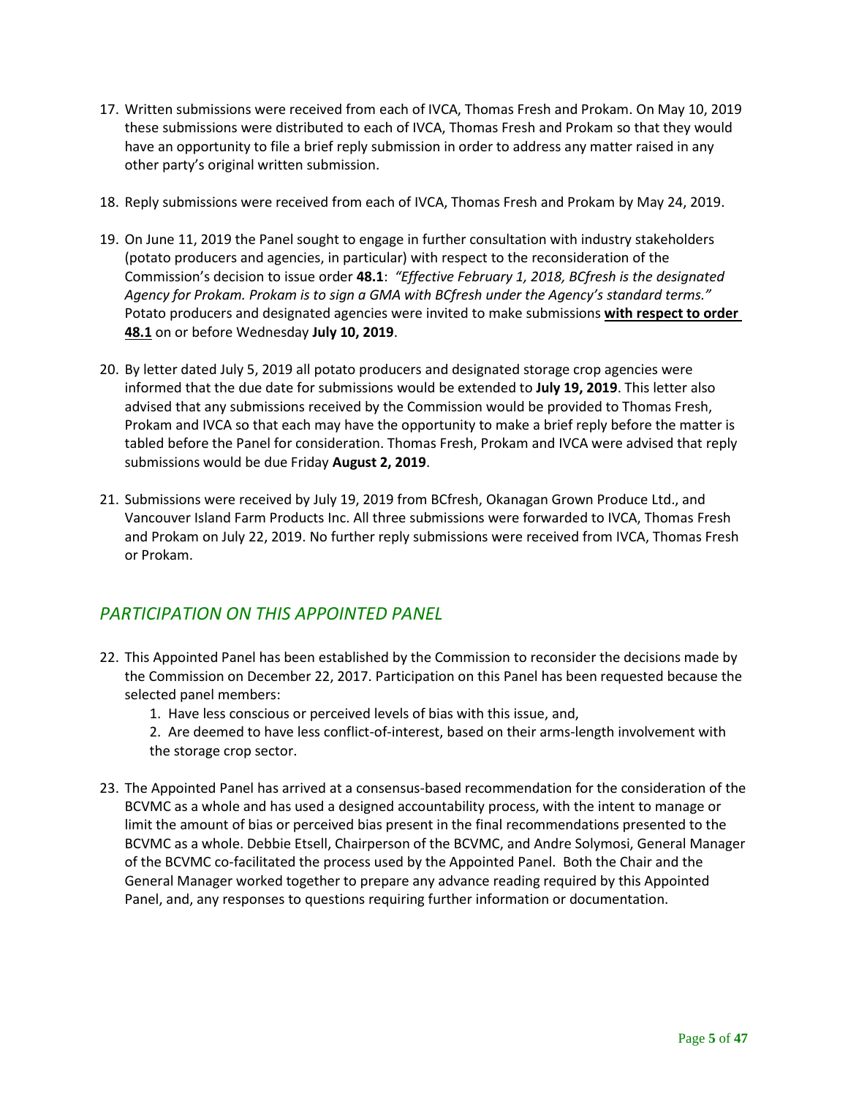- 17. Written submissions were received from each of IVCA, Thomas Fresh and Prokam. On May 10, 2019 these submissions were distributed to each of IVCA, Thomas Fresh and Prokam so that they would have an opportunity to file a brief reply submission in order to address any matter raised in any other party's original written submission.
- 18. Reply submissions were received from each of IVCA, Thomas Fresh and Prokam by May 24, 2019.
- 19. On June 11, 2019 the Panel sought to engage in further consultation with industry stakeholders (potato producers and agencies, in particular) with respect to the reconsideration of the Commission's decision to issue order **48.1**: *"Effective February 1, 2018, BCfresh is the designated Agency for Prokam. Prokam is to sign a GMA with BCfresh under the Agency's standard terms."* Potato producers and designated agencies were invited to make submissions **with respect to order 48.1** on or before Wednesday **July 10, 2019**.
- 20. By letter dated July 5, 2019 all potato producers and designated storage crop agencies were informed that the due date for submissions would be extended to **July 19, 2019**. This letter also advised that any submissions received by the Commission would be provided to Thomas Fresh, Prokam and IVCA so that each may have the opportunity to make a brief reply before the matter is tabled before the Panel for consideration. Thomas Fresh, Prokam and IVCA were advised that reply submissions would be due Friday **August 2, 2019**.
- 21. Submissions were received by July 19, 2019 from BCfresh, Okanagan Grown Produce Ltd., and Vancouver Island Farm Products Inc. All three submissions were forwarded to IVCA, Thomas Fresh and Prokam on July 22, 2019. No further reply submissions were received from IVCA, Thomas Fresh or Prokam.

# <span id="page-4-0"></span>*PARTICIPATION ON THIS APPOINTED PANEL*

- 22. This Appointed Panel has been established by the Commission to reconsider the decisions made by the Commission on December 22, 2017. Participation on this Panel has been requested because the selected panel members:
	- 1. Have less conscious or perceived levels of bias with this issue, and,
	- 2. Are deemed to have less conflict-of-interest, based on their arms-length involvement with the storage crop sector.
- 23. The Appointed Panel has arrived at a consensus-based recommendation for the consideration of the BCVMC as a whole and has used a designed accountability process, with the intent to manage or limit the amount of bias or perceived bias present in the final recommendations presented to the BCVMC as a whole. Debbie Etsell, Chairperson of the BCVMC, and Andre Solymosi, General Manager of the BCVMC co-facilitated the process used by the Appointed Panel. Both the Chair and the General Manager worked together to prepare any advance reading required by this Appointed Panel, and, any responses to questions requiring further information or documentation.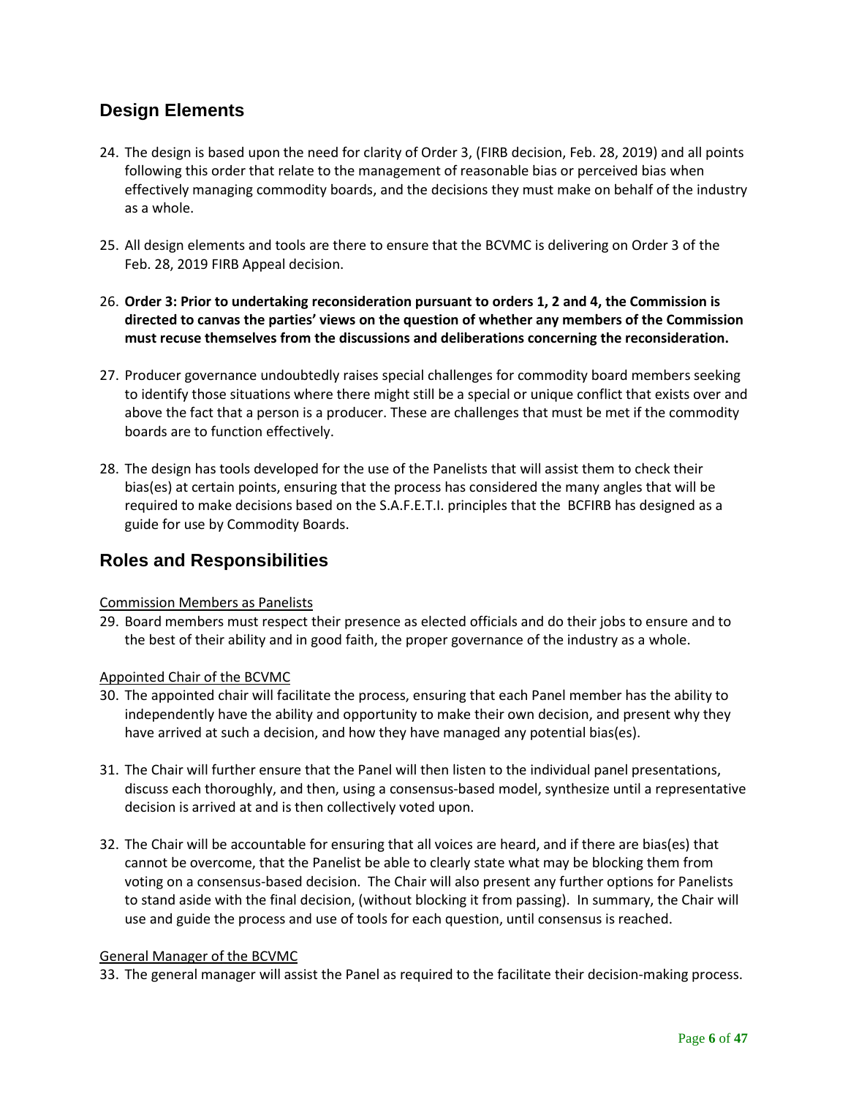# <span id="page-5-0"></span>**Design Elements**

- 24. The design is based upon the need for clarity of Order 3, (FIRB decision, Feb. 28, 2019) and all points following this order that relate to the management of reasonable bias or perceived bias when effectively managing commodity boards, and the decisions they must make on behalf of the industry as a whole.
- 25. All design elements and tools are there to ensure that the BCVMC is delivering on Order 3 of the Feb. 28, 2019 FIRB Appeal decision.
- 26. **Order 3: Prior to undertaking reconsideration pursuant to orders 1, 2 and 4, the Commission is directed to canvas the parties' views on the question of whether any members of the Commission must recuse themselves from the discussions and deliberations concerning the reconsideration.**
- 27. Producer governance undoubtedly raises special challenges for commodity board members seeking to identify those situations where there might still be a special or unique conflict that exists over and above the fact that a person is a producer. These are challenges that must be met if the commodity boards are to function effectively.
- 28. The design has tools developed for the use of the Panelists that will assist them to check their bias(es) at certain points, ensuring that the process has considered the many angles that will be required to make decisions based on the S.A.F.E.T.I. principles that the BCFIRB has designed as a guide for use by Commodity Boards.

# <span id="page-5-1"></span>**Roles and Responsibilities**

## Commission Members as Panelists

29. Board members must respect their presence as elected officials and do their jobs to ensure and to the best of their ability and in good faith, the proper governance of the industry as a whole.

## Appointed Chair of the BCVMC

- 30. The appointed chair will facilitate the process, ensuring that each Panel member has the ability to independently have the ability and opportunity to make their own decision, and present why they have arrived at such a decision, and how they have managed any potential bias(es).
- 31. The Chair will further ensure that the Panel will then listen to the individual panel presentations, discuss each thoroughly, and then, using a consensus-based model, synthesize until a representative decision is arrived at and is then collectively voted upon.
- 32. The Chair will be accountable for ensuring that all voices are heard, and if there are bias(es) that cannot be overcome, that the Panelist be able to clearly state what may be blocking them from voting on a consensus-based decision. The Chair will also present any further options for Panelists to stand aside with the final decision, (without blocking it from passing). In summary, the Chair will use and guide the process and use of tools for each question, until consensus is reached.

### General Manager of the BCVMC

33. The general manager will assist the Panel as required to the facilitate their decision-making process.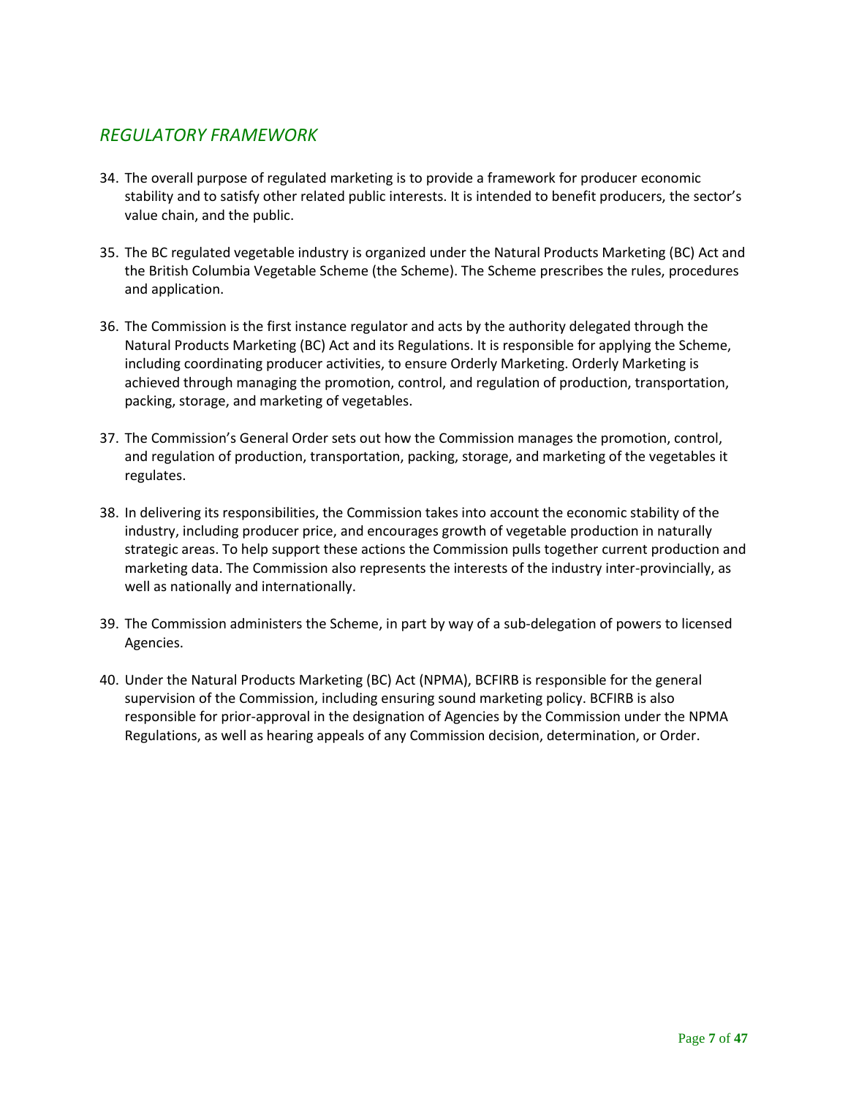# <span id="page-6-0"></span>*REGULATORY FRAMEWORK*

- 34. The overall purpose of regulated marketing is to provide a framework for producer economic stability and to satisfy other related public interests. It is intended to benefit producers, the sector's value chain, and the public.
- 35. The BC regulated vegetable industry is organized under the Natural Products Marketing (BC) Act and the British Columbia Vegetable Scheme (the Scheme). The Scheme prescribes the rules, procedures and application.
- 36. The Commission is the first instance regulator and acts by the authority delegated through the Natural Products Marketing (BC) Act and its Regulations. It is responsible for applying the Scheme, including coordinating producer activities, to ensure Orderly Marketing. Orderly Marketing is achieved through managing the promotion, control, and regulation of production, transportation, packing, storage, and marketing of vegetables.
- 37. The Commission's General Order sets out how the Commission manages the promotion, control, and regulation of production, transportation, packing, storage, and marketing of the vegetables it regulates.
- 38. In delivering its responsibilities, the Commission takes into account the economic stability of the industry, including producer price, and encourages growth of vegetable production in naturally strategic areas. To help support these actions the Commission pulls together current production and marketing data. The Commission also represents the interests of the industry inter-provincially, as well as nationally and internationally.
- 39. The Commission administers the Scheme, in part by way of a sub-delegation of powers to licensed Agencies.
- 40. Under the Natural Products Marketing (BC) Act (NPMA), BCFIRB is responsible for the general supervision of the Commission, including ensuring sound marketing policy. BCFIRB is also responsible for prior-approval in the designation of Agencies by the Commission under the NPMA Regulations, as well as hearing appeals of any Commission decision, determination, or Order.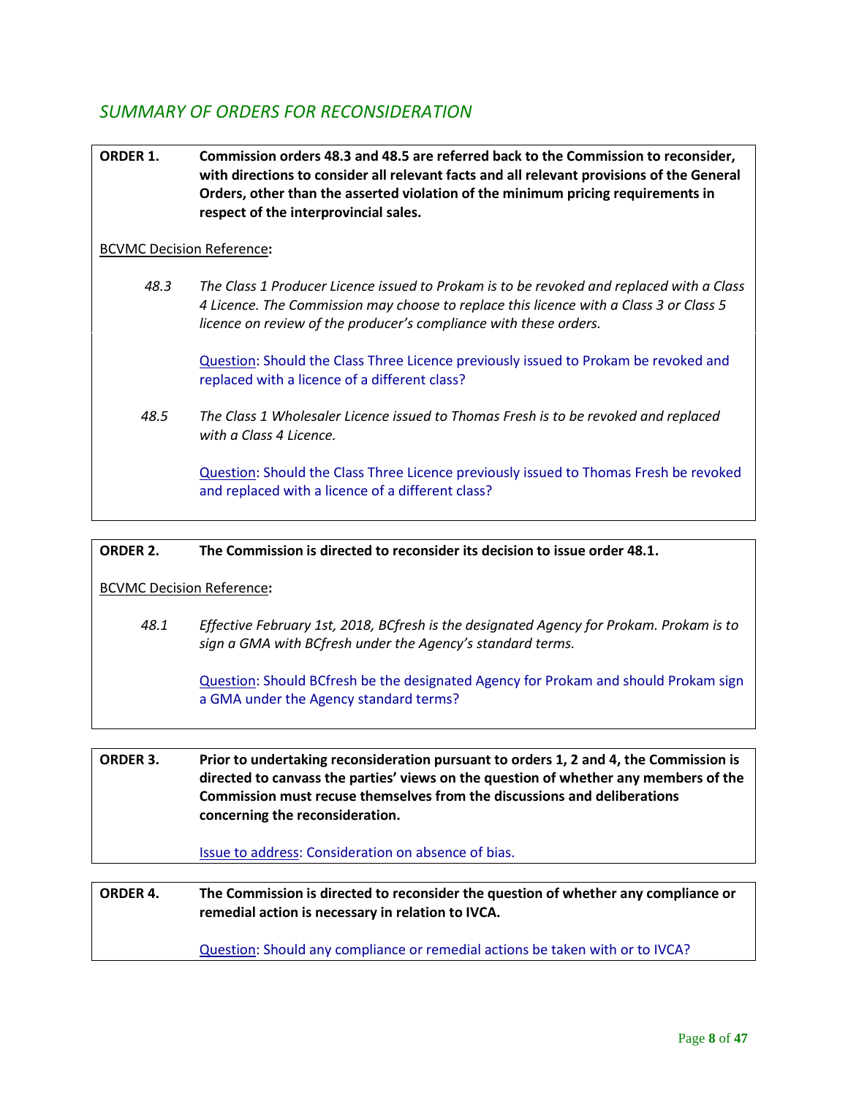# <span id="page-7-0"></span>*SUMMARY OF ORDERS FOR RECONSIDERATION*

**ORDER 1. Commission orders 48.3 and 48.5 are referred back to the Commission to reconsider, with directions to consider all relevant facts and all relevant provisions of the General Orders, other than the asserted violation of the minimum pricing requirements in respect of the interprovincial sales.** 

### BCVMC Decision Reference**:**

 *48.3 The Class 1 Producer Licence issued to Prokam is to be revoked and replaced with a Class 4 Licence. The Commission may choose to replace this licence with a Class 3 or Class 5 licence on review of the producer's compliance with these orders.* 

Question: Should the Class Three Licence previously issued to Prokam be revoked and replaced with a licence of a different class?

 *48.5 The Class 1 Wholesaler Licence issued to Thomas Fresh is to be revoked and replaced with a Class 4 Licence.*

> Question: Should the Class Three Licence previously issued to Thomas Fresh be revoked and replaced with a licence of a different class?

### **ORDER 2. The Commission is directed to reconsider its decision to issue order 48.1.**

BCVMC Decision Reference**:**

 *48.1 Effective February 1st, 2018, BCfresh is the designated Agency for Prokam. Prokam is to sign a GMA with BCfresh under the Agency's standard terms.*

> Question: Should BCfresh be the designated Agency for Prokam and should Prokam sign a GMA under the Agency standard terms?

**ORDER 3. Prior to undertaking reconsideration pursuant to orders 1, 2 and 4, the Commission is directed to canvass the parties' views on the question of whether any members of the Commission must recuse themselves from the discussions and deliberations concerning the reconsideration.** 

### Issue to address: Consideration on absence of bias.

**ORDER 4. The Commission is directed to reconsider the question of whether any compliance or remedial action is necessary in relation to IVCA.**

Question: Should any compliance or remedial actions be taken with or to IVCA?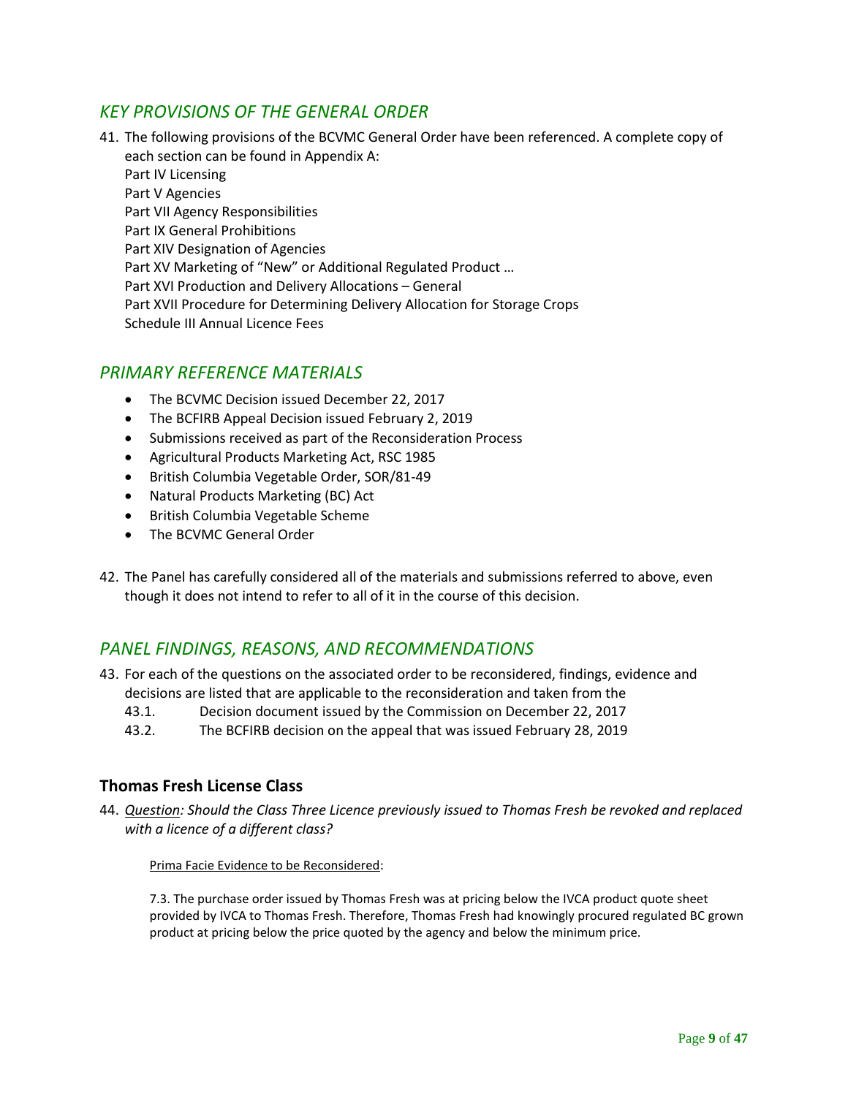# <span id="page-8-0"></span>*KEY PROVISIONS OF THE GENERAL ORDER*

41. The following provisions of the BCVMC General Order have been referenced. A complete copy of each section can be found in Appendix A:

Part IV Licensing Part V Agencies Part VII Agency Responsibilities Part IX General Prohibitions Part XIV Designation of Agencies Part XV Marketing of "New" or Additional Regulated Product … Part XVI Production and Delivery Allocations – General Part XVII Procedure for Determining Delivery Allocation for Storage Crops Schedule III Annual Licence Fees

# <span id="page-8-1"></span>*PRIMARY REFERENCE MATERIALS*

- The BCVMC Decision issued December 22, 2017
- The BCFIRB Appeal Decision issued February 2, 2019
- Submissions received as part of the Reconsideration Process
- Agricultural Products Marketing Act, RSC 1985
- British Columbia Vegetable Order, SOR/81-49
- Natural Products Marketing (BC) Act
- British Columbia Vegetable Scheme
- The BCVMC General Order
- 42. The Panel has carefully considered all of the materials and submissions referred to above, even though it does not intend to refer to all of it in the course of this decision.

# <span id="page-8-2"></span>*PANEL FINDINGS, REASONS, AND RECOMMENDATIONS*

- 43. For each of the questions on the associated order to be reconsidered, findings, evidence and decisions are listed that are applicable to the reconsideration and taken from the
	- 43.1. Decision document issued by the Commission on December 22, 2017
	- 43.2. The BCFIRB decision on the appeal that was issued February 28, 2019

# <span id="page-8-3"></span>**Thomas Fresh License Class**

44. *Question: Should the Class Three Licence previously issued to Thomas Fresh be revoked and replaced with a licence of a different class?*

Prima Facie Evidence to be Reconsidered:

7.3. The purchase order issued by Thomas Fresh was at pricing below the IVCA product quote sheet provided by IVCA to Thomas Fresh. Therefore, Thomas Fresh had knowingly procured regulated BC grown product at pricing below the price quoted by the agency and below the minimum price.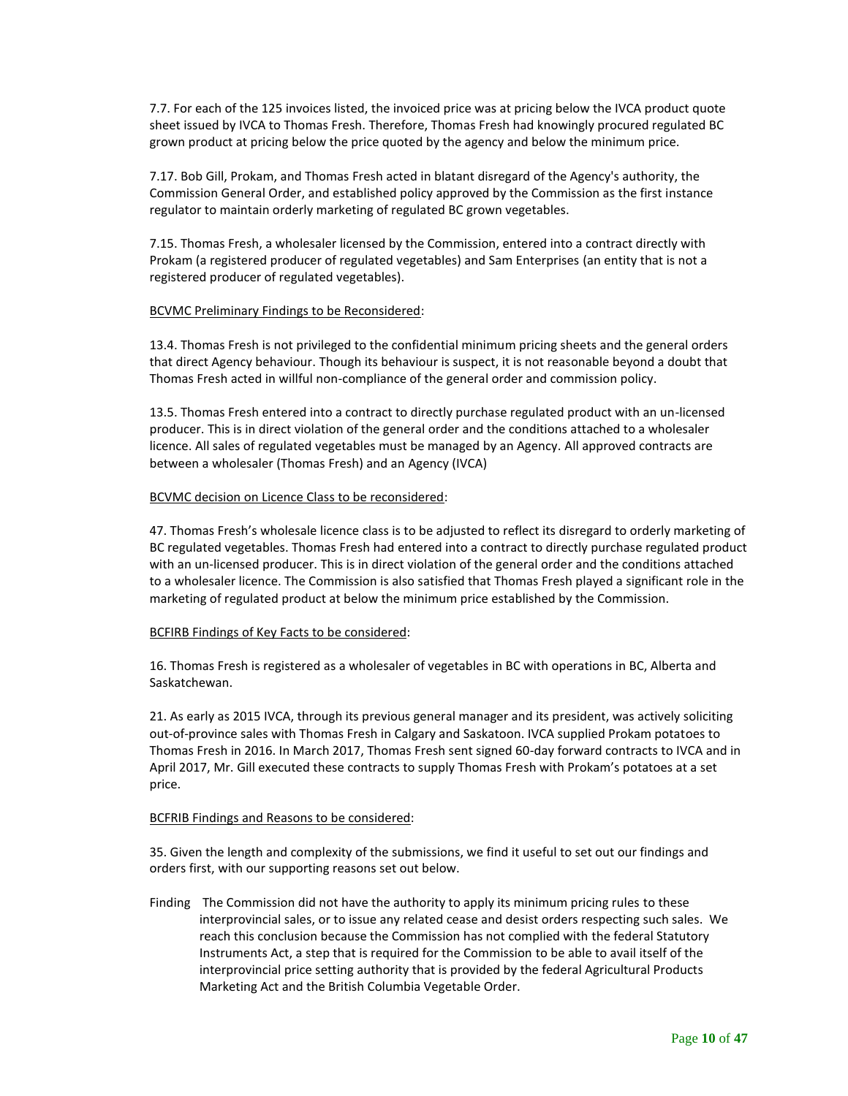7.7. For each of the 125 invoices listed, the invoiced price was at pricing below the IVCA product quote sheet issued by IVCA to Thomas Fresh. Therefore, Thomas Fresh had knowingly procured regulated BC grown product at pricing below the price quoted by the agency and below the minimum price.

7.17. Bob Gill, Prokam, and Thomas Fresh acted in blatant disregard of the Agency's authority, the Commission General Order, and established policy approved by the Commission as the first instance regulator to maintain orderly marketing of regulated BC grown vegetables.

7.15. Thomas Fresh, a wholesaler licensed by the Commission, entered into a contract directly with Prokam (a registered producer of regulated vegetables) and Sam Enterprises (an entity that is not a registered producer of regulated vegetables).

#### BCVMC Preliminary Findings to be Reconsidered:

13.4. Thomas Fresh is not privileged to the confidential minimum pricing sheets and the general orders that direct Agency behaviour. Though its behaviour is suspect, it is not reasonable beyond a doubt that Thomas Fresh acted in willful non-compliance of the general order and commission policy.

13.5. Thomas Fresh entered into a contract to directly purchase regulated product with an un-licensed producer. This is in direct violation of the general order and the conditions attached to a wholesaler licence. All sales of regulated vegetables must be managed by an Agency. All approved contracts are between a wholesaler (Thomas Fresh) and an Agency (IVCA)

#### BCVMC decision on Licence Class to be reconsidered:

47. Thomas Fresh's wholesale licence class is to be adjusted to reflect its disregard to orderly marketing of BC regulated vegetables. Thomas Fresh had entered into a contract to directly purchase regulated product with an un-licensed producer. This is in direct violation of the general order and the conditions attached to a wholesaler licence. The Commission is also satisfied that Thomas Fresh played a significant role in the marketing of regulated product at below the minimum price established by the Commission.

#### BCFIRB Findings of Key Facts to be considered:

16. Thomas Fresh is registered as a wholesaler of vegetables in BC with operations in BC, Alberta and Saskatchewan.

21. As early as 2015 IVCA, through its previous general manager and its president, was actively soliciting out-of-province sales with Thomas Fresh in Calgary and Saskatoon. IVCA supplied Prokam potatoes to Thomas Fresh in 2016. In March 2017, Thomas Fresh sent signed 60-day forward contracts to IVCA and in April 2017, Mr. Gill executed these contracts to supply Thomas Fresh with Prokam's potatoes at a set price.

#### BCFRIB Findings and Reasons to be considered:

35. Given the length and complexity of the submissions, we find it useful to set out our findings and orders first, with our supporting reasons set out below.

Finding The Commission did not have the authority to apply its minimum pricing rules to these interprovincial sales, or to issue any related cease and desist orders respecting such sales. We reach this conclusion because the Commission has not complied with the federal Statutory Instruments Act, a step that is required for the Commission to be able to avail itself of the interprovincial price setting authority that is provided by the federal Agricultural Products Marketing Act and the British Columbia Vegetable Order.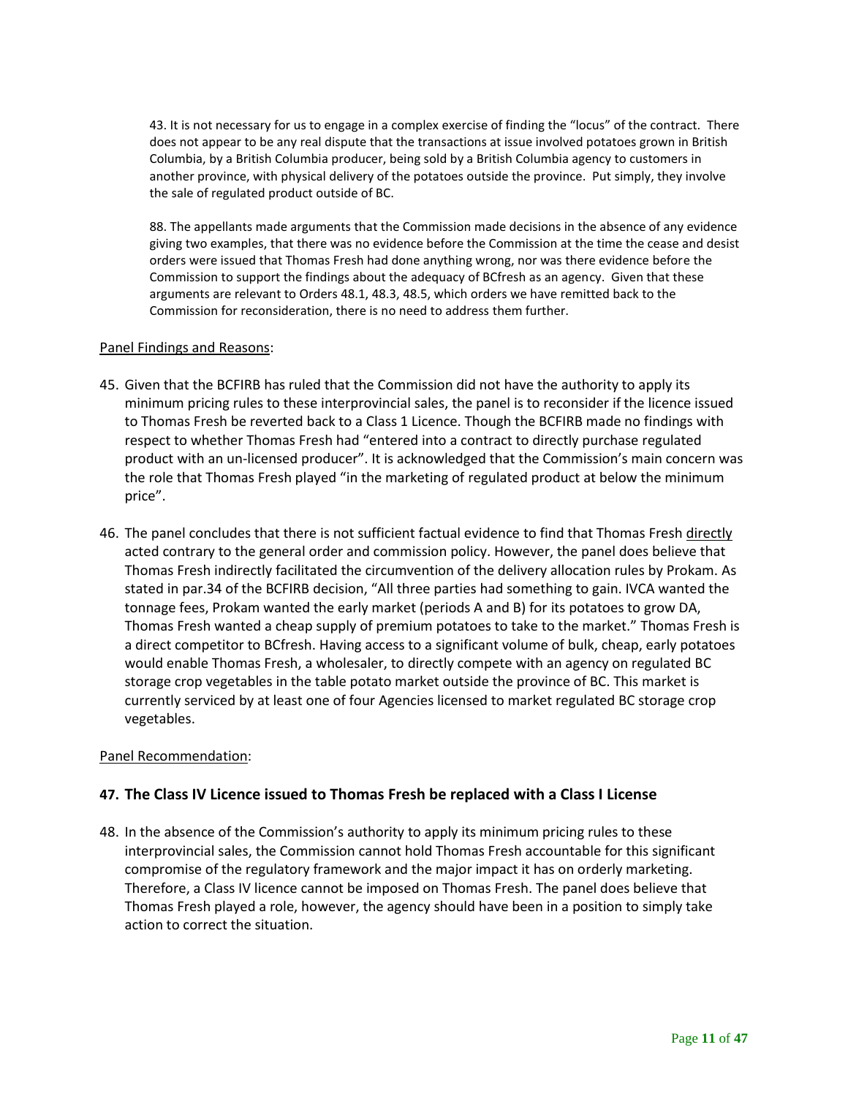43. It is not necessary for us to engage in a complex exercise of finding the "locus" of the contract. There does not appear to be any real dispute that the transactions at issue involved potatoes grown in British Columbia, by a British Columbia producer, being sold by a British Columbia agency to customers in another province, with physical delivery of the potatoes outside the province. Put simply, they involve the sale of regulated product outside of BC.

88. The appellants made arguments that the Commission made decisions in the absence of any evidence giving two examples, that there was no evidence before the Commission at the time the cease and desist orders were issued that Thomas Fresh had done anything wrong, nor was there evidence before the Commission to support the findings about the adequacy of BCfresh as an agency. Given that these arguments are relevant to Orders 48.1, 48.3, 48.5, which orders we have remitted back to the Commission for reconsideration, there is no need to address them further.

### Panel Findings and Reasons:

- 45. Given that the BCFIRB has ruled that the Commission did not have the authority to apply its minimum pricing rules to these interprovincial sales, the panel is to reconsider if the licence issued to Thomas Fresh be reverted back to a Class 1 Licence. Though the BCFIRB made no findings with respect to whether Thomas Fresh had "entered into a contract to directly purchase regulated product with an un-licensed producer". It is acknowledged that the Commission's main concern was the role that Thomas Fresh played "in the marketing of regulated product at below the minimum price".
- 46. The panel concludes that there is not sufficient factual evidence to find that Thomas Fresh directly acted contrary to the general order and commission policy. However, the panel does believe that Thomas Fresh indirectly facilitated the circumvention of the delivery allocation rules by Prokam. As stated in par.34 of the BCFIRB decision, "All three parties had something to gain. IVCA wanted the tonnage fees, Prokam wanted the early market (periods A and B) for its potatoes to grow DA, Thomas Fresh wanted a cheap supply of premium potatoes to take to the market." Thomas Fresh is a direct competitor to BCfresh. Having access to a significant volume of bulk, cheap, early potatoes would enable Thomas Fresh, a wholesaler, to directly compete with an agency on regulated BC storage crop vegetables in the table potato market outside the province of BC. This market is currently serviced by at least one of four Agencies licensed to market regulated BC storage crop vegetables.

### Panel Recommendation:

## **47. The Class IV Licence issued to Thomas Fresh be replaced with a Class I License**

48. In the absence of the Commission's authority to apply its minimum pricing rules to these interprovincial sales, the Commission cannot hold Thomas Fresh accountable for this significant compromise of the regulatory framework and the major impact it has on orderly marketing. Therefore, a Class IV licence cannot be imposed on Thomas Fresh. The panel does believe that Thomas Fresh played a role, however, the agency should have been in a position to simply take action to correct the situation.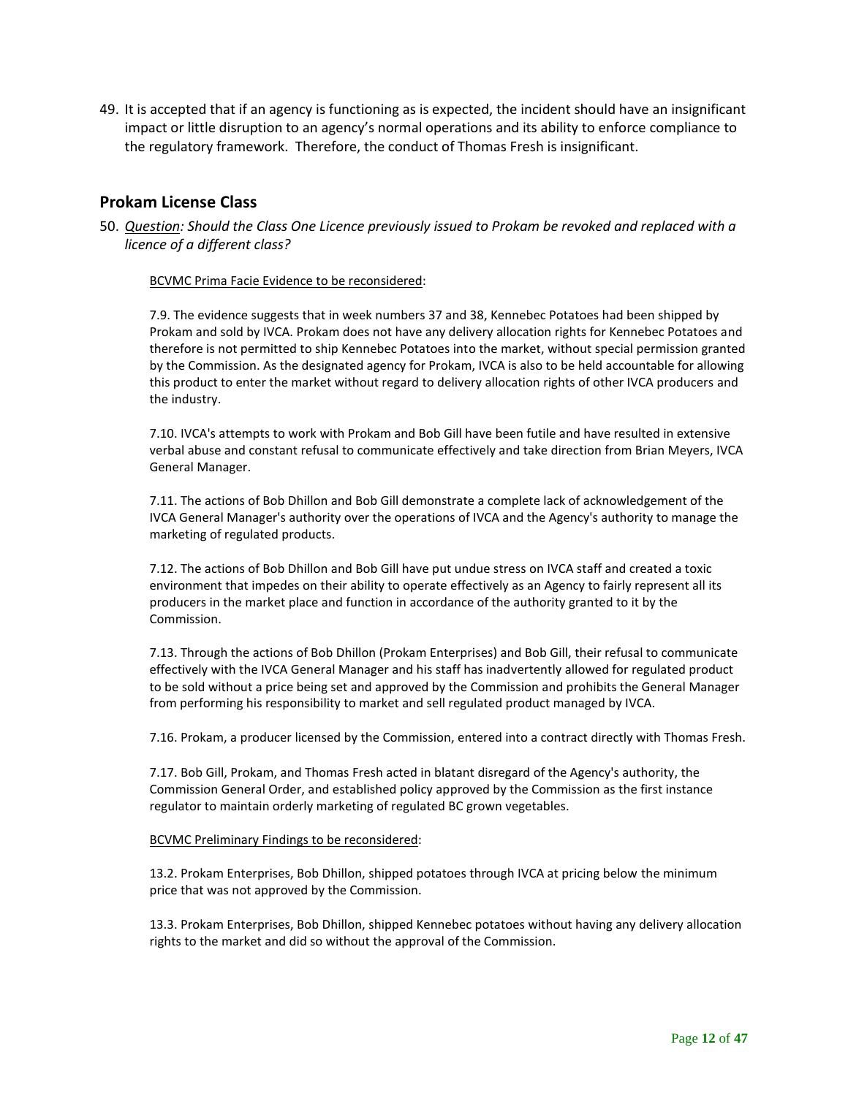49. It is accepted that if an agency is functioning as is expected, the incident should have an insignificant impact or little disruption to an agency's normal operations and its ability to enforce compliance to the regulatory framework. Therefore, the conduct of Thomas Fresh is insignificant.

## <span id="page-11-0"></span>**Prokam License Class**

50. *Question: Should the Class One Licence previously issued to Prokam be revoked and replaced with a licence of a different class?*

#### BCVMC Prima Facie Evidence to be reconsidered:

7.9. The evidence suggests that in week numbers 37 and 38, Kennebec Potatoes had been shipped by Prokam and sold by IVCA. Prokam does not have any delivery allocation rights for Kennebec Potatoes and therefore is not permitted to ship Kennebec Potatoes into the market, without special permission granted by the Commission. As the designated agency for Prokam, IVCA is also to be held accountable for allowing this product to enter the market without regard to delivery allocation rights of other IVCA producers and the industry.

7.10. IVCA's attempts to work with Prokam and Bob Gill have been futile and have resulted in extensive verbal abuse and constant refusal to communicate effectively and take direction from Brian Meyers, IVCA General Manager.

7.11. The actions of Bob Dhillon and Bob Gill demonstrate a complete lack of acknowledgement of the IVCA General Manager's authority over the operations of IVCA and the Agency's authority to manage the marketing of regulated products.

7.12. The actions of Bob Dhillon and Bob Gill have put undue stress on IVCA staff and created a toxic environment that impedes on their ability to operate effectively as an Agency to fairly represent all its producers in the market place and function in accordance of the authority granted to it by the Commission.

7.13. Through the actions of Bob Dhillon (Prokam Enterprises) and Bob Gill, their refusal to communicate effectively with the IVCA General Manager and his staff has inadvertently allowed for regulated product to be sold without a price being set and approved by the Commission and prohibits the General Manager from performing his responsibility to market and sell regulated product managed by IVCA.

7.16. Prokam, a producer licensed by the Commission, entered into a contract directly with Thomas Fresh.

7.17. Bob Gill, Prokam, and Thomas Fresh acted in blatant disregard of the Agency's authority, the Commission General Order, and established policy approved by the Commission as the first instance regulator to maintain orderly marketing of regulated BC grown vegetables.

#### BCVMC Preliminary Findings to be reconsidered:

13.2. Prokam Enterprises, Bob Dhillon, shipped potatoes through IVCA at pricing below the minimum price that was not approved by the Commission.

13.3. Prokam Enterprises, Bob Dhillon, shipped Kennebec potatoes without having any delivery allocation rights to the market and did so without the approval of the Commission.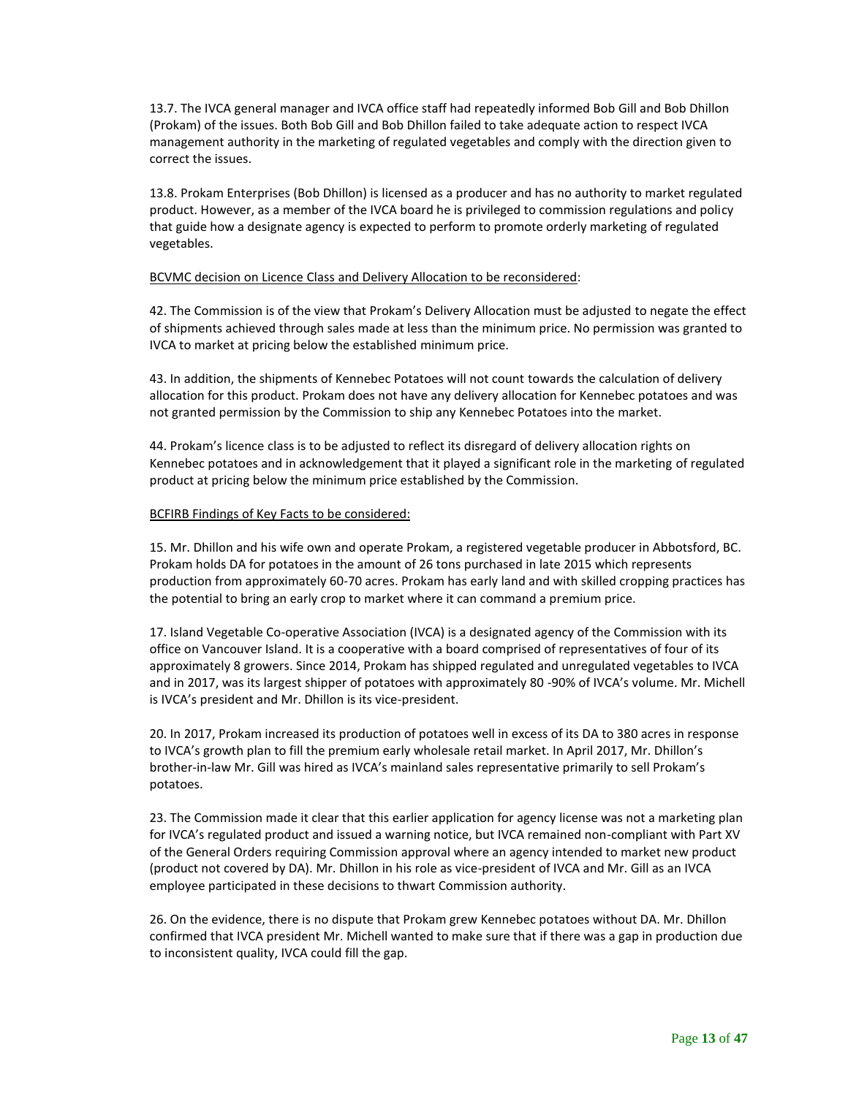13.7. The IVCA general manager and IVCA office staff had repeatedly informed Bob Gill and Bob Dhillon (Prokam) of the issues. Both Bob Gill and Bob Dhillon failed to take adequate action to respect IVCA management authority in the marketing of regulated vegetables and comply with the direction given to correct the issues.

13.8. Prokam Enterprises (Bob Dhillon) is licensed as a producer and has no authority to market regulated product. However, as a member of the IVCA board he is privileged to commission regulations and policy that guide how a designate agency is expected to perform to promote orderly marketing of regulated vegetables.

#### BCVMC decision on Licence Class and Delivery Allocation to be reconsidered:

42. The Commission is of the view that Prokam's Delivery Allocation must be adjusted to negate the effect of shipments achieved through sales made at less than the minimum price. No permission was granted to IVCA to market at pricing below the established minimum price.

43. In addition, the shipments of Kennebec Potatoes will not count towards the calculation of delivery allocation for this product. Prokam does not have any delivery allocation for Kennebec potatoes and was not granted permission by the Commission to ship any Kennebec Potatoes into the market.

44. Prokam's licence class is to be adjusted to reflect its disregard of delivery allocation rights on Kennebec potatoes and in acknowledgement that it played a significant role in the marketing of regulated product at pricing below the minimum price established by the Commission.

#### BCFIRB Findings of Key Facts to be considered:

15. Mr. Dhillon and his wife own and operate Prokam, a registered vegetable producer in Abbotsford, BC. Prokam holds DA for potatoes in the amount of 26 tons purchased in late 2015 which represents production from approximately 60-70 acres. Prokam has early land and with skilled cropping practices has the potential to bring an early crop to market where it can command a premium price.

17. Island Vegetable Co-operative Association (IVCA) is a designated agency of the Commission with its office on Vancouver Island. It is a cooperative with a board comprised of representatives of four of its approximately 8 growers. Since 2014, Prokam has shipped regulated and unregulated vegetables to IVCA and in 2017, was its largest shipper of potatoes with approximately 80 -90% of IVCA's volume. Mr. Michell is IVCA's president and Mr. Dhillon is its vice-president.

20. In 2017, Prokam increased its production of potatoes well in excess of its DA to 380 acres in response to IVCA's growth plan to fill the premium early wholesale retail market. In April 2017, Mr. Dhillon's brother-in-law Mr. Gill was hired as IVCA's mainland sales representative primarily to sell Prokam's potatoes.

23. The Commission made it clear that this earlier application for agency license was not a marketing plan for IVCA's regulated product and issued a warning notice, but IVCA remained non-compliant with Part XV of the General Orders requiring Commission approval where an agency intended to market new product (product not covered by DA). Mr. Dhillon in his role as vice-president of IVCA and Mr. Gill as an IVCA employee participated in these decisions to thwart Commission authority.

26. On the evidence, there is no dispute that Prokam grew Kennebec potatoes without DA. Mr. Dhillon confirmed that IVCA president Mr. Michell wanted to make sure that if there was a gap in production due to inconsistent quality, IVCA could fill the gap.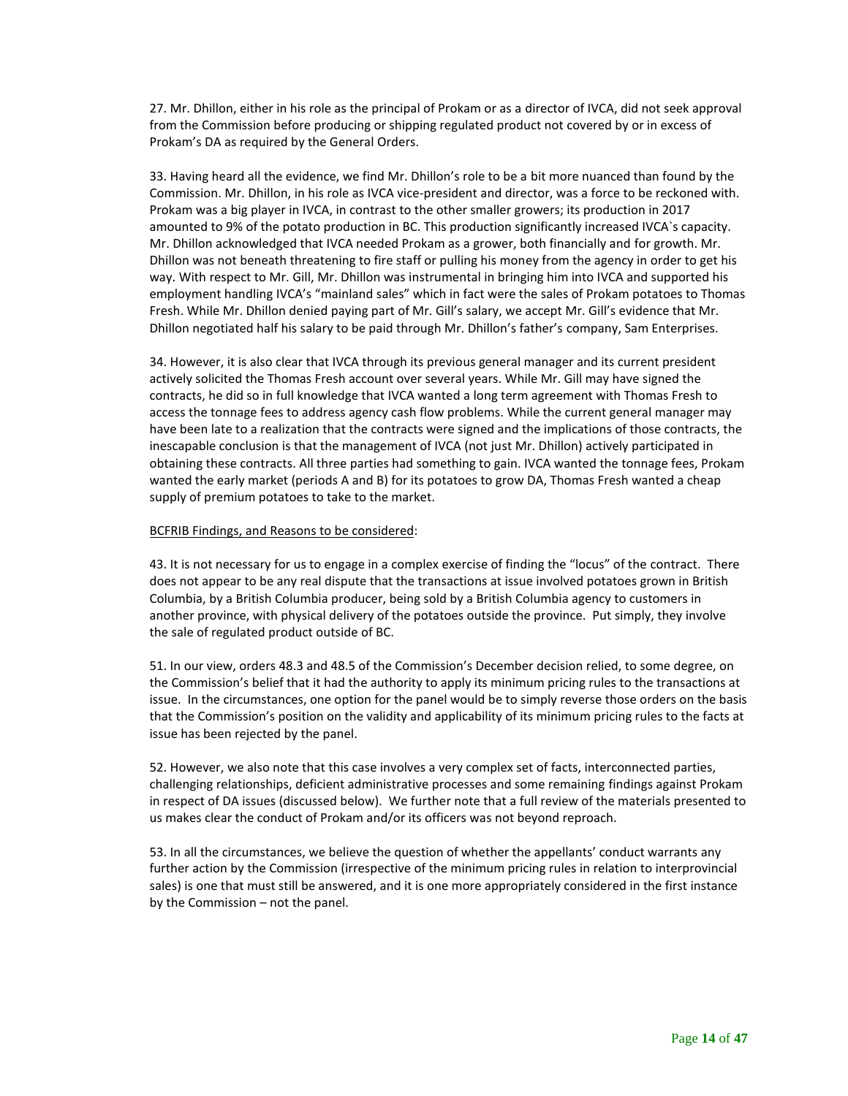27. Mr. Dhillon, either in his role as the principal of Prokam or as a director of IVCA, did not seek approval from the Commission before producing or shipping regulated product not covered by or in excess of Prokam's DA as required by the General Orders.

33. Having heard all the evidence, we find Mr. Dhillon's role to be a bit more nuanced than found by the Commission. Mr. Dhillon, in his role as IVCA vice-president and director, was a force to be reckoned with. Prokam was a big player in IVCA, in contrast to the other smaller growers; its production in 2017 amounted to 9% of the potato production in BC. This production significantly increased IVCA`s capacity. Mr. Dhillon acknowledged that IVCA needed Prokam as a grower, both financially and for growth. Mr. Dhillon was not beneath threatening to fire staff or pulling his money from the agency in order to get his way. With respect to Mr. Gill, Mr. Dhillon was instrumental in bringing him into IVCA and supported his employment handling IVCA's "mainland sales" which in fact were the sales of Prokam potatoes to Thomas Fresh. While Mr. Dhillon denied paying part of Mr. Gill's salary, we accept Mr. Gill's evidence that Mr. Dhillon negotiated half his salary to be paid through Mr. Dhillon's father's company, Sam Enterprises.

34. However, it is also clear that IVCA through its previous general manager and its current president actively solicited the Thomas Fresh account over several years. While Mr. Gill may have signed the contracts, he did so in full knowledge that IVCA wanted a long term agreement with Thomas Fresh to access the tonnage fees to address agency cash flow problems. While the current general manager may have been late to a realization that the contracts were signed and the implications of those contracts, the inescapable conclusion is that the management of IVCA (not just Mr. Dhillon) actively participated in obtaining these contracts. All three parties had something to gain. IVCA wanted the tonnage fees, Prokam wanted the early market (periods A and B) for its potatoes to grow DA, Thomas Fresh wanted a cheap supply of premium potatoes to take to the market.

#### BCFRIB Findings, and Reasons to be considered:

43. It is not necessary for us to engage in a complex exercise of finding the "locus" of the contract. There does not appear to be any real dispute that the transactions at issue involved potatoes grown in British Columbia, by a British Columbia producer, being sold by a British Columbia agency to customers in another province, with physical delivery of the potatoes outside the province. Put simply, they involve the sale of regulated product outside of BC.

51. In our view, orders 48.3 and 48.5 of the Commission's December decision relied, to some degree, on the Commission's belief that it had the authority to apply its minimum pricing rules to the transactions at issue. In the circumstances, one option for the panel would be to simply reverse those orders on the basis that the Commission's position on the validity and applicability of its minimum pricing rules to the facts at issue has been rejected by the panel.

52. However, we also note that this case involves a very complex set of facts, interconnected parties, challenging relationships, deficient administrative processes and some remaining findings against Prokam in respect of DA issues (discussed below). We further note that a full review of the materials presented to us makes clear the conduct of Prokam and/or its officers was not beyond reproach.

53. In all the circumstances, we believe the question of whether the appellants' conduct warrants any further action by the Commission (irrespective of the minimum pricing rules in relation to interprovincial sales) is one that must still be answered, and it is one more appropriately considered in the first instance by the Commission – not the panel.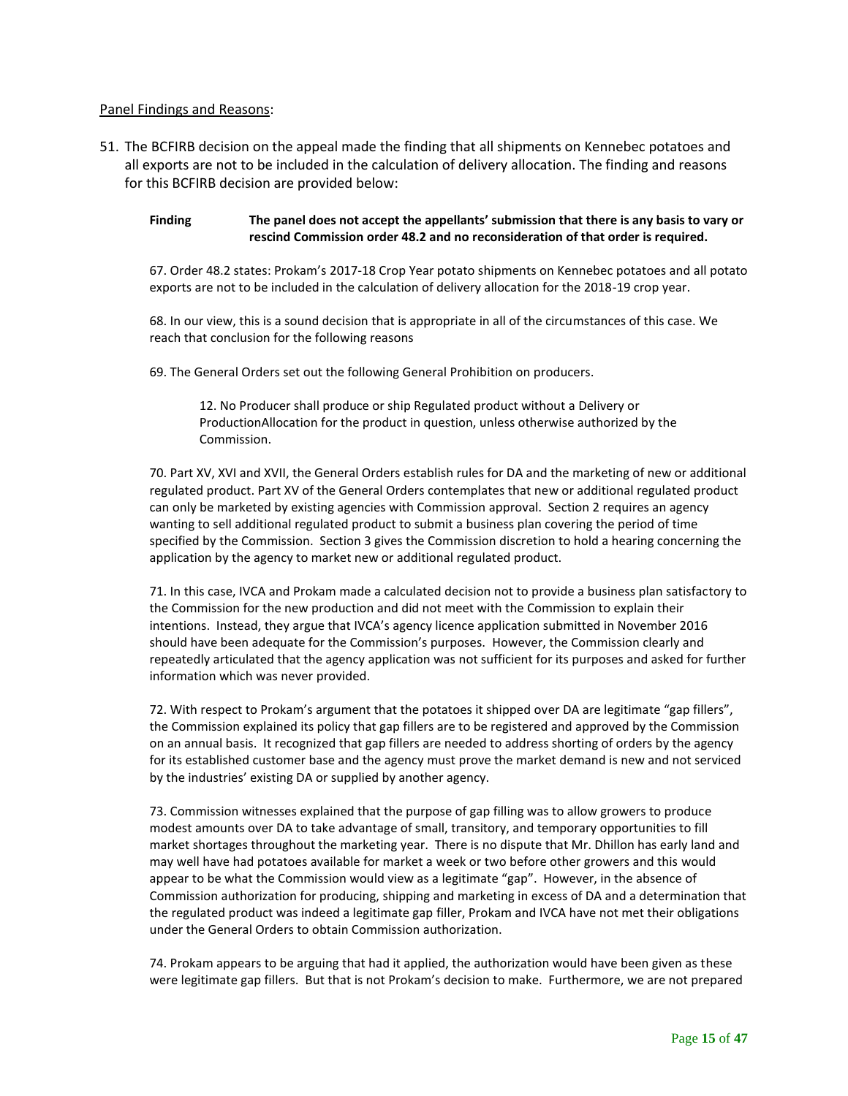### Panel Findings and Reasons:

51. The BCFIRB decision on the appeal made the finding that all shipments on Kennebec potatoes and all exports are not to be included in the calculation of delivery allocation. The finding and reasons for this BCFIRB decision are provided below:

**Finding The panel does not accept the appellants' submission that there is any basis to vary or rescind Commission order 48.2 and no reconsideration of that order is required.** 

67. Order 48.2 states: Prokam's 2017-18 Crop Year potato shipments on Kennebec potatoes and all potato exports are not to be included in the calculation of delivery allocation for the 2018-19 crop year.

68. In our view, this is a sound decision that is appropriate in all of the circumstances of this case. We reach that conclusion for the following reasons

69. The General Orders set out the following General Prohibition on producers.

12. No Producer shall produce or ship Regulated product without a Delivery or ProductionAllocation for the product in question, unless otherwise authorized by the Commission.

70. Part XV, XVI and XVII, the General Orders establish rules for DA and the marketing of new or additional regulated product. Part XV of the General Orders contemplates that new or additional regulated product can only be marketed by existing agencies with Commission approval. Section 2 requires an agency wanting to sell additional regulated product to submit a business plan covering the period of time specified by the Commission. Section 3 gives the Commission discretion to hold a hearing concerning the application by the agency to market new or additional regulated product.

71. In this case, IVCA and Prokam made a calculated decision not to provide a business plan satisfactory to the Commission for the new production and did not meet with the Commission to explain their intentions. Instead, they argue that IVCA's agency licence application submitted in November 2016 should have been adequate for the Commission's purposes. However, the Commission clearly and repeatedly articulated that the agency application was not sufficient for its purposes and asked for further information which was never provided.

72. With respect to Prokam's argument that the potatoes it shipped over DA are legitimate "gap fillers", the Commission explained its policy that gap fillers are to be registered and approved by the Commission on an annual basis. It recognized that gap fillers are needed to address shorting of orders by the agency for its established customer base and the agency must prove the market demand is new and not serviced by the industries' existing DA or supplied by another agency.

73. Commission witnesses explained that the purpose of gap filling was to allow growers to produce modest amounts over DA to take advantage of small, transitory, and temporary opportunities to fill market shortages throughout the marketing year. There is no dispute that Mr. Dhillon has early land and may well have had potatoes available for market a week or two before other growers and this would appear to be what the Commission would view as a legitimate "gap". However, in the absence of Commission authorization for producing, shipping and marketing in excess of DA and a determination that the regulated product was indeed a legitimate gap filler, Prokam and IVCA have not met their obligations under the General Orders to obtain Commission authorization.

74. Prokam appears to be arguing that had it applied, the authorization would have been given as these were legitimate gap fillers. But that is not Prokam's decision to make. Furthermore, we are not prepared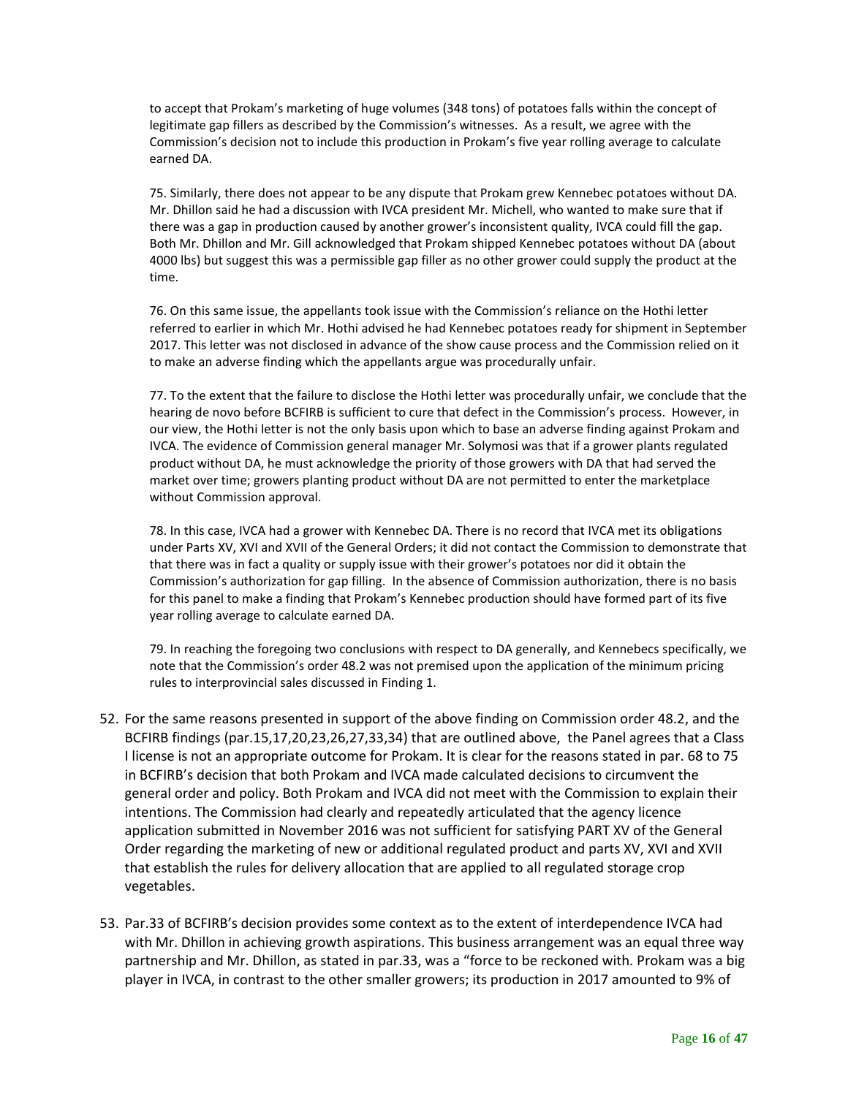to accept that Prokam's marketing of huge volumes (348 tons) of potatoes falls within the concept of legitimate gap fillers as described by the Commission's witnesses. As a result, we agree with the Commission's decision not to include this production in Prokam's five year rolling average to calculate earned DA.

75. Similarly, there does not appear to be any dispute that Prokam grew Kennebec potatoes without DA. Mr. Dhillon said he had a discussion with IVCA president Mr. Michell, who wanted to make sure that if there was a gap in production caused by another grower's inconsistent quality, IVCA could fill the gap. Both Mr. Dhillon and Mr. Gill acknowledged that Prokam shipped Kennebec potatoes without DA (about 4000 lbs) but suggest this was a permissible gap filler as no other grower could supply the product at the time.

76. On this same issue, the appellants took issue with the Commission's reliance on the Hothi letter referred to earlier in which Mr. Hothi advised he had Kennebec potatoes ready for shipment in September 2017. This letter was not disclosed in advance of the show cause process and the Commission relied on it to make an adverse finding which the appellants argue was procedurally unfair.

77. To the extent that the failure to disclose the Hothi letter was procedurally unfair, we conclude that the hearing de novo before BCFIRB is sufficient to cure that defect in the Commission's process. However, in our view, the Hothi letter is not the only basis upon which to base an adverse finding against Prokam and IVCA. The evidence of Commission general manager Mr. Solymosi was that if a grower plants regulated product without DA, he must acknowledge the priority of those growers with DA that had served the market over time; growers planting product without DA are not permitted to enter the marketplace without Commission approval.

78. In this case, IVCA had a grower with Kennebec DA. There is no record that IVCA met its obligations under Parts XV, XVI and XVII of the General Orders; it did not contact the Commission to demonstrate that that there was in fact a quality or supply issue with their grower's potatoes nor did it obtain the Commission's authorization for gap filling. In the absence of Commission authorization, there is no basis for this panel to make a finding that Prokam's Kennebec production should have formed part of its five year rolling average to calculate earned DA.

79. In reaching the foregoing two conclusions with respect to DA generally, and Kennebecs specifically, we note that the Commission's order 48.2 was not premised upon the application of the minimum pricing rules to interprovincial sales discussed in Finding 1.

- 52. For the same reasons presented in support of the above finding on Commission order 48.2, and the BCFIRB findings (par.15,17,20,23,26,27,33,34) that are outlined above, the Panel agrees that a Class I license is not an appropriate outcome for Prokam. It is clear for the reasons stated in par. 68 to 75 in BCFIRB's decision that both Prokam and IVCA made calculated decisions to circumvent the general order and policy. Both Prokam and IVCA did not meet with the Commission to explain their intentions. The Commission had clearly and repeatedly articulated that the agency licence application submitted in November 2016 was not sufficient for satisfying PART XV of the General Order regarding the marketing of new or additional regulated product and parts XV, XVI and XVII that establish the rules for delivery allocation that are applied to all regulated storage crop vegetables.
- 53. Par.33 of BCFIRB's decision provides some context as to the extent of interdependence IVCA had with Mr. Dhillon in achieving growth aspirations. This business arrangement was an equal three way partnership and Mr. Dhillon, as stated in par.33, was a "force to be reckoned with. Prokam was a big player in IVCA, in contrast to the other smaller growers; its production in 2017 amounted to 9% of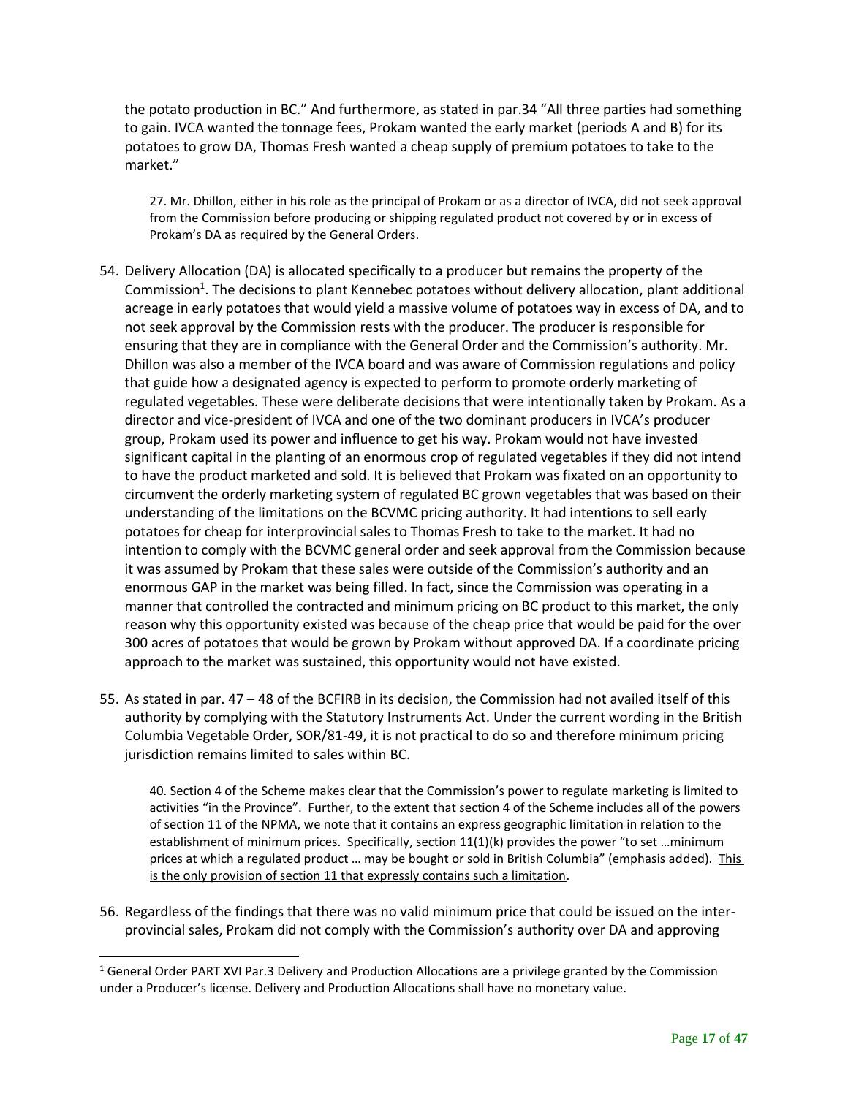the potato production in BC." And furthermore, as stated in par.34 "All three parties had something to gain. IVCA wanted the tonnage fees, Prokam wanted the early market (periods A and B) for its potatoes to grow DA, Thomas Fresh wanted a cheap supply of premium potatoes to take to the market."

27. Mr. Dhillon, either in his role as the principal of Prokam or as a director of IVCA, did not seek approval from the Commission before producing or shipping regulated product not covered by or in excess of Prokam's DA as required by the General Orders.

- 54. Delivery Allocation (DA) is allocated specifically to a producer but remains the property of the Commission<sup>1</sup>. The decisions to plant Kennebec potatoes without delivery allocation, plant additional acreage in early potatoes that would yield a massive volume of potatoes way in excess of DA, and to not seek approval by the Commission rests with the producer. The producer is responsible for ensuring that they are in compliance with the General Order and the Commission's authority. Mr. Dhillon was also a member of the IVCA board and was aware of Commission regulations and policy that guide how a designated agency is expected to perform to promote orderly marketing of regulated vegetables. These were deliberate decisions that were intentionally taken by Prokam. As a director and vice-president of IVCA and one of the two dominant producers in IVCA's producer group, Prokam used its power and influence to get his way. Prokam would not have invested significant capital in the planting of an enormous crop of regulated vegetables if they did not intend to have the product marketed and sold. It is believed that Prokam was fixated on an opportunity to circumvent the orderly marketing system of regulated BC grown vegetables that was based on their understanding of the limitations on the BCVMC pricing authority. It had intentions to sell early potatoes for cheap for interprovincial sales to Thomas Fresh to take to the market. It had no intention to comply with the BCVMC general order and seek approval from the Commission because it was assumed by Prokam that these sales were outside of the Commission's authority and an enormous GAP in the market was being filled. In fact, since the Commission was operating in a manner that controlled the contracted and minimum pricing on BC product to this market, the only reason why this opportunity existed was because of the cheap price that would be paid for the over 300 acres of potatoes that would be grown by Prokam without approved DA. If a coordinate pricing approach to the market was sustained, this opportunity would not have existed.
- 55. As stated in par. 47 48 of the BCFIRB in its decision, the Commission had not availed itself of this authority by complying with the Statutory Instruments Act. Under the current wording in the British Columbia Vegetable Order, SOR/81-49, it is not practical to do so and therefore minimum pricing jurisdiction remains limited to sales within BC.

40. Section 4 of the Scheme makes clear that the Commission's power to regulate marketing is limited to activities "in the Province". Further, to the extent that section 4 of the Scheme includes all of the powers of section 11 of the NPMA, we note that it contains an express geographic limitation in relation to the establishment of minimum prices. Specifically, section 11(1)(k) provides the power "to set …minimum prices at which a regulated product … may be bought or sold in British Columbia" (emphasis added). This is the only provision of section 11 that expressly contains such a limitation.

56. Regardless of the findings that there was no valid minimum price that could be issued on the interprovincial sales, Prokam did not comply with the Commission's authority over DA and approving

 $1$  General Order PART XVI Par.3 Delivery and Production Allocations are a privilege granted by the Commission under a Producer's license. Delivery and Production Allocations shall have no monetary value.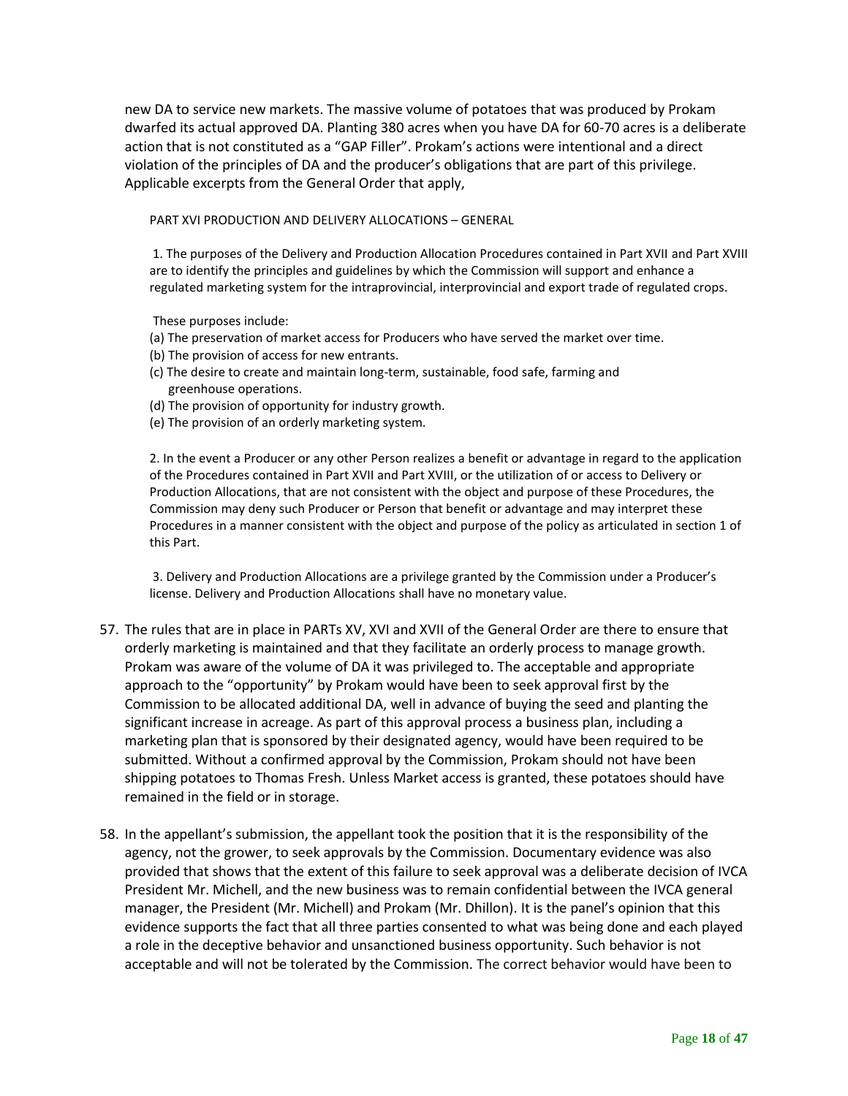new DA to service new markets. The massive volume of potatoes that was produced by Prokam dwarfed its actual approved DA. Planting 380 acres when you have DA for 60-70 acres is a deliberate action that is not constituted as a "GAP Filler". Prokam's actions were intentional and a direct violation of the principles of DA and the producer's obligations that are part of this privilege. Applicable excerpts from the General Order that apply,

PART XVI PRODUCTION AND DELIVERY ALLOCATIONS – GENERAL

1. The purposes of the Delivery and Production Allocation Procedures contained in Part XVII and Part XVIII are to identify the principles and guidelines by which the Commission will support and enhance a regulated marketing system for the intraprovincial, interprovincial and export trade of regulated crops.

These purposes include:

- (a) The preservation of market access for Producers who have served the market over time.
- (b) The provision of access for new entrants.
- (c) The desire to create and maintain long-term, sustainable, food safe, farming and greenhouse operations.
- (d) The provision of opportunity for industry growth.
- (e) The provision of an orderly marketing system.

2. In the event a Producer or any other Person realizes a benefit or advantage in regard to the application of the Procedures contained in Part XVII and Part XVIII, or the utilization of or access to Delivery or Production Allocations, that are not consistent with the object and purpose of these Procedures, the Commission may deny such Producer or Person that benefit or advantage and may interpret these Procedures in a manner consistent with the object and purpose of the policy as articulated in section 1 of this Part.

3. Delivery and Production Allocations are a privilege granted by the Commission under a Producer's license. Delivery and Production Allocations shall have no monetary value.

- 57. The rules that are in place in PARTs XV, XVI and XVII of the General Order are there to ensure that orderly marketing is maintained and that they facilitate an orderly process to manage growth. Prokam was aware of the volume of DA it was privileged to. The acceptable and appropriate approach to the "opportunity" by Prokam would have been to seek approval first by the Commission to be allocated additional DA, well in advance of buying the seed and planting the significant increase in acreage. As part of this approval process a business plan, including a marketing plan that is sponsored by their designated agency, would have been required to be submitted. Without a confirmed approval by the Commission, Prokam should not have been shipping potatoes to Thomas Fresh. Unless Market access is granted, these potatoes should have remained in the field or in storage.
- 58. In the appellant's submission, the appellant took the position that it is the responsibility of the agency, not the grower, to seek approvals by the Commission. Documentary evidence was also provided that shows that the extent of this failure to seek approval was a deliberate decision of IVCA President Mr. Michell, and the new business was to remain confidential between the IVCA general manager, the President (Mr. Michell) and Prokam (Mr. Dhillon). It is the panel's opinion that this evidence supports the fact that all three parties consented to what was being done and each played a role in the deceptive behavior and unsanctioned business opportunity. Such behavior is not acceptable and will not be tolerated by the Commission. The correct behavior would have been to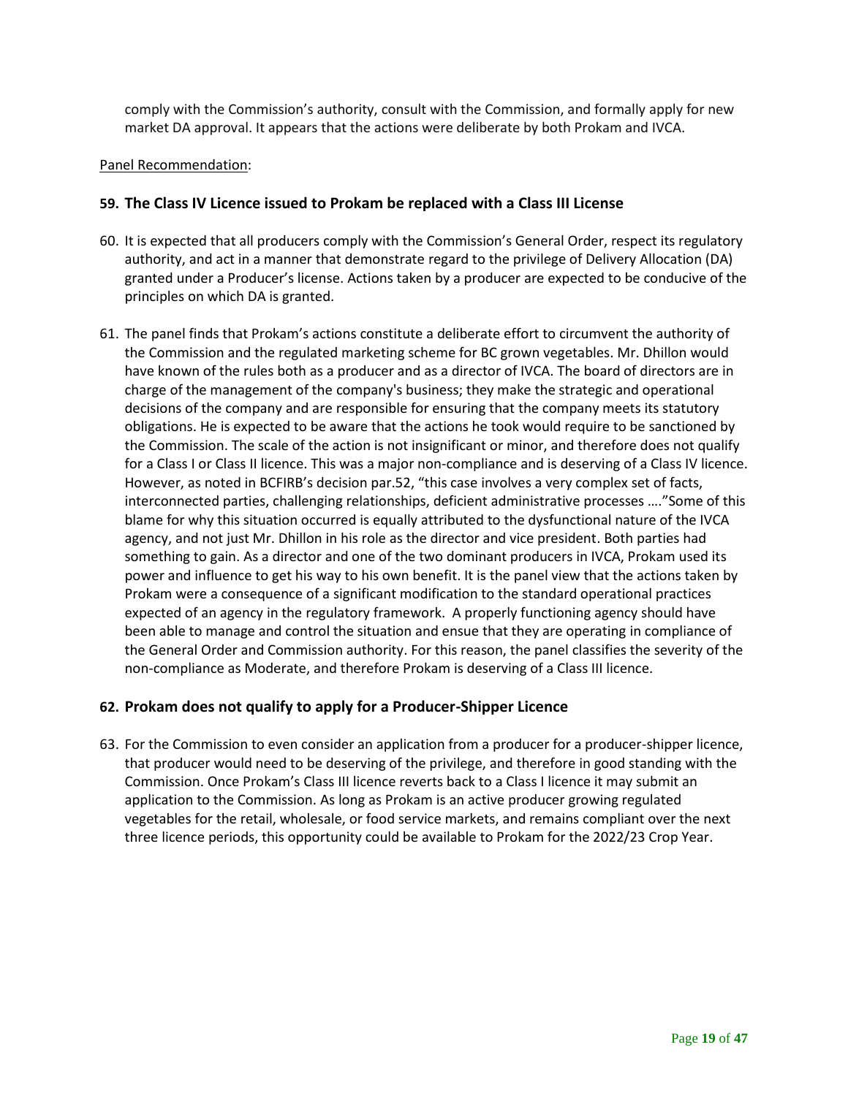comply with the Commission's authority, consult with the Commission, and formally apply for new market DA approval. It appears that the actions were deliberate by both Prokam and IVCA.

### Panel Recommendation:

## **59. The Class IV Licence issued to Prokam be replaced with a Class III License**

- 60. It is expected that all producers comply with the Commission's General Order, respect its regulatory authority, and act in a manner that demonstrate regard to the privilege of Delivery Allocation (DA) granted under a Producer's license. Actions taken by a producer are expected to be conducive of the principles on which DA is granted.
- 61. The panel finds that Prokam's actions constitute a deliberate effort to circumvent the authority of the Commission and the regulated marketing scheme for BC grown vegetables. Mr. Dhillon would have known of the rules both as a producer and as a director of IVCA. The board of directors are in charge of the management of the company's business; they make the strategic and operational decisions of the company and are responsible for ensuring that the company meets its statutory obligations. He is expected to be aware that the actions he took would require to be sanctioned by the Commission. The scale of the action is not insignificant or minor, and therefore does not qualify for a Class I or Class II licence. This was a major non-compliance and is deserving of a Class IV licence. However, as noted in BCFIRB's decision par.52, "this case involves a very complex set of facts, interconnected parties, challenging relationships, deficient administrative processes …."Some of this blame for why this situation occurred is equally attributed to the dysfunctional nature of the IVCA agency, and not just Mr. Dhillon in his role as the director and vice president. Both parties had something to gain. As a director and one of the two dominant producers in IVCA, Prokam used its power and influence to get his way to his own benefit. It is the panel view that the actions taken by Prokam were a consequence of a significant modification to the standard operational practices expected of an agency in the regulatory framework. A properly functioning agency should have been able to manage and control the situation and ensue that they are operating in compliance of the General Order and Commission authority. For this reason, the panel classifies the severity of the non-compliance as Moderate, and therefore Prokam is deserving of a Class III licence.

## **62. Prokam does not qualify to apply for a Producer-Shipper Licence**

63. For the Commission to even consider an application from a producer for a producer-shipper licence, that producer would need to be deserving of the privilege, and therefore in good standing with the Commission. Once Prokam's Class III licence reverts back to a Class I licence it may submit an application to the Commission. As long as Prokam is an active producer growing regulated vegetables for the retail, wholesale, or food service markets, and remains compliant over the next three licence periods, this opportunity could be available to Prokam for the 2022/23 Crop Year.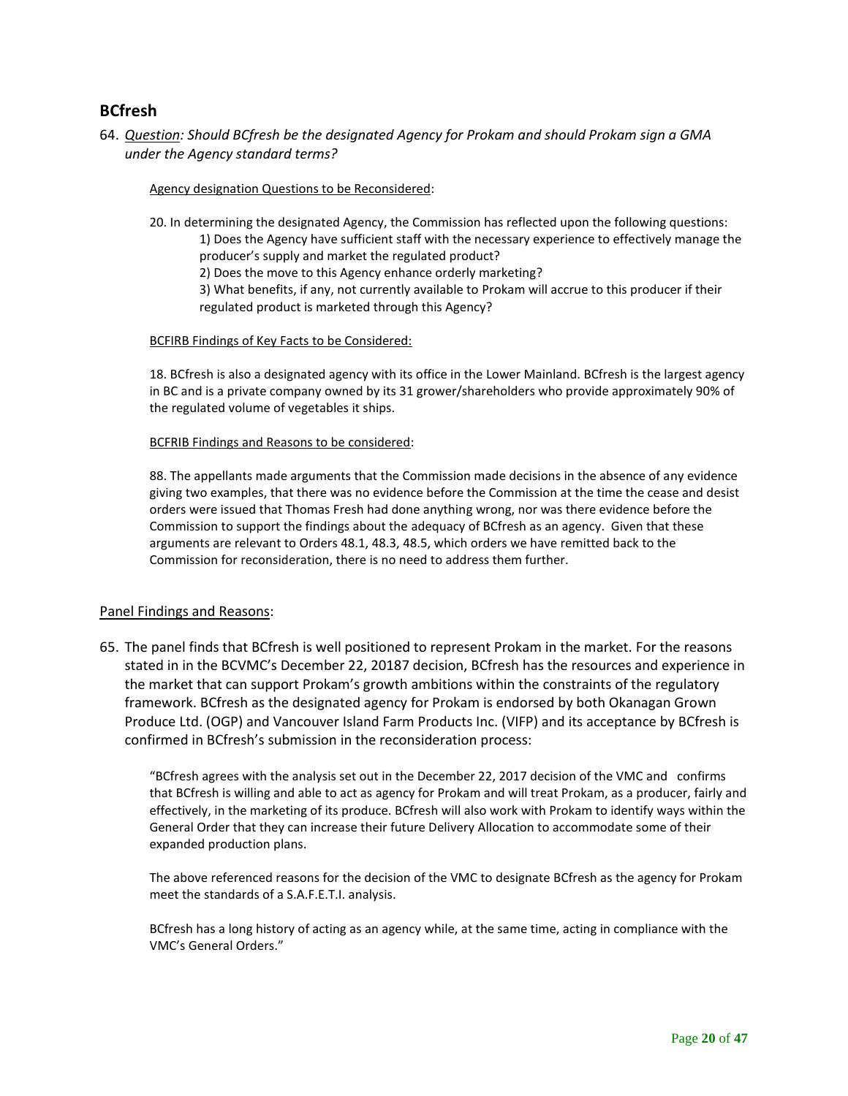## <span id="page-19-0"></span>**BCfresh**

64. *Question: Should BCfresh be the designated Agency for Prokam and should Prokam sign a GMA under the Agency standard terms?*

#### Agency designation Questions to be Reconsidered:

20. In determining the designated Agency, the Commission has reflected upon the following questions:

1) Does the Agency have sufficient staff with the necessary experience to effectively manage the producer's supply and market the regulated product?

2) Does the move to this Agency enhance orderly marketing?

3) What benefits, if any, not currently available to Prokam will accrue to this producer if their regulated product is marketed through this Agency?

### BCFIRB Findings of Key Facts to be Considered:

18. BCfresh is also a designated agency with its office in the Lower Mainland. BCfresh is the largest agency in BC and is a private company owned by its 31 grower/shareholders who provide approximately 90% of the regulated volume of vegetables it ships.

#### BCFRIB Findings and Reasons to be considered:

88. The appellants made arguments that the Commission made decisions in the absence of any evidence giving two examples, that there was no evidence before the Commission at the time the cease and desist orders were issued that Thomas Fresh had done anything wrong, nor was there evidence before the Commission to support the findings about the adequacy of BCfresh as an agency. Given that these arguments are relevant to Orders 48.1, 48.3, 48.5, which orders we have remitted back to the Commission for reconsideration, there is no need to address them further.

### Panel Findings and Reasons:

65. The panel finds that BCfresh is well positioned to represent Prokam in the market. For the reasons stated in in the BCVMC's December 22, 20187 decision, BCfresh has the resources and experience in the market that can support Prokam's growth ambitions within the constraints of the regulatory framework. BCfresh as the designated agency for Prokam is endorsed by both Okanagan Grown Produce Ltd. (OGP) and Vancouver Island Farm Products Inc. (VIFP) and its acceptance by BCfresh is confirmed in BCfresh's submission in the reconsideration process:

"BCfresh agrees with the analysis set out in the December 22, 2017 decision of the VMC and confirms that BCfresh is willing and able to act as agency for Prokam and will treat Prokam, as a producer, fairly and effectively, in the marketing of its produce. BCfresh will also work with Prokam to identify ways within the General Order that they can increase their future Delivery Allocation to accommodate some of their expanded production plans.

The above referenced reasons for the decision of the VMC to designate BCfresh as the agency for Prokam meet the standards of a S.A.F.E.T.I. analysis.

BCfresh has a long history of acting as an agency while, at the same time, acting in compliance with the VMC's General Orders."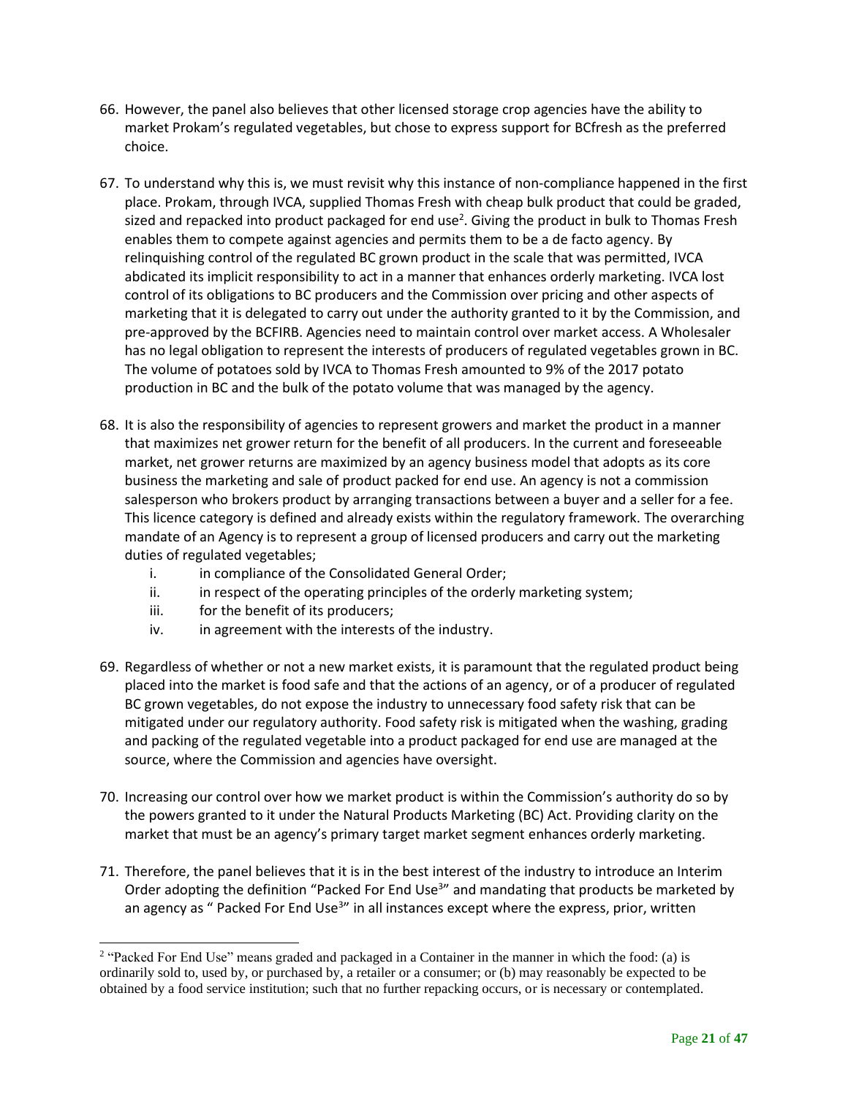- 66. However, the panel also believes that other licensed storage crop agencies have the ability to market Prokam's regulated vegetables, but chose to express support for BCfresh as the preferred choice.
- 67. To understand why this is, we must revisit why this instance of non-compliance happened in the first place. Prokam, through IVCA, supplied Thomas Fresh with cheap bulk product that could be graded, sized and repacked into product packaged for end use<sup>2</sup>. Giving the product in bulk to Thomas Fresh enables them to compete against agencies and permits them to be a de facto agency. By relinquishing control of the regulated BC grown product in the scale that was permitted, IVCA abdicated its implicit responsibility to act in a manner that enhances orderly marketing. IVCA lost control of its obligations to BC producers and the Commission over pricing and other aspects of marketing that it is delegated to carry out under the authority granted to it by the Commission, and pre-approved by the BCFIRB. Agencies need to maintain control over market access. A Wholesaler has no legal obligation to represent the interests of producers of regulated vegetables grown in BC. The volume of potatoes sold by IVCA to Thomas Fresh amounted to 9% of the 2017 potato production in BC and the bulk of the potato volume that was managed by the agency.
- 68. It is also the responsibility of agencies to represent growers and market the product in a manner that maximizes net grower return for the benefit of all producers. In the current and foreseeable market, net grower returns are maximized by an agency business model that adopts as its core business the marketing and sale of product packed for end use. An agency is not a commission salesperson who brokers product by arranging transactions between a buyer and a seller for a fee. This licence category is defined and already exists within the regulatory framework. The overarching mandate of an Agency is to represent a group of licensed producers and carry out the marketing duties of regulated vegetables;
	- i. in compliance of the Consolidated General Order;
	- ii. in respect of the operating principles of the orderly marketing system;
	- iii. for the benefit of its producers;
	- iv. in agreement with the interests of the industry.
- 69. Regardless of whether or not a new market exists, it is paramount that the regulated product being placed into the market is food safe and that the actions of an agency, or of a producer of regulated BC grown vegetables, do not expose the industry to unnecessary food safety risk that can be mitigated under our regulatory authority. Food safety risk is mitigated when the washing, grading and packing of the regulated vegetable into a product packaged for end use are managed at the source, where the Commission and agencies have oversight.
- 70. Increasing our control over how we market product is within the Commission's authority do so by the powers granted to it under the Natural Products Marketing (BC) Act. Providing clarity on the market that must be an agency's primary target market segment enhances orderly marketing.
- 71. Therefore, the panel believes that it is in the best interest of the industry to introduce an Interim Order adopting the definition "Packed For End Use<sup>3</sup>" and mandating that products be marketed by an agency as " Packed For End Use<sup>3</sup>" in all instances except where the express, prior, written

<sup>&</sup>lt;sup>2</sup> "Packed For End Use" means graded and packaged in a Container in the manner in which the food: (a) is ordinarily sold to, used by, or purchased by, a retailer or a consumer; or (b) may reasonably be expected to be obtained by a food service institution; such that no further repacking occurs, or is necessary or contemplated.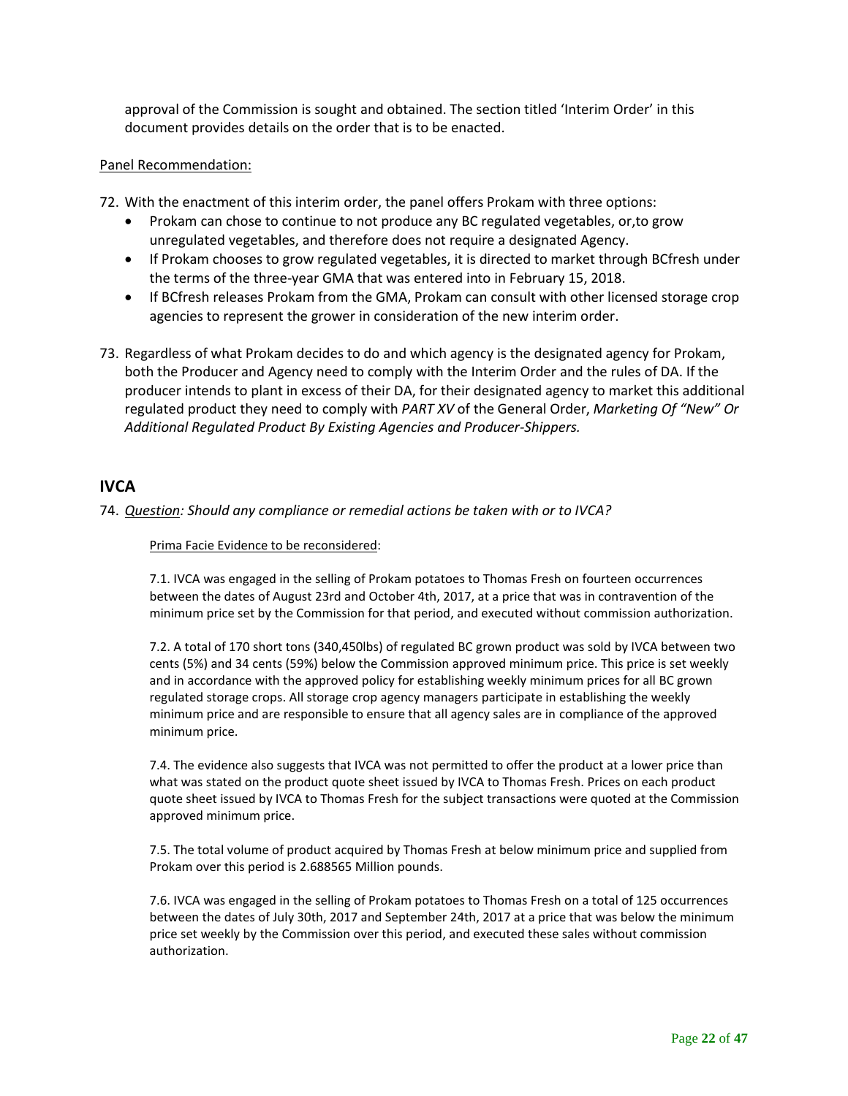approval of the Commission is sought and obtained. The section titled 'Interim Order' in this document provides details on the order that is to be enacted.

### Panel Recommendation:

72. With the enactment of this interim order, the panel offers Prokam with three options:

- Prokam can chose to continue to not produce any BC regulated vegetables, or,to grow unregulated vegetables, and therefore does not require a designated Agency.
- If Prokam chooses to grow regulated vegetables, it is directed to market through BCfresh under the terms of the three-year GMA that was entered into in February 15, 2018.
- If BCfresh releases Prokam from the GMA, Prokam can consult with other licensed storage crop agencies to represent the grower in consideration of the new interim order.
- 73. Regardless of what Prokam decides to do and which agency is the designated agency for Prokam, both the Producer and Agency need to comply with the Interim Order and the rules of DA. If the producer intends to plant in excess of their DA, for their designated agency to market this additional regulated product they need to comply with *PART XV* of the General Order, *Marketing Of "New" Or Additional Regulated Product By Existing Agencies and Producer-Shippers.*

## <span id="page-21-0"></span>**IVCA**

74. *Question: Should any compliance or remedial actions be taken with or to IVCA?*

Prima Facie Evidence to be reconsidered:

7.1. IVCA was engaged in the selling of Prokam potatoes to Thomas Fresh on fourteen occurrences between the dates of August 23rd and October 4th, 2017, at a price that was in contravention of the minimum price set by the Commission for that period, and executed without commission authorization.

7.2. A total of 170 short tons (340,450lbs) of regulated BC grown product was sold by IVCA between two cents (5%) and 34 cents (59%) below the Commission approved minimum price. This price is set weekly and in accordance with the approved policy for establishing weekly minimum prices for all BC grown regulated storage crops. All storage crop agency managers participate in establishing the weekly minimum price and are responsible to ensure that all agency sales are in compliance of the approved minimum price.

7.4. The evidence also suggests that IVCA was not permitted to offer the product at a lower price than what was stated on the product quote sheet issued by IVCA to Thomas Fresh. Prices on each product quote sheet issued by IVCA to Thomas Fresh for the subject transactions were quoted at the Commission approved minimum price.

7.5. The total volume of product acquired by Thomas Fresh at below minimum price and supplied from Prokam over this period is 2.688565 Million pounds.

7.6. IVCA was engaged in the selling of Prokam potatoes to Thomas Fresh on a total of 125 occurrences between the dates of July 30th, 2017 and September 24th, 2017 at a price that was below the minimum price set weekly by the Commission over this period, and executed these sales without commission authorization.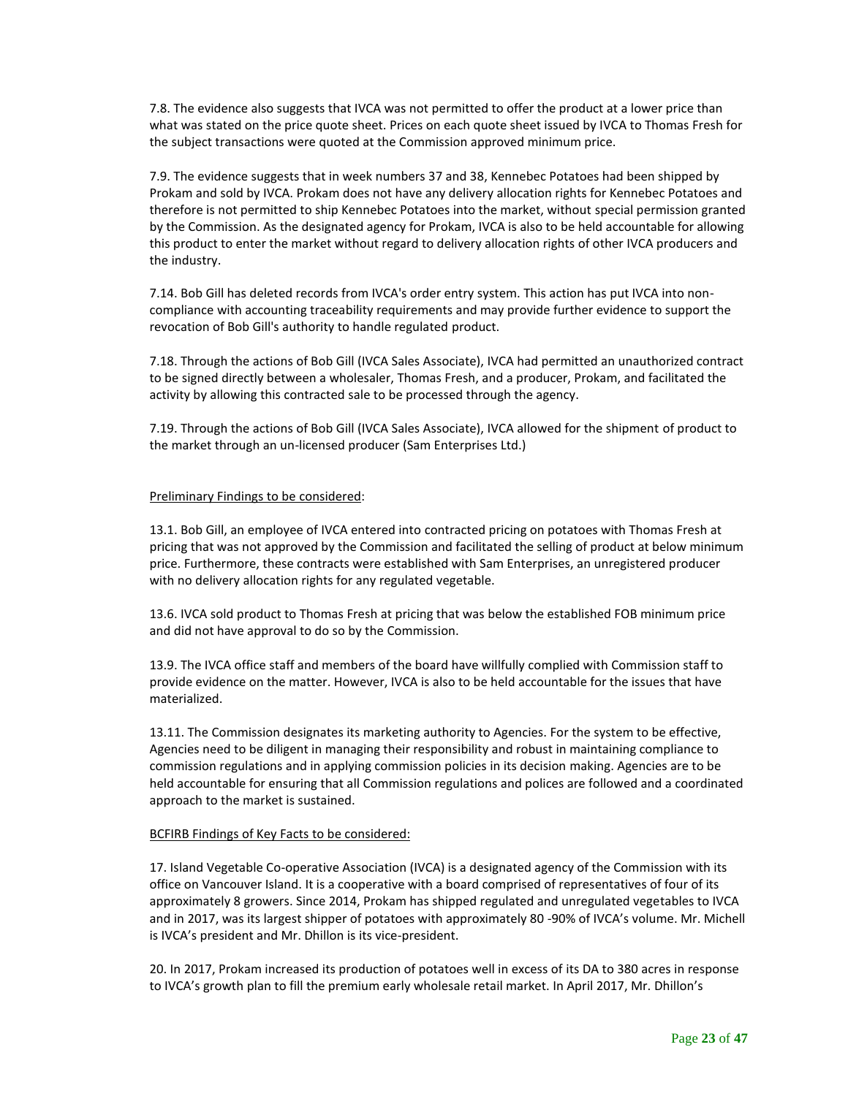7.8. The evidence also suggests that IVCA was not permitted to offer the product at a lower price than what was stated on the price quote sheet. Prices on each quote sheet issued by IVCA to Thomas Fresh for the subject transactions were quoted at the Commission approved minimum price.

7.9. The evidence suggests that in week numbers 37 and 38, Kennebec Potatoes had been shipped by Prokam and sold by IVCA. Prokam does not have any delivery allocation rights for Kennebec Potatoes and therefore is not permitted to ship Kennebec Potatoes into the market, without special permission granted by the Commission. As the designated agency for Prokam, IVCA is also to be held accountable for allowing this product to enter the market without regard to delivery allocation rights of other IVCA producers and the industry.

7.14. Bob Gill has deleted records from IVCA's order entry system. This action has put IVCA into noncompliance with accounting traceability requirements and may provide further evidence to support the revocation of Bob Gill's authority to handle regulated product.

7.18. Through the actions of Bob Gill (IVCA Sales Associate), IVCA had permitted an unauthorized contract to be signed directly between a wholesaler, Thomas Fresh, and a producer, Prokam, and facilitated the activity by allowing this contracted sale to be processed through the agency.

7.19. Through the actions of Bob Gill (IVCA Sales Associate), IVCA allowed for the shipment of product to the market through an un-licensed producer (Sam Enterprises Ltd.)

#### Preliminary Findings to be considered:

13.1. Bob Gill, an employee of IVCA entered into contracted pricing on potatoes with Thomas Fresh at pricing that was not approved by the Commission and facilitated the selling of product at below minimum price. Furthermore, these contracts were established with Sam Enterprises, an unregistered producer with no delivery allocation rights for any regulated vegetable.

13.6. IVCA sold product to Thomas Fresh at pricing that was below the established FOB minimum price and did not have approval to do so by the Commission.

13.9. The IVCA office staff and members of the board have willfully complied with Commission staff to provide evidence on the matter. However, IVCA is also to be held accountable for the issues that have materialized.

13.11. The Commission designates its marketing authority to Agencies. For the system to be effective, Agencies need to be diligent in managing their responsibility and robust in maintaining compliance to commission regulations and in applying commission policies in its decision making. Agencies are to be held accountable for ensuring that all Commission regulations and polices are followed and a coordinated approach to the market is sustained.

#### BCFIRB Findings of Key Facts to be considered:

17. Island Vegetable Co-operative Association (IVCA) is a designated agency of the Commission with its office on Vancouver Island. It is a cooperative with a board comprised of representatives of four of its approximately 8 growers. Since 2014, Prokam has shipped regulated and unregulated vegetables to IVCA and in 2017, was its largest shipper of potatoes with approximately 80 -90% of IVCA's volume. Mr. Michell is IVCA's president and Mr. Dhillon is its vice-president.

20. In 2017, Prokam increased its production of potatoes well in excess of its DA to 380 acres in response to IVCA's growth plan to fill the premium early wholesale retail market. In April 2017, Mr. Dhillon's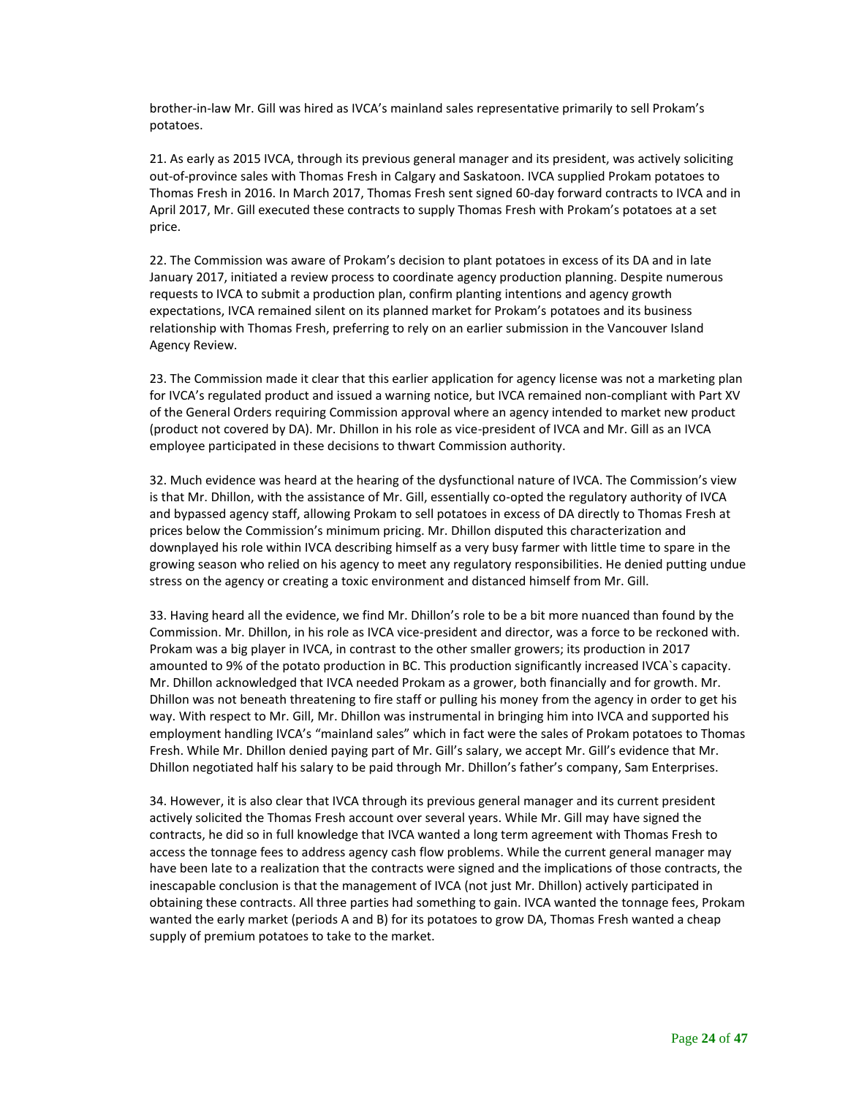brother-in-law Mr. Gill was hired as IVCA's mainland sales representative primarily to sell Prokam's potatoes.

21. As early as 2015 IVCA, through its previous general manager and its president, was actively soliciting out-of-province sales with Thomas Fresh in Calgary and Saskatoon. IVCA supplied Prokam potatoes to Thomas Fresh in 2016. In March 2017, Thomas Fresh sent signed 60-day forward contracts to IVCA and in April 2017, Mr. Gill executed these contracts to supply Thomas Fresh with Prokam's potatoes at a set price.

22. The Commission was aware of Prokam's decision to plant potatoes in excess of its DA and in late January 2017, initiated a review process to coordinate agency production planning. Despite numerous requests to IVCA to submit a production plan, confirm planting intentions and agency growth expectations, IVCA remained silent on its planned market for Prokam's potatoes and its business relationship with Thomas Fresh, preferring to rely on an earlier submission in the Vancouver Island Agency Review.

23. The Commission made it clear that this earlier application for agency license was not a marketing plan for IVCA's regulated product and issued a warning notice, but IVCA remained non-compliant with Part XV of the General Orders requiring Commission approval where an agency intended to market new product (product not covered by DA). Mr. Dhillon in his role as vice-president of IVCA and Mr. Gill as an IVCA employee participated in these decisions to thwart Commission authority.

32. Much evidence was heard at the hearing of the dysfunctional nature of IVCA. The Commission's view is that Mr. Dhillon, with the assistance of Mr. Gill, essentially co-opted the regulatory authority of IVCA and bypassed agency staff, allowing Prokam to sell potatoes in excess of DA directly to Thomas Fresh at prices below the Commission's minimum pricing. Mr. Dhillon disputed this characterization and downplayed his role within IVCA describing himself as a very busy farmer with little time to spare in the growing season who relied on his agency to meet any regulatory responsibilities. He denied putting undue stress on the agency or creating a toxic environment and distanced himself from Mr. Gill.

33. Having heard all the evidence, we find Mr. Dhillon's role to be a bit more nuanced than found by the Commission. Mr. Dhillon, in his role as IVCA vice-president and director, was a force to be reckoned with. Prokam was a big player in IVCA, in contrast to the other smaller growers; its production in 2017 amounted to 9% of the potato production in BC. This production significantly increased IVCA`s capacity. Mr. Dhillon acknowledged that IVCA needed Prokam as a grower, both financially and for growth. Mr. Dhillon was not beneath threatening to fire staff or pulling his money from the agency in order to get his way. With respect to Mr. Gill, Mr. Dhillon was instrumental in bringing him into IVCA and supported his employment handling IVCA's "mainland sales" which in fact were the sales of Prokam potatoes to Thomas Fresh. While Mr. Dhillon denied paying part of Mr. Gill's salary, we accept Mr. Gill's evidence that Mr. Dhillon negotiated half his salary to be paid through Mr. Dhillon's father's company, Sam Enterprises.

34. However, it is also clear that IVCA through its previous general manager and its current president actively solicited the Thomas Fresh account over several years. While Mr. Gill may have signed the contracts, he did so in full knowledge that IVCA wanted a long term agreement with Thomas Fresh to access the tonnage fees to address agency cash flow problems. While the current general manager may have been late to a realization that the contracts were signed and the implications of those contracts, the inescapable conclusion is that the management of IVCA (not just Mr. Dhillon) actively participated in obtaining these contracts. All three parties had something to gain. IVCA wanted the tonnage fees, Prokam wanted the early market (periods A and B) for its potatoes to grow DA, Thomas Fresh wanted a cheap supply of premium potatoes to take to the market.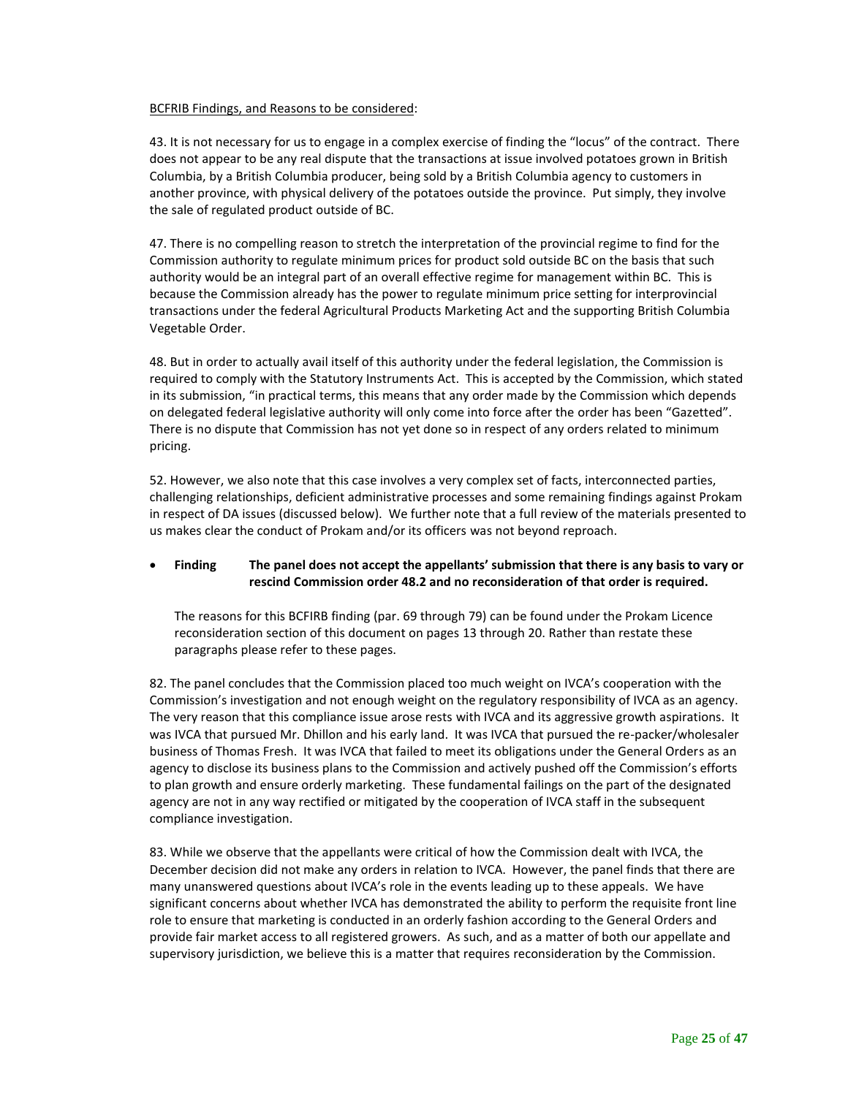#### BCFRIB Findings, and Reasons to be considered:

43. It is not necessary for us to engage in a complex exercise of finding the "locus" of the contract. There does not appear to be any real dispute that the transactions at issue involved potatoes grown in British Columbia, by a British Columbia producer, being sold by a British Columbia agency to customers in another province, with physical delivery of the potatoes outside the province. Put simply, they involve the sale of regulated product outside of BC.

47. There is no compelling reason to stretch the interpretation of the provincial regime to find for the Commission authority to regulate minimum prices for product sold outside BC on the basis that such authority would be an integral part of an overall effective regime for management within BC. This is because the Commission already has the power to regulate minimum price setting for interprovincial transactions under the federal Agricultural Products Marketing Act and the supporting British Columbia Vegetable Order.

48. But in order to actually avail itself of this authority under the federal legislation, the Commission is required to comply with the Statutory Instruments Act. This is accepted by the Commission, which stated in its submission, "in practical terms, this means that any order made by the Commission which depends on delegated federal legislative authority will only come into force after the order has been "Gazetted". There is no dispute that Commission has not yet done so in respect of any orders related to minimum pricing.

52. However, we also note that this case involves a very complex set of facts, interconnected parties, challenging relationships, deficient administrative processes and some remaining findings against Prokam in respect of DA issues (discussed below). We further note that a full review of the materials presented to us makes clear the conduct of Prokam and/or its officers was not beyond reproach.

### • **Finding The panel does not accept the appellants' submission that there is any basis to vary or rescind Commission order 48.2 and no reconsideration of that order is required.**

The reasons for this BCFIRB finding (par. 69 through 79) can be found under the Prokam Licence reconsideration section of this document on pages 13 through 20. Rather than restate these paragraphs please refer to these pages.

82. The panel concludes that the Commission placed too much weight on IVCA's cooperation with the Commission's investigation and not enough weight on the regulatory responsibility of IVCA as an agency. The very reason that this compliance issue arose rests with IVCA and its aggressive growth aspirations. It was IVCA that pursued Mr. Dhillon and his early land. It was IVCA that pursued the re-packer/wholesaler business of Thomas Fresh. It was IVCA that failed to meet its obligations under the General Orders as an agency to disclose its business plans to the Commission and actively pushed off the Commission's efforts to plan growth and ensure orderly marketing. These fundamental failings on the part of the designated agency are not in any way rectified or mitigated by the cooperation of IVCA staff in the subsequent compliance investigation.

83. While we observe that the appellants were critical of how the Commission dealt with IVCA, the December decision did not make any orders in relation to IVCA. However, the panel finds that there are many unanswered questions about IVCA's role in the events leading up to these appeals. We have significant concerns about whether IVCA has demonstrated the ability to perform the requisite front line role to ensure that marketing is conducted in an orderly fashion according to the General Orders and provide fair market access to all registered growers. As such, and as a matter of both our appellate and supervisory jurisdiction, we believe this is a matter that requires reconsideration by the Commission.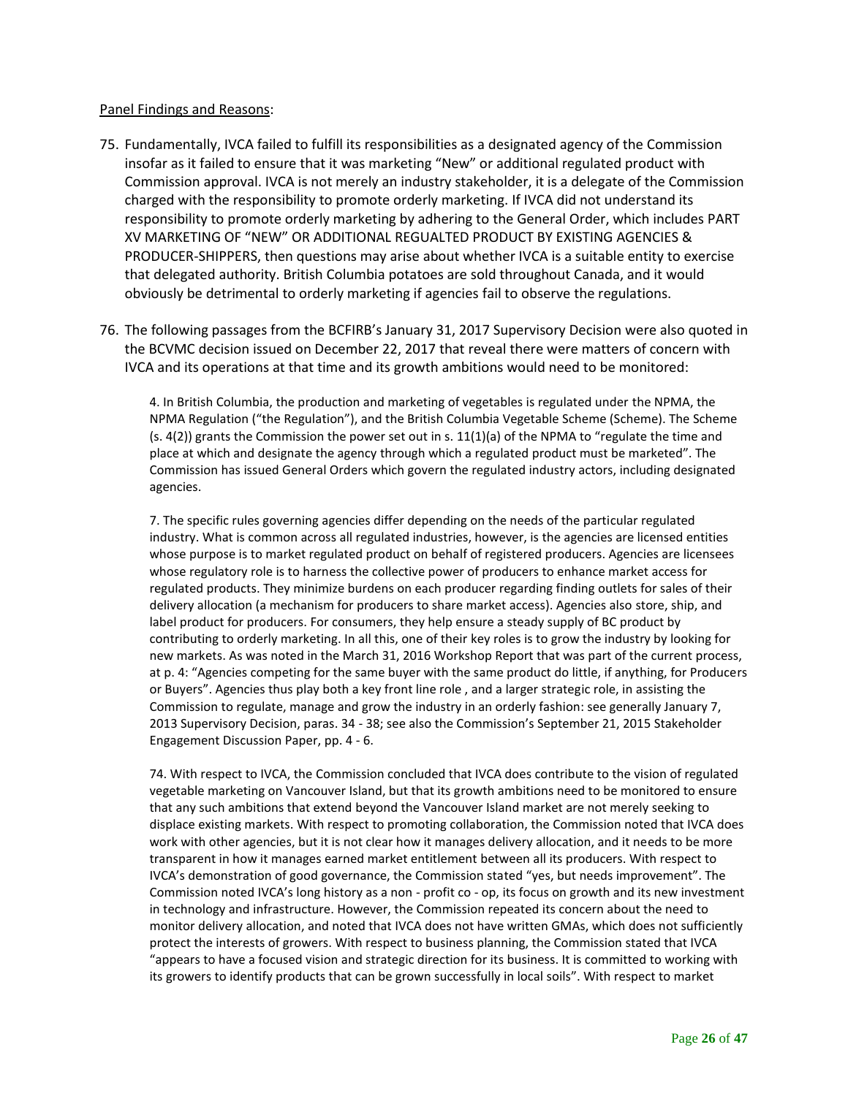### Panel Findings and Reasons:

- 75. Fundamentally, IVCA failed to fulfill its responsibilities as a designated agency of the Commission insofar as it failed to ensure that it was marketing "New" or additional regulated product with Commission approval. IVCA is not merely an industry stakeholder, it is a delegate of the Commission charged with the responsibility to promote orderly marketing. If IVCA did not understand its responsibility to promote orderly marketing by adhering to the General Order, which includes PART XV MARKETING OF "NEW" OR ADDITIONAL REGUALTED PRODUCT BY EXISTING AGENCIES & PRODUCER-SHIPPERS, then questions may arise about whether IVCA is a suitable entity to exercise that delegated authority. British Columbia potatoes are sold throughout Canada, and it would obviously be detrimental to orderly marketing if agencies fail to observe the regulations.
- 76. The following passages from the BCFIRB's January 31, 2017 Supervisory Decision were also quoted in the BCVMC decision issued on December 22, 2017 that reveal there were matters of concern with IVCA and its operations at that time and its growth ambitions would need to be monitored:

4. In British Columbia, the production and marketing of vegetables is regulated under the NPMA, the NPMA Regulation ("the Regulation"), and the British Columbia Vegetable Scheme (Scheme). The Scheme  $(s. 4(2))$  grants the Commission the power set out in s. 11(1)(a) of the NPMA to "regulate the time and place at which and designate the agency through which a regulated product must be marketed". The Commission has issued General Orders which govern the regulated industry actors, including designated agencies.

7. The specific rules governing agencies differ depending on the needs of the particular regulated industry. What is common across all regulated industries, however, is the agencies are licensed entities whose purpose is to market regulated product on behalf of registered producers. Agencies are licensees whose regulatory role is to harness the collective power of producers to enhance market access for regulated products. They minimize burdens on each producer regarding finding outlets for sales of their delivery allocation (a mechanism for producers to share market access). Agencies also store, ship, and label product for producers. For consumers, they help ensure a steady supply of BC product by contributing to orderly marketing. In all this, one of their key roles is to grow the industry by looking for new markets. As was noted in the March 31, 2016 Workshop Report that was part of the current process, at p. 4: "Agencies competing for the same buyer with the same product do little, if anything, for Producers or Buyers". Agencies thus play both a key front line role , and a larger strategic role, in assisting the Commission to regulate, manage and grow the industry in an orderly fashion: see generally January 7, 2013 Supervisory Decision, paras. 34 - 38; see also the Commission's September 21, 2015 Stakeholder Engagement Discussion Paper, pp. 4 - 6.

74. With respect to IVCA, the Commission concluded that IVCA does contribute to the vision of regulated vegetable marketing on Vancouver Island, but that its growth ambitions need to be monitored to ensure that any such ambitions that extend beyond the Vancouver Island market are not merely seeking to displace existing markets. With respect to promoting collaboration, the Commission noted that IVCA does work with other agencies, but it is not clear how it manages delivery allocation, and it needs to be more transparent in how it manages earned market entitlement between all its producers. With respect to IVCA's demonstration of good governance, the Commission stated "yes, but needs improvement". The Commission noted IVCA's long history as a non - profit co - op, its focus on growth and its new investment in technology and infrastructure. However, the Commission repeated its concern about the need to monitor delivery allocation, and noted that IVCA does not have written GMAs, which does not sufficiently protect the interests of growers. With respect to business planning, the Commission stated that IVCA "appears to have a focused vision and strategic direction for its business. It is committed to working with its growers to identify products that can be grown successfully in local soils". With respect to market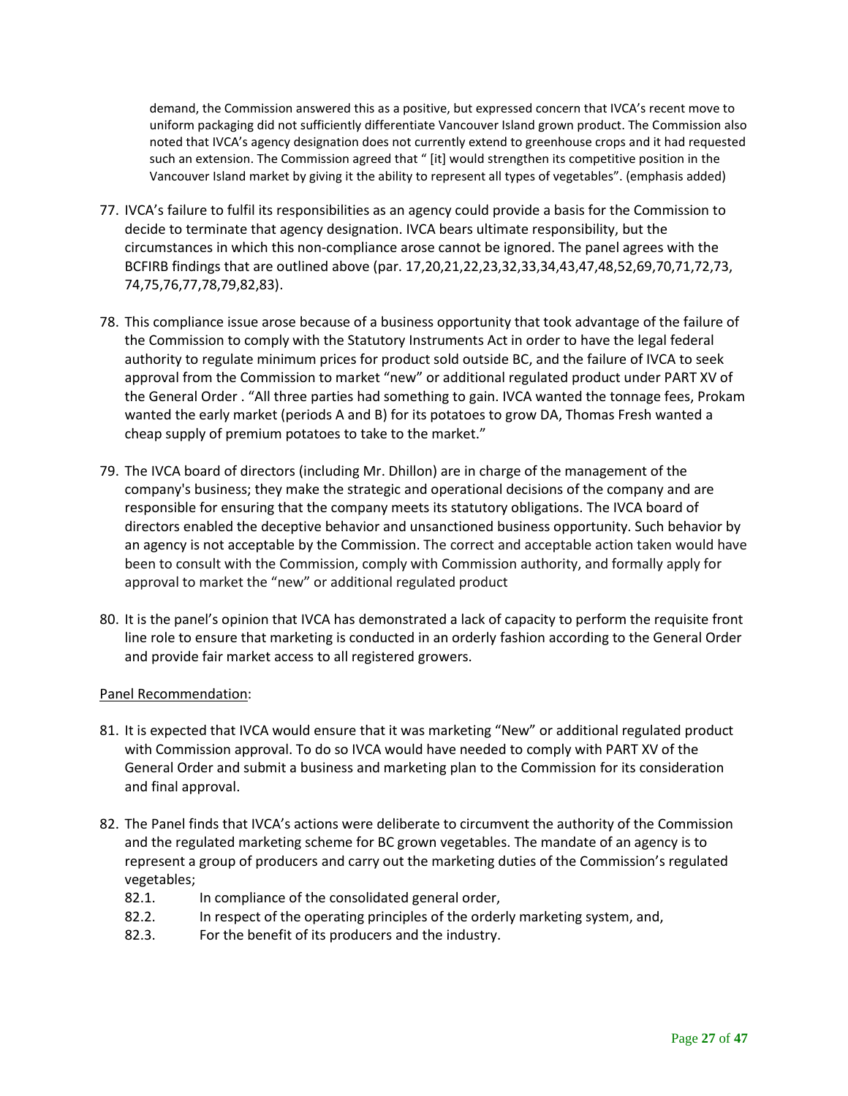demand, the Commission answered this as a positive, but expressed concern that IVCA's recent move to uniform packaging did not sufficiently differentiate Vancouver Island grown product. The Commission also noted that IVCA's agency designation does not currently extend to greenhouse crops and it had requested such an extension. The Commission agreed that " [it] would strengthen its competitive position in the Vancouver Island market by giving it the ability to represent all types of vegetables". (emphasis added)

- 77. IVCA's failure to fulfil its responsibilities as an agency could provide a basis for the Commission to decide to terminate that agency designation. IVCA bears ultimate responsibility, but the circumstances in which this non-compliance arose cannot be ignored. The panel agrees with the BCFIRB findings that are outlined above (par. 17,20,21,22,23,32,33,34,43,47,48,52,69,70,71,72,73, 74,75,76,77,78,79,82,83).
- 78. This compliance issue arose because of a business opportunity that took advantage of the failure of the Commission to comply with the Statutory Instruments Act in order to have the legal federal authority to regulate minimum prices for product sold outside BC, and the failure of IVCA to seek approval from the Commission to market "new" or additional regulated product under PART XV of the General Order . "All three parties had something to gain. IVCA wanted the tonnage fees, Prokam wanted the early market (periods A and B) for its potatoes to grow DA, Thomas Fresh wanted a cheap supply of premium potatoes to take to the market."
- 79. The IVCA board of directors (including Mr. Dhillon) are in charge of the management of the company's business; they make the strategic and operational decisions of the company and are responsible for ensuring that the company meets its statutory obligations. The IVCA board of directors enabled the deceptive behavior and unsanctioned business opportunity. Such behavior by an agency is not acceptable by the Commission. The correct and acceptable action taken would have been to consult with the Commission, comply with Commission authority, and formally apply for approval to market the "new" or additional regulated product
- 80. It is the panel's opinion that IVCA has demonstrated a lack of capacity to perform the requisite front line role to ensure that marketing is conducted in an orderly fashion according to the General Order and provide fair market access to all registered growers.

## Panel Recommendation:

- 81. It is expected that IVCA would ensure that it was marketing "New" or additional regulated product with Commission approval. To do so IVCA would have needed to comply with PART XV of the General Order and submit a business and marketing plan to the Commission for its consideration and final approval.
- 82. The Panel finds that IVCA's actions were deliberate to circumvent the authority of the Commission and the regulated marketing scheme for BC grown vegetables. The mandate of an agency is to represent a group of producers and carry out the marketing duties of the Commission's regulated vegetables;
	- 82.1. In compliance of the consolidated general order,
	- 82.2. In respect of the operating principles of the orderly marketing system, and,
	- 82.3. For the benefit of its producers and the industry.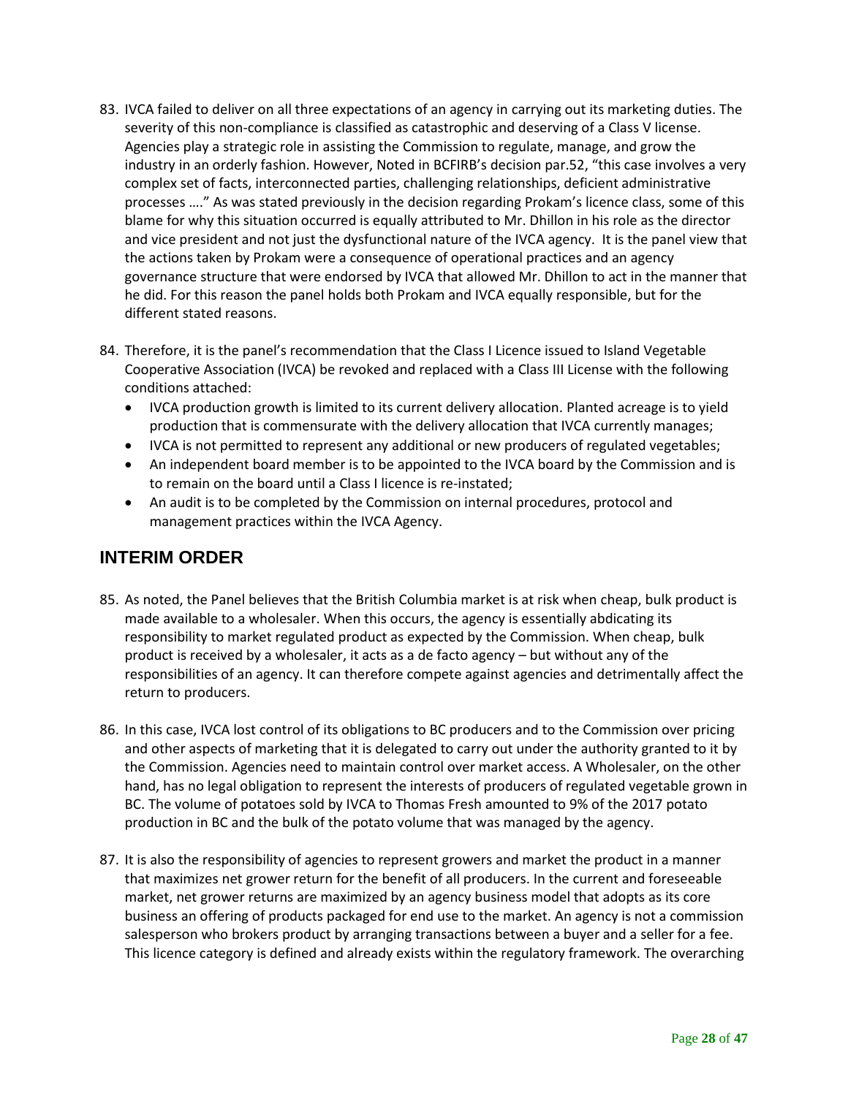- 83. IVCA failed to deliver on all three expectations of an agency in carrying out its marketing duties. The severity of this non-compliance is classified as catastrophic and deserving of a Class V license. Agencies play a strategic role in assisting the Commission to regulate, manage, and grow the industry in an orderly fashion. However, Noted in BCFIRB's decision par.52, "this case involves a very complex set of facts, interconnected parties, challenging relationships, deficient administrative processes …." As was stated previously in the decision regarding Prokam's licence class, some of this blame for why this situation occurred is equally attributed to Mr. Dhillon in his role as the director and vice president and not just the dysfunctional nature of the IVCA agency. It is the panel view that the actions taken by Prokam were a consequence of operational practices and an agency governance structure that were endorsed by IVCA that allowed Mr. Dhillon to act in the manner that he did. For this reason the panel holds both Prokam and IVCA equally responsible, but for the different stated reasons.
- 84. Therefore, it is the panel's recommendation that the Class I Licence issued to Island Vegetable Cooperative Association (IVCA) be revoked and replaced with a Class III License with the following conditions attached:
	- IVCA production growth is limited to its current delivery allocation. Planted acreage is to yield production that is commensurate with the delivery allocation that IVCA currently manages;
	- IVCA is not permitted to represent any additional or new producers of regulated vegetables;
	- An independent board member is to be appointed to the IVCA board by the Commission and is to remain on the board until a Class I licence is re-instated;
	- An audit is to be completed by the Commission on internal procedures, protocol and management practices within the IVCA Agency.

# <span id="page-27-0"></span>**INTERIM ORDER**

- 85. As noted, the Panel believes that the British Columbia market is at risk when cheap, bulk product is made available to a wholesaler. When this occurs, the agency is essentially abdicating its responsibility to market regulated product as expected by the Commission. When cheap, bulk product is received by a wholesaler, it acts as a de facto agency – but without any of the responsibilities of an agency. It can therefore compete against agencies and detrimentally affect the return to producers.
- 86. In this case, IVCA lost control of its obligations to BC producers and to the Commission over pricing and other aspects of marketing that it is delegated to carry out under the authority granted to it by the Commission. Agencies need to maintain control over market access. A Wholesaler, on the other hand, has no legal obligation to represent the interests of producers of regulated vegetable grown in BC. The volume of potatoes sold by IVCA to Thomas Fresh amounted to 9% of the 2017 potato production in BC and the bulk of the potato volume that was managed by the agency.
- 87. It is also the responsibility of agencies to represent growers and market the product in a manner that maximizes net grower return for the benefit of all producers. In the current and foreseeable market, net grower returns are maximized by an agency business model that adopts as its core business an offering of products packaged for end use to the market. An agency is not a commission salesperson who brokers product by arranging transactions between a buyer and a seller for a fee. This licence category is defined and already exists within the regulatory framework. The overarching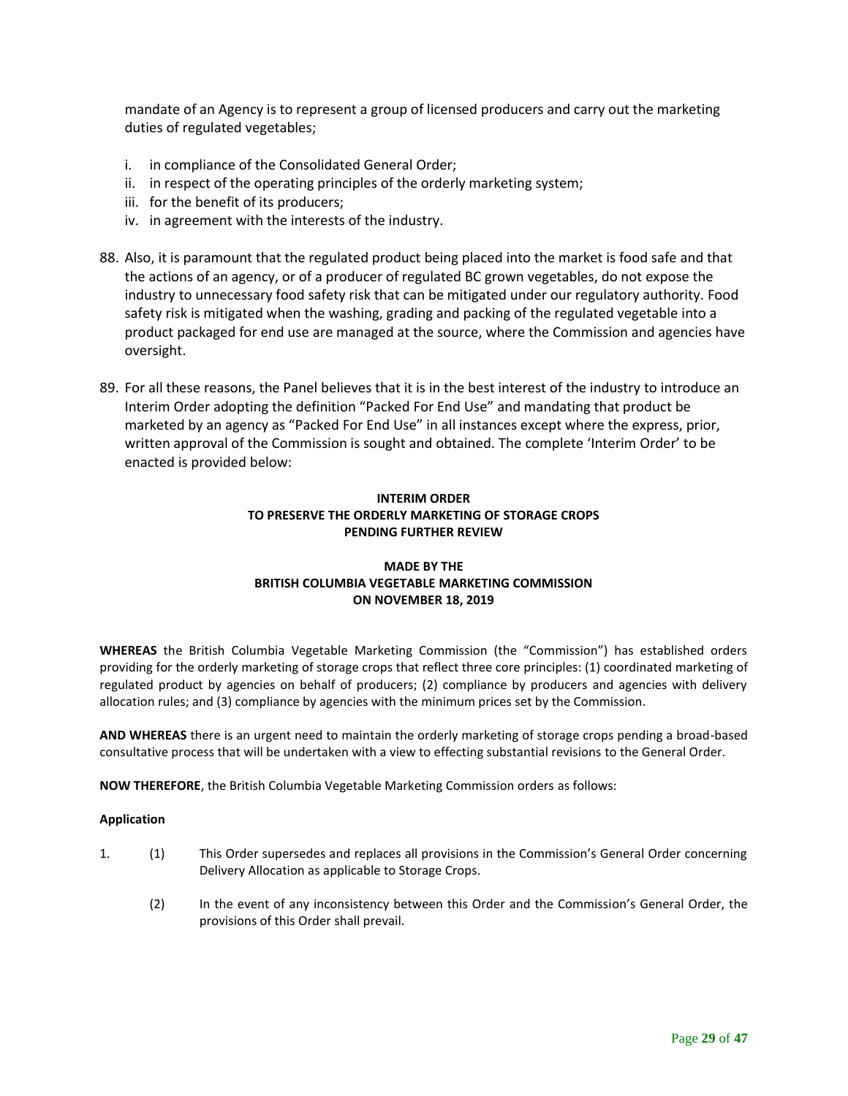mandate of an Agency is to represent a group of licensed producers and carry out the marketing duties of regulated vegetables;

- i. in compliance of the Consolidated General Order;
- ii. in respect of the operating principles of the orderly marketing system;
- iii. for the benefit of its producers;
- iv. in agreement with the interests of the industry.
- 88. Also, it is paramount that the regulated product being placed into the market is food safe and that the actions of an agency, or of a producer of regulated BC grown vegetables, do not expose the industry to unnecessary food safety risk that can be mitigated under our regulatory authority. Food safety risk is mitigated when the washing, grading and packing of the regulated vegetable into a product packaged for end use are managed at the source, where the Commission and agencies have oversight.
- 89. For all these reasons, the Panel believes that it is in the best interest of the industry to introduce an Interim Order adopting the definition "Packed For End Use" and mandating that product be marketed by an agency as "Packed For End Use" in all instances except where the express, prior, written approval of the Commission is sought and obtained. The complete 'Interim Order' to be enacted is provided below:

## **INTERIM ORDER TO PRESERVE THE ORDERLY MARKETING OF STORAGE CROPS PENDING FURTHER REVIEW**

### **MADE BY THE BRITISH COLUMBIA VEGETABLE MARKETING COMMISSION ON NOVEMBER 18, 2019**

**WHEREAS** the British Columbia Vegetable Marketing Commission (the "Commission") has established orders providing for the orderly marketing of storage crops that reflect three core principles: (1) coordinated marketing of regulated product by agencies on behalf of producers; (2) compliance by producers and agencies with delivery allocation rules; and (3) compliance by agencies with the minimum prices set by the Commission.

**AND WHEREAS** there is an urgent need to maintain the orderly marketing of storage crops pending a broad-based consultative process that will be undertaken with a view to effecting substantial revisions to the General Order.

**NOW THEREFORE**, the British Columbia Vegetable Marketing Commission orders as follows:

### **Application**

- 1. (1) This Order supersedes and replaces all provisions in the Commission's General Order concerning Delivery Allocation as applicable to Storage Crops.
	- (2) In the event of any inconsistency between this Order and the Commission's General Order, the provisions of this Order shall prevail.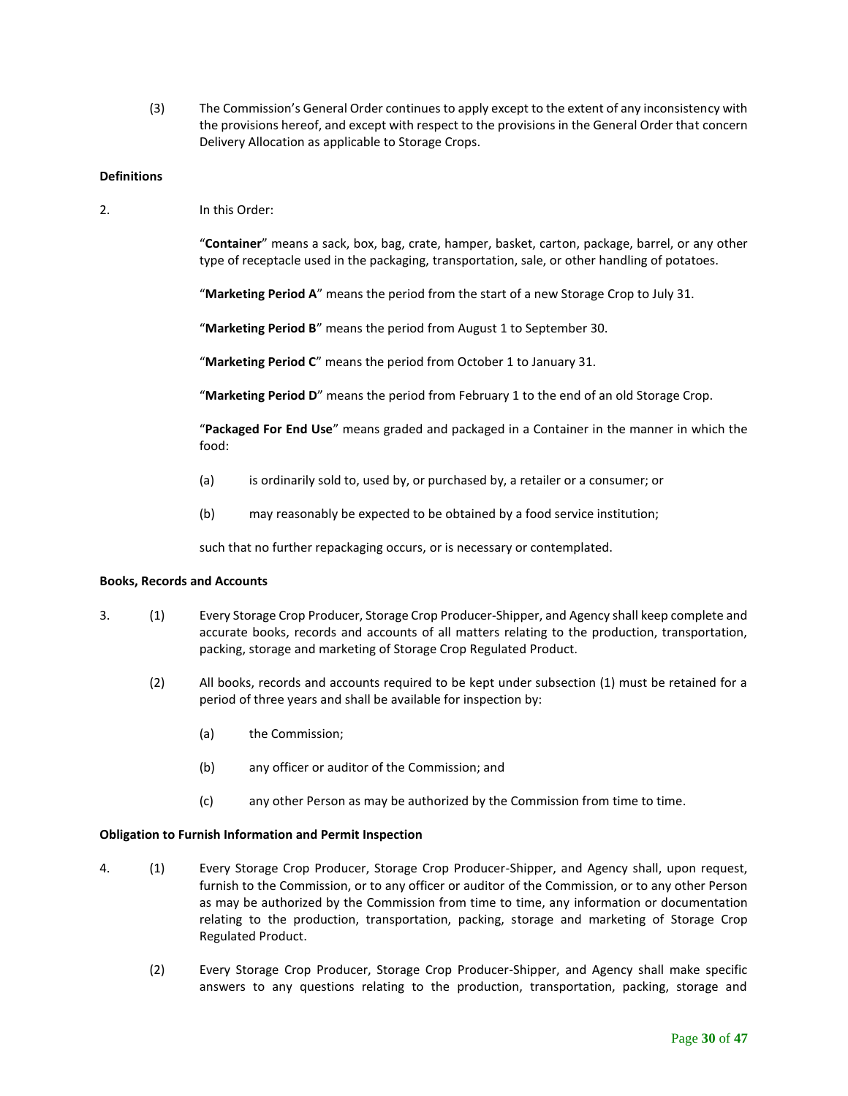(3) The Commission's General Order continues to apply except to the extent of any inconsistency with the provisions hereof, and except with respect to the provisions in the General Order that concern Delivery Allocation as applicable to Storage Crops.

#### **Definitions**

2. In this Order:

"**Container**" means a sack, box, bag, crate, hamper, basket, carton, package, barrel, or any other type of receptacle used in the packaging, transportation, sale, or other handling of potatoes.

"**Marketing Period A**" means the period from the start of a new Storage Crop to July 31.

"**Marketing Period B**" means the period from August 1 to September 30.

"**Marketing Period C**" means the period from October 1 to January 31.

"**Marketing Period D**" means the period from February 1 to the end of an old Storage Crop.

"**Packaged For End Use**" means graded and packaged in a Container in the manner in which the food:

- (a) is ordinarily sold to, used by, or purchased by, a retailer or a consumer; or
- (b) may reasonably be expected to be obtained by a food service institution;

such that no further repackaging occurs, or is necessary or contemplated.

#### **Books, Records and Accounts**

- 3. (1) Every Storage Crop Producer, Storage Crop Producer-Shipper, and Agency shall keep complete and accurate books, records and accounts of all matters relating to the production, transportation, packing, storage and marketing of Storage Crop Regulated Product.
	- (2) All books, records and accounts required to be kept under subsection (1) must be retained for a period of three years and shall be available for inspection by:
		- (a) the Commission;
		- (b) any officer or auditor of the Commission; and
		- (c) any other Person as may be authorized by the Commission from time to time.

#### **Obligation to Furnish Information and Permit Inspection**

- 4. (1) Every Storage Crop Producer, Storage Crop Producer-Shipper, and Agency shall, upon request, furnish to the Commission, or to any officer or auditor of the Commission, or to any other Person as may be authorized by the Commission from time to time, any information or documentation relating to the production, transportation, packing, storage and marketing of Storage Crop Regulated Product.
	- (2) Every Storage Crop Producer, Storage Crop Producer-Shipper, and Agency shall make specific answers to any questions relating to the production, transportation, packing, storage and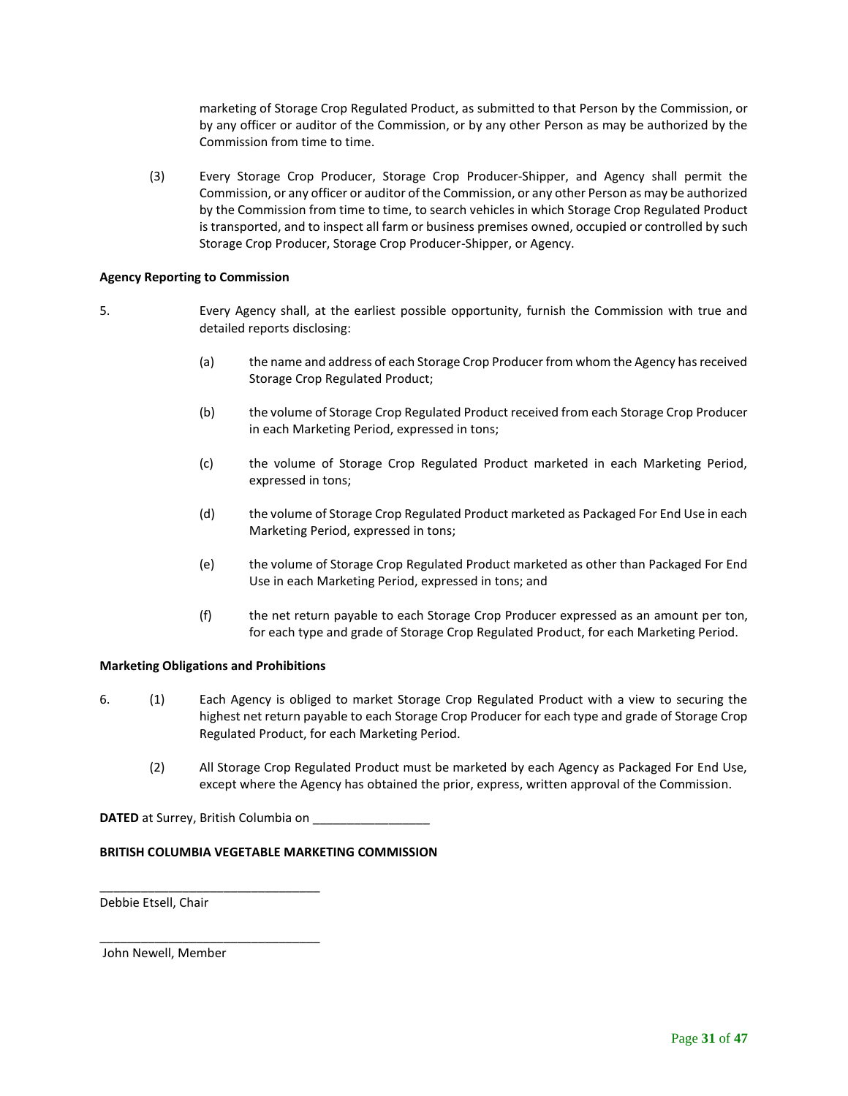marketing of Storage Crop Regulated Product, as submitted to that Person by the Commission, or by any officer or auditor of the Commission, or by any other Person as may be authorized by the Commission from time to time.

(3) Every Storage Crop Producer, Storage Crop Producer-Shipper, and Agency shall permit the Commission, or any officer or auditor of the Commission, or any other Person as may be authorized by the Commission from time to time, to search vehicles in which Storage Crop Regulated Product is transported, and to inspect all farm or business premises owned, occupied or controlled by such Storage Crop Producer, Storage Crop Producer-Shipper, or Agency.

#### **Agency Reporting to Commission**

- 5. Every Agency shall, at the earliest possible opportunity, furnish the Commission with true and detailed reports disclosing:
	- (a) the name and address of each Storage Crop Producer from whom the Agency has received Storage Crop Regulated Product;
	- (b) the volume of Storage Crop Regulated Product received from each Storage Crop Producer in each Marketing Period, expressed in tons;
	- (c) the volume of Storage Crop Regulated Product marketed in each Marketing Period, expressed in tons;
	- (d) the volume of Storage Crop Regulated Product marketed as Packaged For End Use in each Marketing Period, expressed in tons;
	- (e) the volume of Storage Crop Regulated Product marketed as other than Packaged For End Use in each Marketing Period, expressed in tons; and
	- (f) the net return payable to each Storage Crop Producer expressed as an amount per ton, for each type and grade of Storage Crop Regulated Product, for each Marketing Period.

#### **Marketing Obligations and Prohibitions**

- 6. (1) Each Agency is obliged to market Storage Crop Regulated Product with a view to securing the highest net return payable to each Storage Crop Producer for each type and grade of Storage Crop Regulated Product, for each Marketing Period.
	- (2) All Storage Crop Regulated Product must be marketed by each Agency as Packaged For End Use, except where the Agency has obtained the prior, express, written approval of the Commission.

**DATED** at Surrey, British Columbia on

\_\_\_\_\_\_\_\_\_\_\_\_\_\_\_\_\_\_\_\_\_\_\_\_\_\_\_\_\_\_\_\_

\_\_\_\_\_\_\_\_\_\_\_\_\_\_\_\_\_\_\_\_\_\_\_\_\_\_\_\_\_\_\_\_

### **BRITISH COLUMBIA VEGETABLE MARKETING COMMISSION**

Debbie Etsell, Chair

John Newell, Member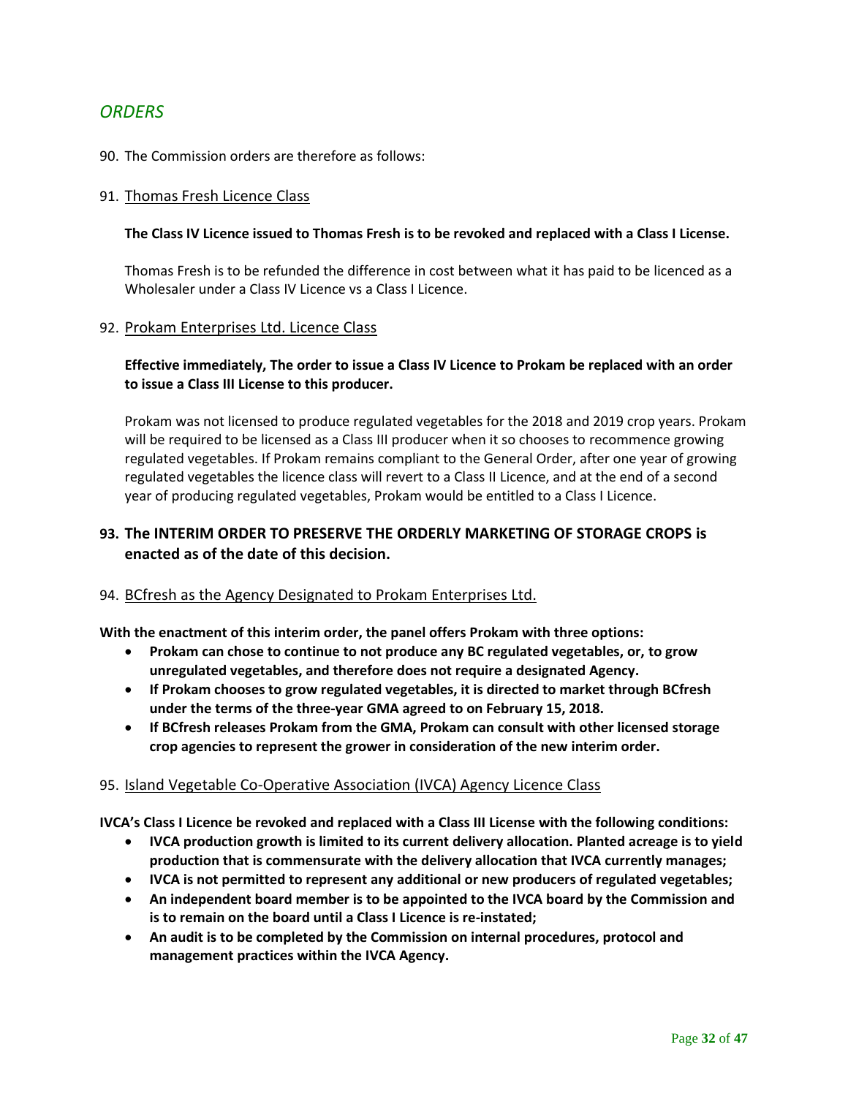# <span id="page-31-0"></span>*ORDERS*

### 90. The Commission orders are therefore as follows:

### 91. Thomas Fresh Licence Class

### **The Class IV Licence issued to Thomas Fresh is to be revoked and replaced with a Class I License.**

Thomas Fresh is to be refunded the difference in cost between what it has paid to be licenced as a Wholesaler under a Class IV Licence vs a Class I Licence.

### 92. Prokam Enterprises Ltd. Licence Class

## **Effective immediately, The order to issue a Class IV Licence to Prokam be replaced with an order to issue a Class III License to this producer.**

Prokam was not licensed to produce regulated vegetables for the 2018 and 2019 crop years. Prokam will be required to be licensed as a Class III producer when it so chooses to recommence growing regulated vegetables. If Prokam remains compliant to the General Order, after one year of growing regulated vegetables the licence class will revert to a Class II Licence, and at the end of a second year of producing regulated vegetables, Prokam would be entitled to a Class I Licence.

## **93. The INTERIM ORDER TO PRESERVE THE ORDERLY MARKETING OF STORAGE CROPS is enacted as of the date of this decision.**

## 94. BCfresh as the Agency Designated to Prokam Enterprises Ltd.

**With the enactment of this interim order, the panel offers Prokam with three options:**

- **Prokam can chose to continue to not produce any BC regulated vegetables, or, to grow unregulated vegetables, and therefore does not require a designated Agency.**
- **If Prokam chooses to grow regulated vegetables, it is directed to market through BCfresh under the terms of the three-year GMA agreed to on February 15, 2018.**
- **If BCfresh releases Prokam from the GMA, Prokam can consult with other licensed storage crop agencies to represent the grower in consideration of the new interim order.**

### 95. Island Vegetable Co-Operative Association (IVCA) Agency Licence Class

**IVCA's Class I Licence be revoked and replaced with a Class III License with the following conditions:**

- **IVCA production growth is limited to its current delivery allocation. Planted acreage is to yield production that is commensurate with the delivery allocation that IVCA currently manages;**
- **IVCA is not permitted to represent any additional or new producers of regulated vegetables;**
- **An independent board member is to be appointed to the IVCA board by the Commission and is to remain on the board until a Class I Licence is re-instated;**
- **An audit is to be completed by the Commission on internal procedures, protocol and management practices within the IVCA Agency.**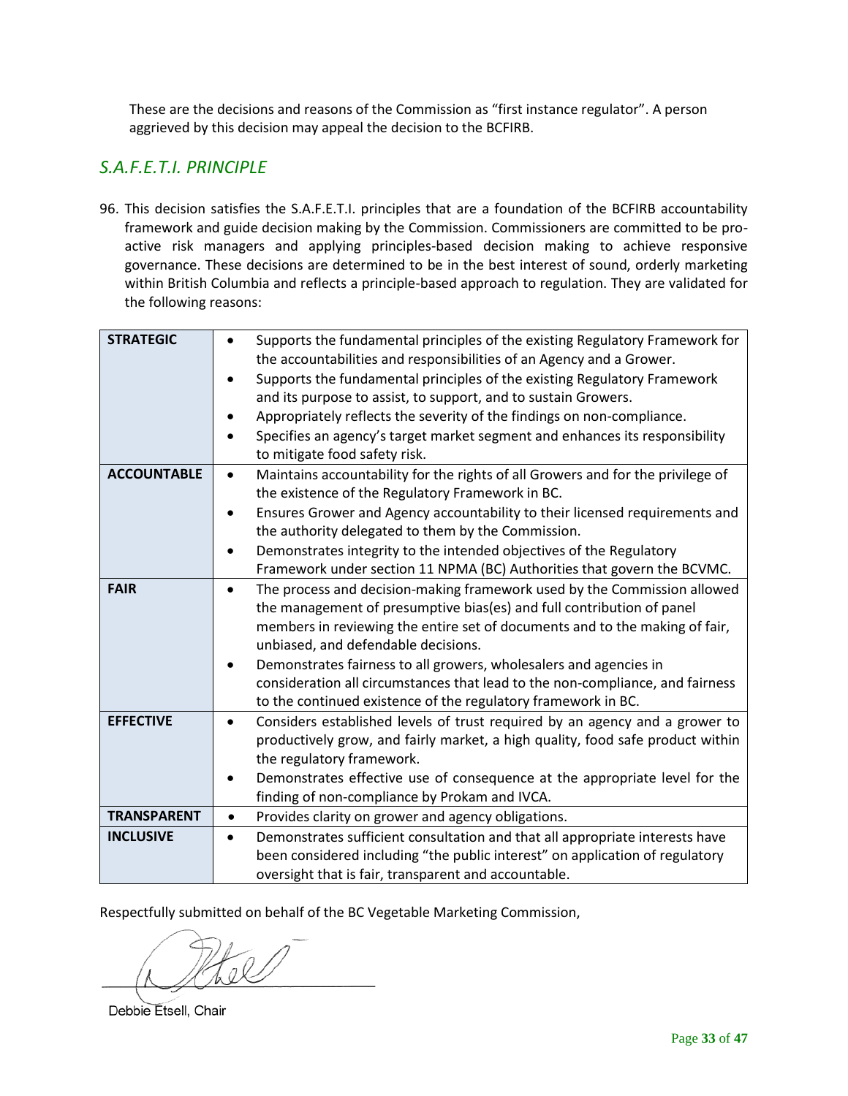These are the decisions and reasons of the Commission as "first instance regulator". A person aggrieved by this decision may appeal the decision to the BCFIRB.

# <span id="page-32-0"></span>*S.A.F.E.T.I. PRINCIPLE*

96. This decision satisfies the S.A.F.E.T.I. principles that are a foundation of the BCFIRB accountability framework and guide decision making by the Commission. Commissioners are committed to be proactive risk managers and applying principles-based decision making to achieve responsive governance. These decisions are determined to be in the best interest of sound, orderly marketing within British Columbia and reflects a principle-based approach to regulation. They are validated for the following reasons:

| <b>STRATEGIC</b>   | Supports the fundamental principles of the existing Regulatory Framework for<br>the accountabilities and responsibilities of an Agency and a Grower. |
|--------------------|------------------------------------------------------------------------------------------------------------------------------------------------------|
|                    | Supports the fundamental principles of the existing Regulatory Framework                                                                             |
|                    |                                                                                                                                                      |
|                    | and its purpose to assist, to support, and to sustain Growers.                                                                                       |
|                    | Appropriately reflects the severity of the findings on non-compliance.                                                                               |
|                    | Specifies an agency's target market segment and enhances its responsibility                                                                          |
|                    | to mitigate food safety risk.                                                                                                                        |
| <b>ACCOUNTABLE</b> | Maintains accountability for the rights of all Growers and for the privilege of<br>$\bullet$                                                         |
|                    | the existence of the Regulatory Framework in BC.                                                                                                     |
|                    | Ensures Grower and Agency accountability to their licensed requirements and<br>$\bullet$                                                             |
|                    | the authority delegated to them by the Commission.                                                                                                   |
|                    | Demonstrates integrity to the intended objectives of the Regulatory                                                                                  |
|                    | Framework under section 11 NPMA (BC) Authorities that govern the BCVMC.                                                                              |
| <b>FAIR</b>        | The process and decision-making framework used by the Commission allowed                                                                             |
|                    | the management of presumptive bias(es) and full contribution of panel                                                                                |
|                    | members in reviewing the entire set of documents and to the making of fair,                                                                          |
|                    | unbiased, and defendable decisions.                                                                                                                  |
|                    | Demonstrates fairness to all growers, wholesalers and agencies in                                                                                    |
|                    | consideration all circumstances that lead to the non-compliance, and fairness                                                                        |
|                    | to the continued existence of the regulatory framework in BC.                                                                                        |
| <b>EFFECTIVE</b>   | Considers established levels of trust required by an agency and a grower to<br>$\bullet$                                                             |
|                    | productively grow, and fairly market, a high quality, food safe product within                                                                       |
|                    | the regulatory framework.                                                                                                                            |
|                    | Demonstrates effective use of consequence at the appropriate level for the                                                                           |
|                    | finding of non-compliance by Prokam and IVCA.                                                                                                        |
| <b>TRANSPARENT</b> | Provides clarity on grower and agency obligations.<br>$\bullet$                                                                                      |
| <b>INCLUSIVE</b>   | Demonstrates sufficient consultation and that all appropriate interests have<br>$\bullet$                                                            |
|                    | been considered including "the public interest" on application of regulatory                                                                         |
|                    | oversight that is fair, transparent and accountable.                                                                                                 |
|                    |                                                                                                                                                      |

Respectfully submitted on behalf of the BC Vegetable Marketing Commission,

 $-\sqrt{N}$ 

Debbie Etsell, Chair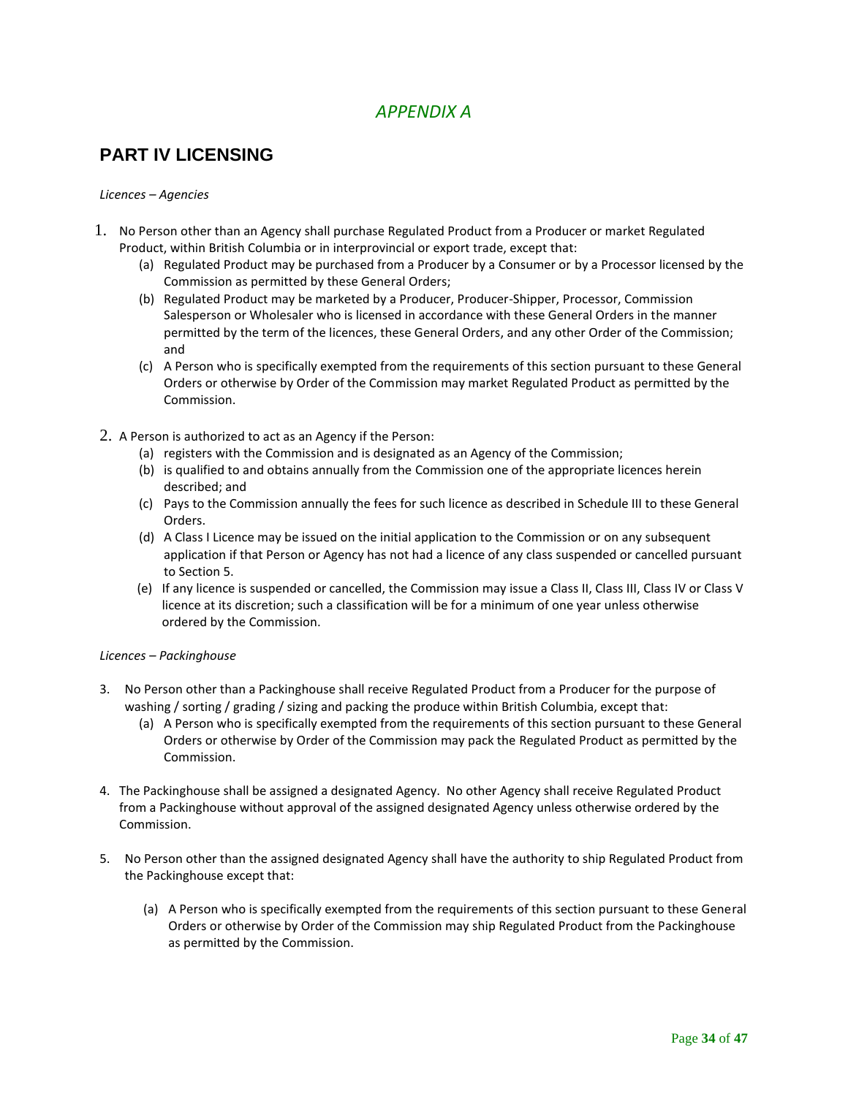# *APPENDIX A*

# <span id="page-33-1"></span><span id="page-33-0"></span>**PART IV LICENSING**

#### *Licences – Agencies*

- 1. No Person other than an Agency shall purchase Regulated Product from a Producer or market Regulated Product, within British Columbia or in interprovincial or export trade, except that:
	- (a) Regulated Product may be purchased from a Producer by a Consumer or by a Processor licensed by the Commission as permitted by these General Orders;
	- (b) Regulated Product may be marketed by a Producer, Producer-Shipper, Processor, Commission Salesperson or Wholesaler who is licensed in accordance with these General Orders in the manner permitted by the term of the licences, these General Orders, and any other Order of the Commission; and
	- (c) A Person who is specifically exempted from the requirements of this section pursuant to these General Orders or otherwise by Order of the Commission may market Regulated Product as permitted by the Commission.
- 2. A Person is authorized to act as an Agency if the Person:
	- (a) registers with the Commission and is designated as an Agency of the Commission;
	- (b) is qualified to and obtains annually from the Commission one of the appropriate licences herein described; and
	- (c) Pays to the Commission annually the fees for such licence as described in Schedule III to these General Orders.
	- (d) A Class I Licence may be issued on the initial application to the Commission or on any subsequent application if that Person or Agency has not had a licence of any class suspended or cancelled pursuant to Section 5.
	- (e) If any licence is suspended or cancelled, the Commission may issue a Class II, Class III, Class IV or Class V licence at its discretion; such a classification will be for a minimum of one year unless otherwise ordered by the Commission.

### *Licences – Packinghouse*

- 3. No Person other than a Packinghouse shall receive Regulated Product from a Producer for the purpose of washing / sorting / grading / sizing and packing the produce within British Columbia, except that:
	- (a) A Person who is specifically exempted from the requirements of this section pursuant to these General Orders or otherwise by Order of the Commission may pack the Regulated Product as permitted by the Commission.
- 4. The Packinghouse shall be assigned a designated Agency. No other Agency shall receive Regulated Product from a Packinghouse without approval of the assigned designated Agency unless otherwise ordered by the Commission.
- 5. No Person other than the assigned designated Agency shall have the authority to ship Regulated Product from the Packinghouse except that:
	- (a) A Person who is specifically exempted from the requirements of this section pursuant to these General Orders or otherwise by Order of the Commission may ship Regulated Product from the Packinghouse as permitted by the Commission.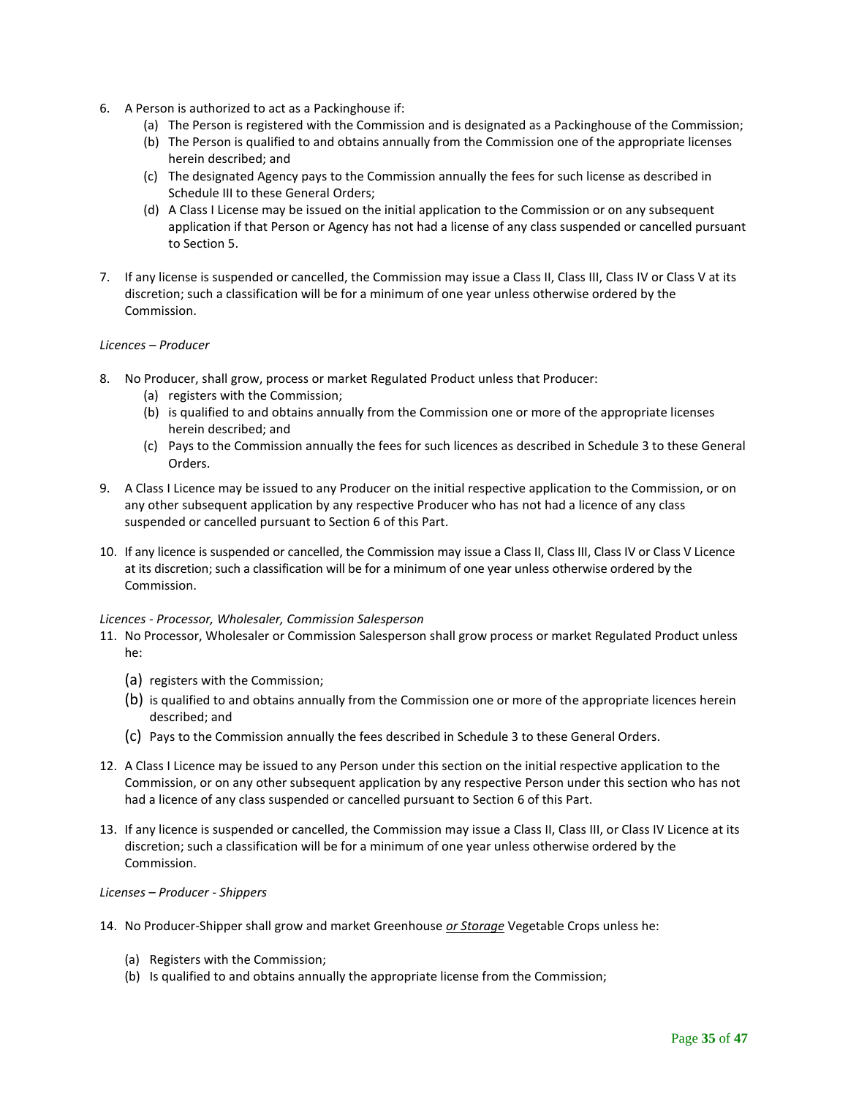- 6. A Person is authorized to act as a Packinghouse if:
	- (a) The Person is registered with the Commission and is designated as a Packinghouse of the Commission;
	- (b) The Person is qualified to and obtains annually from the Commission one of the appropriate licenses herein described; and
	- (c) The designated Agency pays to the Commission annually the fees for such license as described in Schedule III to these General Orders;
	- (d) A Class I License may be issued on the initial application to the Commission or on any subsequent application if that Person or Agency has not had a license of any class suspended or cancelled pursuant to Section 5.
- 7. If any license is suspended or cancelled, the Commission may issue a Class II, Class III, Class IV or Class V at its discretion; such a classification will be for a minimum of one year unless otherwise ordered by the Commission.

#### *Licences – Producer*

- 8. No Producer, shall grow, process or market Regulated Product unless that Producer:
	- (a) registers with the Commission;
	- (b) is qualified to and obtains annually from the Commission one or more of the appropriate licenses herein described; and
	- (c) Pays to the Commission annually the fees for such licences as described in Schedule 3 to these General Orders.
- 9. A Class I Licence may be issued to any Producer on the initial respective application to the Commission, or on any other subsequent application by any respective Producer who has not had a licence of any class suspended or cancelled pursuant to Section 6 of this Part.
- 10. If any licence is suspended or cancelled, the Commission may issue a Class II, Class III, Class IV or Class V Licence at its discretion; such a classification will be for a minimum of one year unless otherwise ordered by the Commission.

#### *Licences - Processor, Wholesaler, Commission Salesperson*

- 11. No Processor, Wholesaler or Commission Salesperson shall grow process or market Regulated Product unless he:
	- (a) registers with the Commission;
	- (b) is qualified to and obtains annually from the Commission one or more of the appropriate licences herein described; and
	- (c) Pays to the Commission annually the fees described in Schedule 3 to these General Orders.
- 12. A Class I Licence may be issued to any Person under this section on the initial respective application to the Commission, or on any other subsequent application by any respective Person under this section who has not had a licence of any class suspended or cancelled pursuant to Section 6 of this Part.
- 13. If any licence is suspended or cancelled, the Commission may issue a Class II, Class III, or Class IV Licence at its discretion; such a classification will be for a minimum of one year unless otherwise ordered by the Commission.

#### *Licenses – Producer - Shippers*

- 14. No Producer-Shipper shall grow and market Greenhouse *or Storage* Vegetable Crops unless he:
	- (a) Registers with the Commission;
	- (b) Is qualified to and obtains annually the appropriate license from the Commission;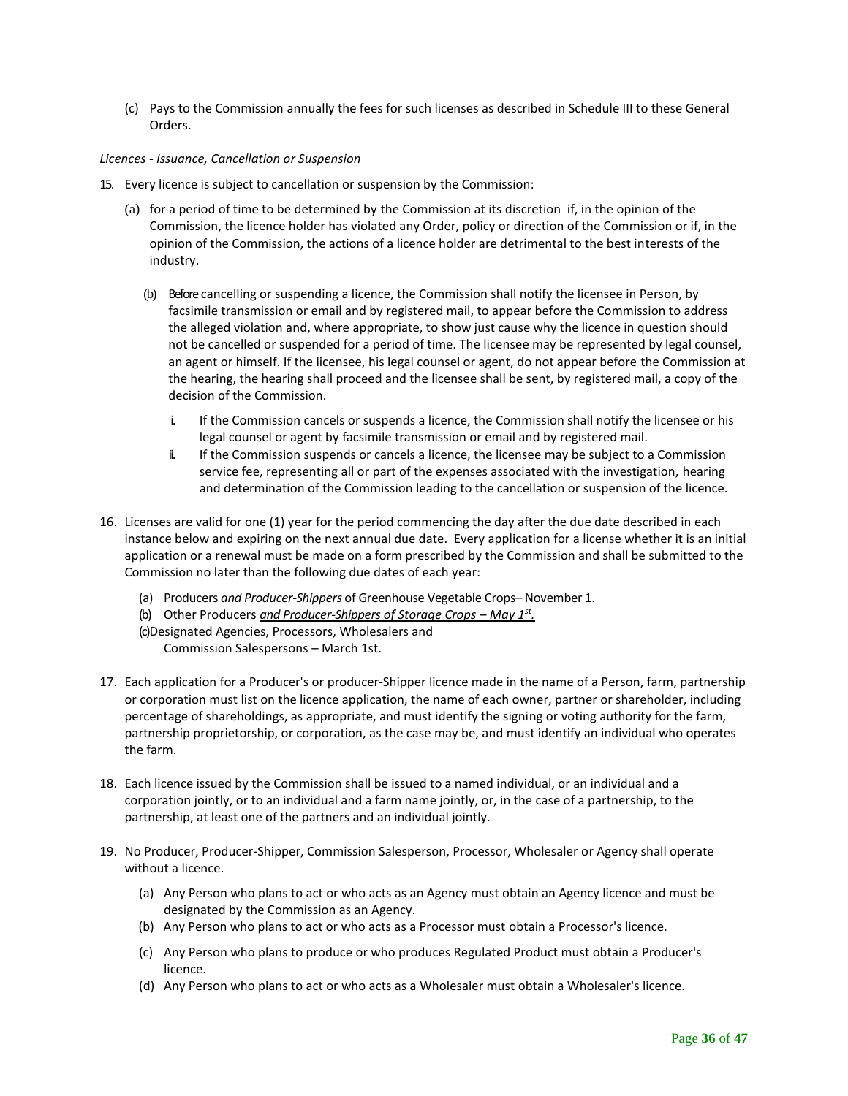(c) Pays to the Commission annually the fees for such licenses as described in Schedule III to these General Orders.

#### *Licences - Issuance, Cancellation or Suspension*

- 15. Every licence is subject to cancellation or suspension by the Commission:
	- (a) for a period of time to be determined by the Commission at its discretion if, in the opinion of the Commission, the licence holder has violated any Order, policy or direction of the Commission or if, in the opinion of the Commission, the actions of a licence holder are detrimental to the best interests of the industry.
		- (b) Before cancelling or suspending a licence, the Commission shall notify the licensee in Person, by facsimile transmission or email and by registered mail, to appear before the Commission to address the alleged violation and, where appropriate, to show just cause why the licence in question should not be cancelled or suspended for a period of time. The licensee may be represented by legal counsel, an agent or himself. If the licensee, his legal counsel or agent, do not appear before the Commission at the hearing, the hearing shall proceed and the licensee shall be sent, by registered mail, a copy of the decision of the Commission.
			- i. If the Commission cancels or suspends a licence, the Commission shall notify the licensee or his legal counsel or agent by facsimile transmission or email and by registered mail.
			- ii. If the Commission suspends or cancels a licence, the licensee may be subject to a Commission service fee, representing all or part of the expenses associated with the investigation, hearing and determination of the Commission leading to the cancellation or suspension of the licence.
- 16. Licenses are valid for one (1) year for the period commencing the day after the due date described in each instance below and expiring on the next annual due date. Every application for a license whether it is an initial application or a renewal must be made on a form prescribed by the Commission and shall be submitted to the Commission no later than the following due dates of each year:
	- (a) Producers *and Producer-Shippers* of Greenhouse Vegetable Crops– November 1.
	- (b) Other Producers *and Producer-Shippers of Storage Crops – May 1st .*
	- (c)Designated Agencies, Processors, Wholesalers and
		- Commission Salespersons March 1st.
- 17. Each application for a Producer's or producer-Shipper licence made in the name of a Person, farm, partnership or corporation must list on the licence application, the name of each owner, partner or shareholder, including percentage of shareholdings, as appropriate, and must identify the signing or voting authority for the farm, partnership proprietorship, or corporation, as the case may be, and must identify an individual who operates the farm.
- 18. Each licence issued by the Commission shall be issued to a named individual, or an individual and a corporation jointly, or to an individual and a farm name jointly, or, in the case of a partnership, to the partnership, at least one of the partners and an individual jointly.
- 19. No Producer, Producer-Shipper, Commission Salesperson, Processor, Wholesaler or Agency shall operate without a licence.
	- (a) Any Person who plans to act or who acts as an Agency must obtain an Agency licence and must be designated by the Commission as an Agency.
	- (b) Any Person who plans to act or who acts as a Processor must obtain a Processor's licence.
	- (c) Any Person who plans to produce or who produces Regulated Product must obtain a Producer's licence.
	- (d) Any Person who plans to act or who acts as a Wholesaler must obtain a Wholesaler's licence.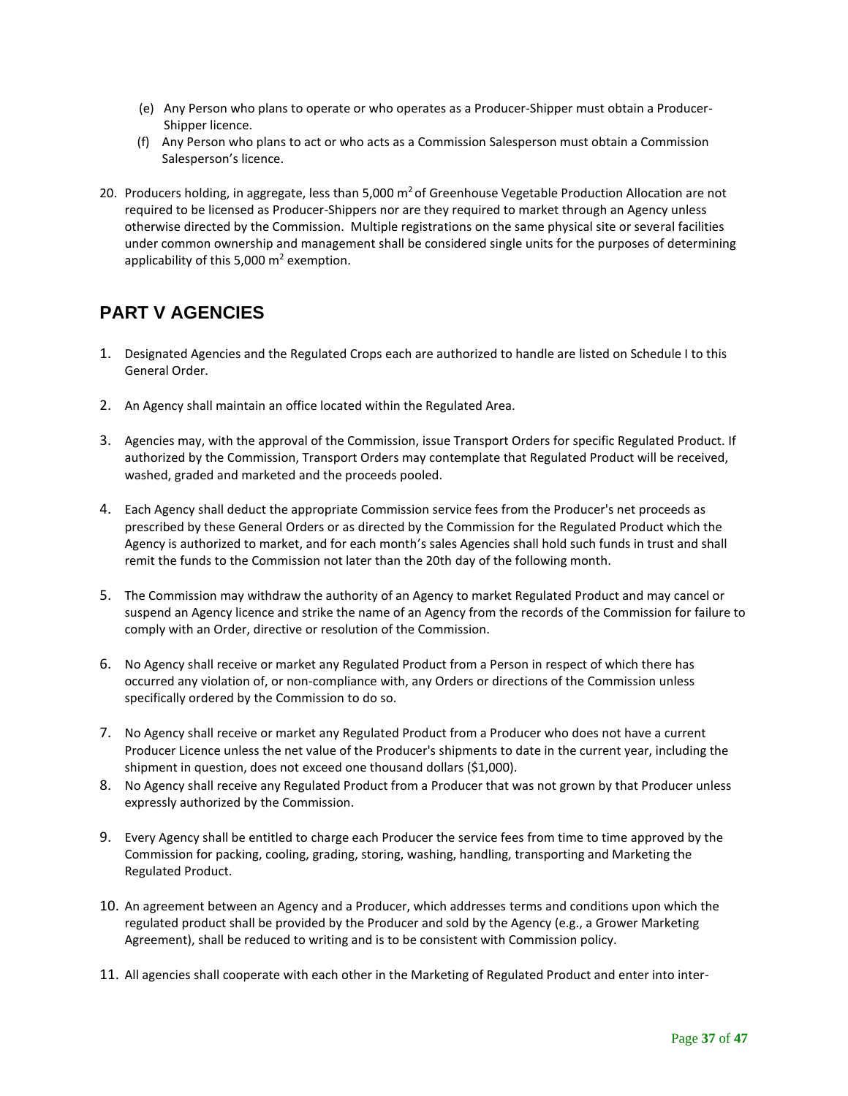- (e) Any Person who plans to operate or who operates as a Producer-Shipper must obtain a Producer-Shipper licence.
- (f) Any Person who plans to act or who acts as a Commission Salesperson must obtain a Commission Salesperson's licence.
- 20. Producers holding, in aggregate, less than 5,000  $m^2$  of Greenhouse Vegetable Production Allocation are not required to be licensed as Producer-Shippers nor are they required to market through an Agency unless otherwise directed by the Commission. Multiple registrations on the same physical site or several facilities under common ownership and management shall be considered single units for the purposes of determining applicability of this 5,000  $m^2$  exemption.

# <span id="page-36-0"></span>**PART V AGENCIES**

- 1. Designated Agencies and the Regulated Crops each are authorized to handle are listed on Schedule I to this General Order.
- 2. An Agency shall maintain an office located within the Regulated Area.
- 3. Agencies may, with the approval of the Commission, issue Transport Orders for specific Regulated Product. If authorized by the Commission, Transport Orders may contemplate that Regulated Product will be received, washed, graded and marketed and the proceeds pooled.
- 4. Each Agency shall deduct the appropriate Commission service fees from the Producer's net proceeds as prescribed by these General Orders or as directed by the Commission for the Regulated Product which the Agency is authorized to market, and for each month's sales Agencies shall hold such funds in trust and shall remit the funds to the Commission not later than the 20th day of the following month.
- 5. The Commission may withdraw the authority of an Agency to market Regulated Product and may cancel or suspend an Agency licence and strike the name of an Agency from the records of the Commission for failure to comply with an Order, directive or resolution of the Commission.
- 6. No Agency shall receive or market any Regulated Product from a Person in respect of which there has occurred any violation of, or non-compliance with, any Orders or directions of the Commission unless specifically ordered by the Commission to do so.
- 7. No Agency shall receive or market any Regulated Product from a Producer who does not have a current Producer Licence unless the net value of the Producer's shipments to date in the current year, including the shipment in question, does not exceed one thousand dollars (\$1,000).
- 8. No Agency shall receive any Regulated Product from a Producer that was not grown by that Producer unless expressly authorized by the Commission.
- 9. Every Agency shall be entitled to charge each Producer the service fees from time to time approved by the Commission for packing, cooling, grading, storing, washing, handling, transporting and Marketing the Regulated Product.
- 10. An agreement between an Agency and a Producer, which addresses terms and conditions upon which the regulated product shall be provided by the Producer and sold by the Agency (e.g., a Grower Marketing Agreement), shall be reduced to writing and is to be consistent with Commission policy.
- 11. All agencies shall cooperate with each other in the Marketing of Regulated Product and enter into inter-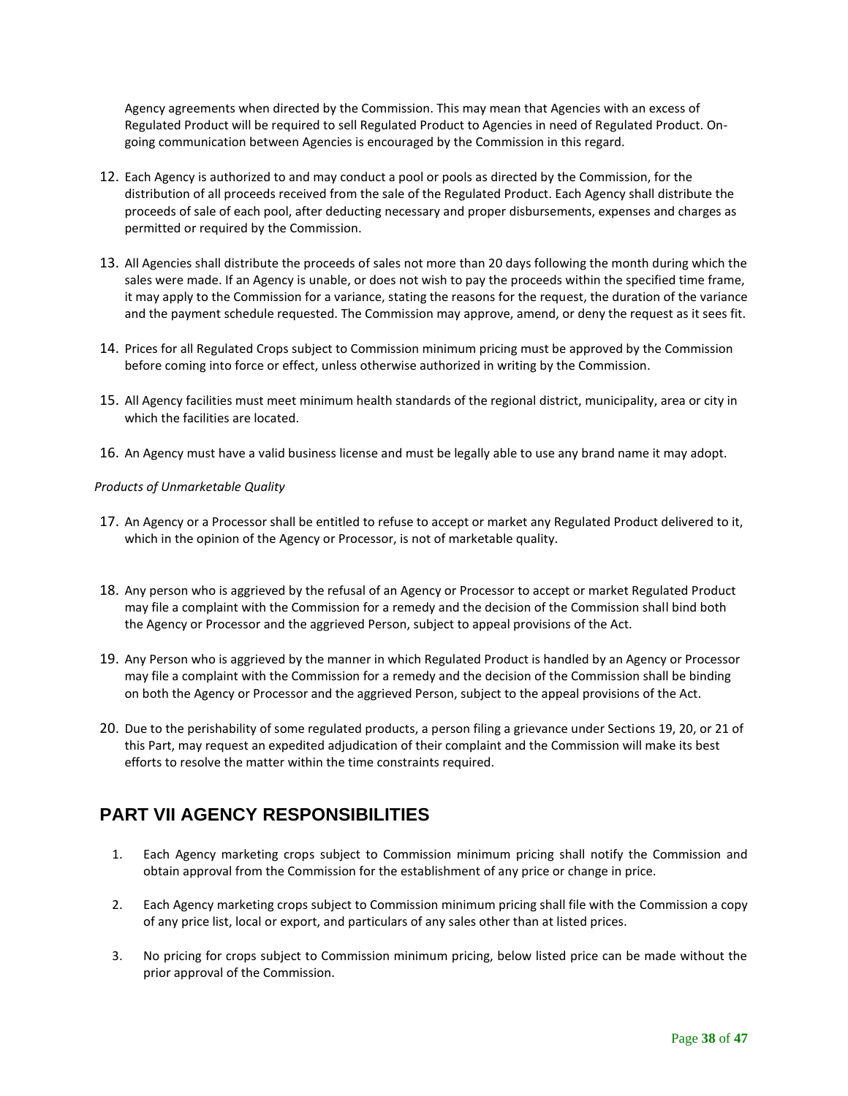Agency agreements when directed by the Commission. This may mean that Agencies with an excess of Regulated Product will be required to sell Regulated Product to Agencies in need of Regulated Product. Ongoing communication between Agencies is encouraged by the Commission in this regard.

- 12. Each Agency is authorized to and may conduct a pool or pools as directed by the Commission, for the distribution of all proceeds received from the sale of the Regulated Product. Each Agency shall distribute the proceeds of sale of each pool, after deducting necessary and proper disbursements, expenses and charges as permitted or required by the Commission.
- 13. All Agencies shall distribute the proceeds of sales not more than 20 days following the month during which the sales were made. If an Agency is unable, or does not wish to pay the proceeds within the specified time frame, it may apply to the Commission for a variance, stating the reasons for the request, the duration of the variance and the payment schedule requested. The Commission may approve, amend, or deny the request as it sees fit.
- 14. Prices for all Regulated Crops subject to Commission minimum pricing must be approved by the Commission before coming into force or effect, unless otherwise authorized in writing by the Commission.
- 15. All Agency facilities must meet minimum health standards of the regional district, municipality, area or city in which the facilities are located.
- 16. An Agency must have a valid business license and must be legally able to use any brand name it may adopt.

#### *Products of Unmarketable Quality*

- 17. An Agency or a Processor shall be entitled to refuse to accept or market any Regulated Product delivered to it, which in the opinion of the Agency or Processor, is not of marketable quality.
- 18. Any person who is aggrieved by the refusal of an Agency or Processor to accept or market Regulated Product may file a complaint with the Commission for a remedy and the decision of the Commission shall bind both the Agency or Processor and the aggrieved Person, subject to appeal provisions of the Act.
- 19. Any Person who is aggrieved by the manner in which Regulated Product is handled by an Agency or Processor may file a complaint with the Commission for a remedy and the decision of the Commission shall be binding on both the Agency or Processor and the aggrieved Person, subject to the appeal provisions of the Act.
- 20. Due to the perishability of some regulated products, a person filing a grievance under Sections 19, 20, or 21 of this Part, may request an expedited adjudication of their complaint and the Commission will make its best efforts to resolve the matter within the time constraints required.

# <span id="page-37-0"></span>**PART VII AGENCY RESPONSIBILITIES**

- 1. Each Agency marketing crops subject to Commission minimum pricing shall notify the Commission and obtain approval from the Commission for the establishment of any price or change in price.
- 2. Each Agency marketing crops subject to Commission minimum pricing shall file with the Commission a copy of any price list, local or export, and particulars of any sales other than at listed prices.
- 3. No pricing for crops subject to Commission minimum pricing, below listed price can be made without the prior approval of the Commission.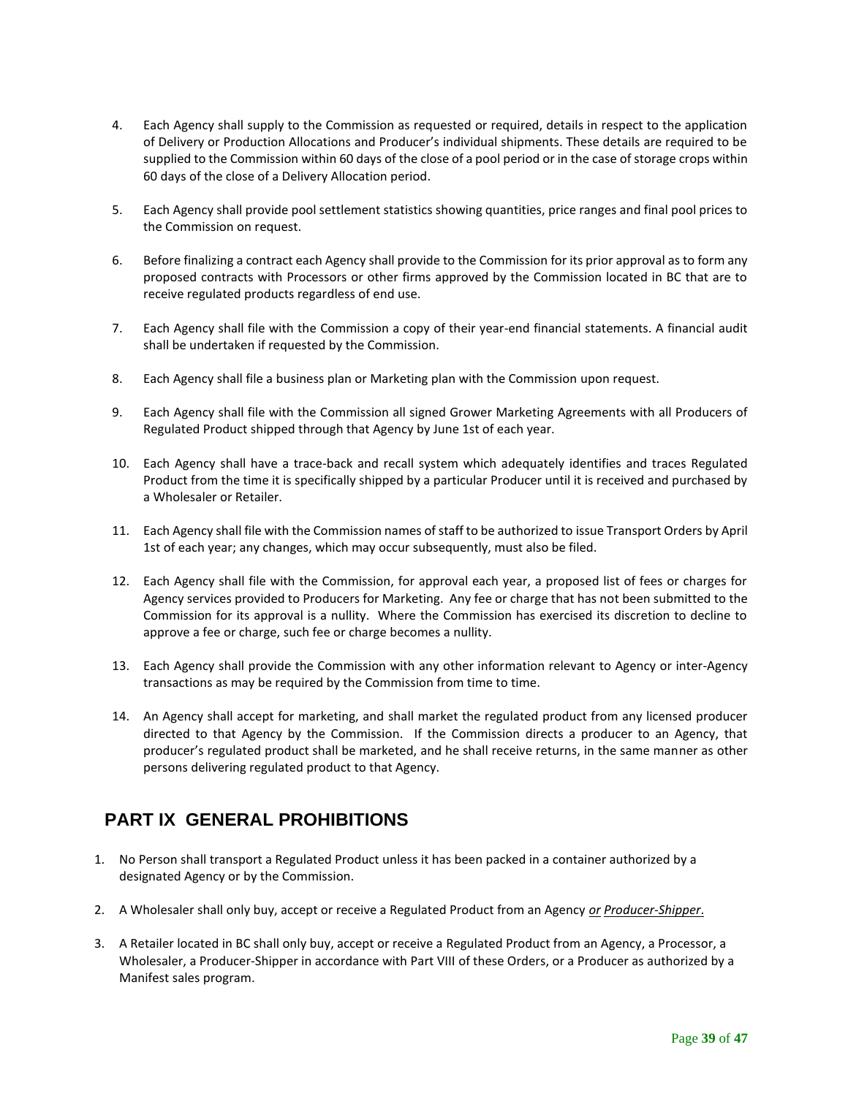- 4. Each Agency shall supply to the Commission as requested or required, details in respect to the application of Delivery or Production Allocations and Producer's individual shipments. These details are required to be supplied to the Commission within 60 days of the close of a pool period or in the case of storage crops within 60 days of the close of a Delivery Allocation period.
- 5. Each Agency shall provide pool settlement statistics showing quantities, price ranges and final pool prices to the Commission on request.
- 6. Before finalizing a contract each Agency shall provide to the Commission for its prior approval as to form any proposed contracts with Processors or other firms approved by the Commission located in BC that are to receive regulated products regardless of end use.
- 7. Each Agency shall file with the Commission a copy of their year-end financial statements. A financial audit shall be undertaken if requested by the Commission.
- 8. Each Agency shall file a business plan or Marketing plan with the Commission upon request.
- 9. Each Agency shall file with the Commission all signed Grower Marketing Agreements with all Producers of Regulated Product shipped through that Agency by June 1st of each year.
- 10. Each Agency shall have a trace-back and recall system which adequately identifies and traces Regulated Product from the time it is specifically shipped by a particular Producer until it is received and purchased by a Wholesaler or Retailer.
- 11. Each Agency shall file with the Commission names of staff to be authorized to issue Transport Orders by April 1st of each year; any changes, which may occur subsequently, must also be filed.
- 12. Each Agency shall file with the Commission, for approval each year, a proposed list of fees or charges for Agency services provided to Producers for Marketing. Any fee or charge that has not been submitted to the Commission for its approval is a nullity. Where the Commission has exercised its discretion to decline to approve a fee or charge, such fee or charge becomes a nullity.
- 13. Each Agency shall provide the Commission with any other information relevant to Agency or inter-Agency transactions as may be required by the Commission from time to time.
- 14. An Agency shall accept for marketing, and shall market the regulated product from any licensed producer directed to that Agency by the Commission. If the Commission directs a producer to an Agency, that producer's regulated product shall be marketed, and he shall receive returns, in the same manner as other persons delivering regulated product to that Agency.

# <span id="page-38-0"></span>**PART IX GENERAL PROHIBITIONS**

- 1. No Person shall transport a Regulated Product unless it has been packed in a container authorized by a designated Agency or by the Commission.
- 2. A Wholesaler shall only buy, accept or receive a Regulated Product from an Agency *or Producer-Shipper*.
- 3. A Retailer located in BC shall only buy, accept or receive a Regulated Product from an Agency, a Processor, a Wholesaler, a Producer-Shipper in accordance with Part VIII of these Orders, or a Producer as authorized by a Manifest sales program.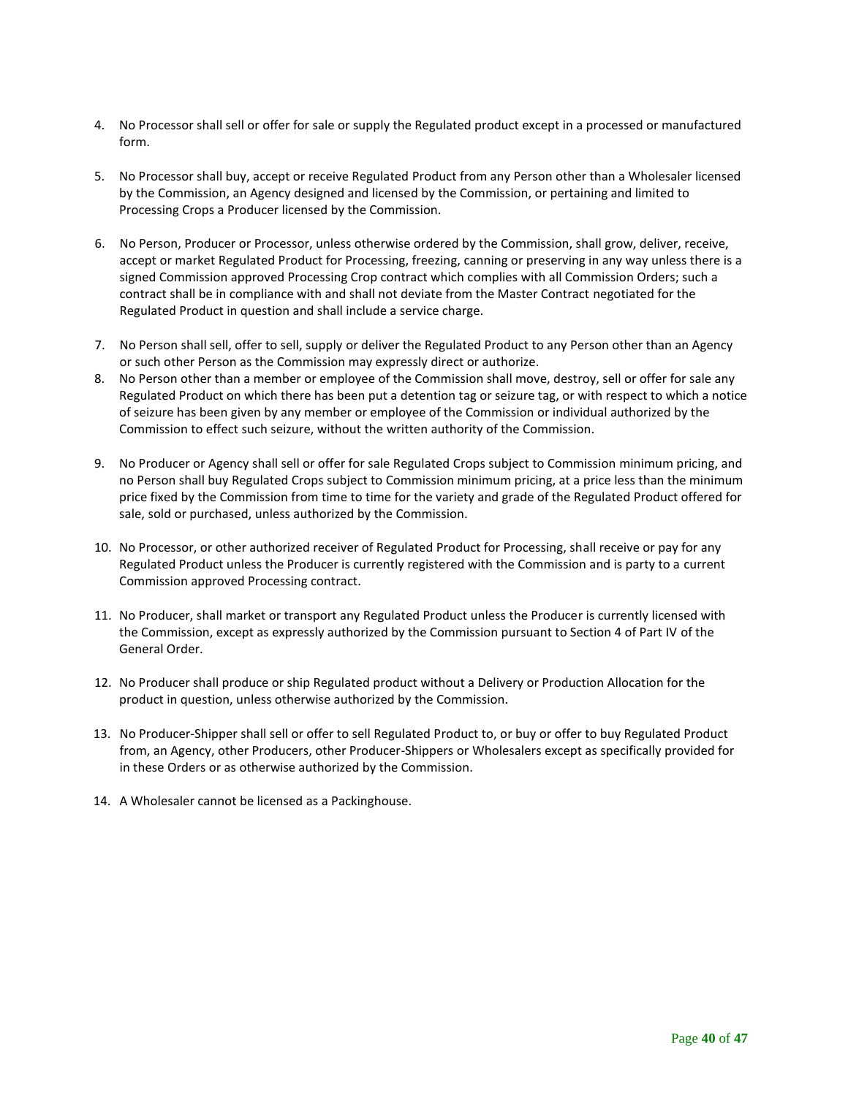- 4. No Processor shall sell or offer for sale or supply the Regulated product except in a processed or manufactured form.
- 5. No Processor shall buy, accept or receive Regulated Product from any Person other than a Wholesaler licensed by the Commission, an Agency designed and licensed by the Commission, or pertaining and limited to Processing Crops a Producer licensed by the Commission.
- 6. No Person, Producer or Processor, unless otherwise ordered by the Commission, shall grow, deliver, receive, accept or market Regulated Product for Processing, freezing, canning or preserving in any way unless there is a signed Commission approved Processing Crop contract which complies with all Commission Orders; such a contract shall be in compliance with and shall not deviate from the Master Contract negotiated for the Regulated Product in question and shall include a service charge.
- 7. No Person shall sell, offer to sell, supply or deliver the Regulated Product to any Person other than an Agency or such other Person as the Commission may expressly direct or authorize.
- 8. No Person other than a member or employee of the Commission shall move, destroy, sell or offer for sale any Regulated Product on which there has been put a detention tag or seizure tag, or with respect to which a notice of seizure has been given by any member or employee of the Commission or individual authorized by the Commission to effect such seizure, without the written authority of the Commission.
- 9. No Producer or Agency shall sell or offer for sale Regulated Crops subject to Commission minimum pricing, and no Person shall buy Regulated Crops subject to Commission minimum pricing, at a price less than the minimum price fixed by the Commission from time to time for the variety and grade of the Regulated Product offered for sale, sold or purchased, unless authorized by the Commission.
- 10. No Processor, or other authorized receiver of Regulated Product for Processing, shall receive or pay for any Regulated Product unless the Producer is currently registered with the Commission and is party to a current Commission approved Processing contract.
- 11. No Producer, shall market or transport any Regulated Product unless the Producer is currently licensed with the Commission, except as expressly authorized by the Commission pursuant to Section 4 of Part IV of the General Order.
- 12. No Producer shall produce or ship Regulated product without a Delivery or Production Allocation for the product in question, unless otherwise authorized by the Commission.
- 13. No Producer-Shipper shall sell or offer to sell Regulated Product to, or buy or offer to buy Regulated Product from, an Agency, other Producers, other Producer-Shippers or Wholesalers except as specifically provided for in these Orders or as otherwise authorized by the Commission.
- 14. A Wholesaler cannot be licensed as a Packinghouse.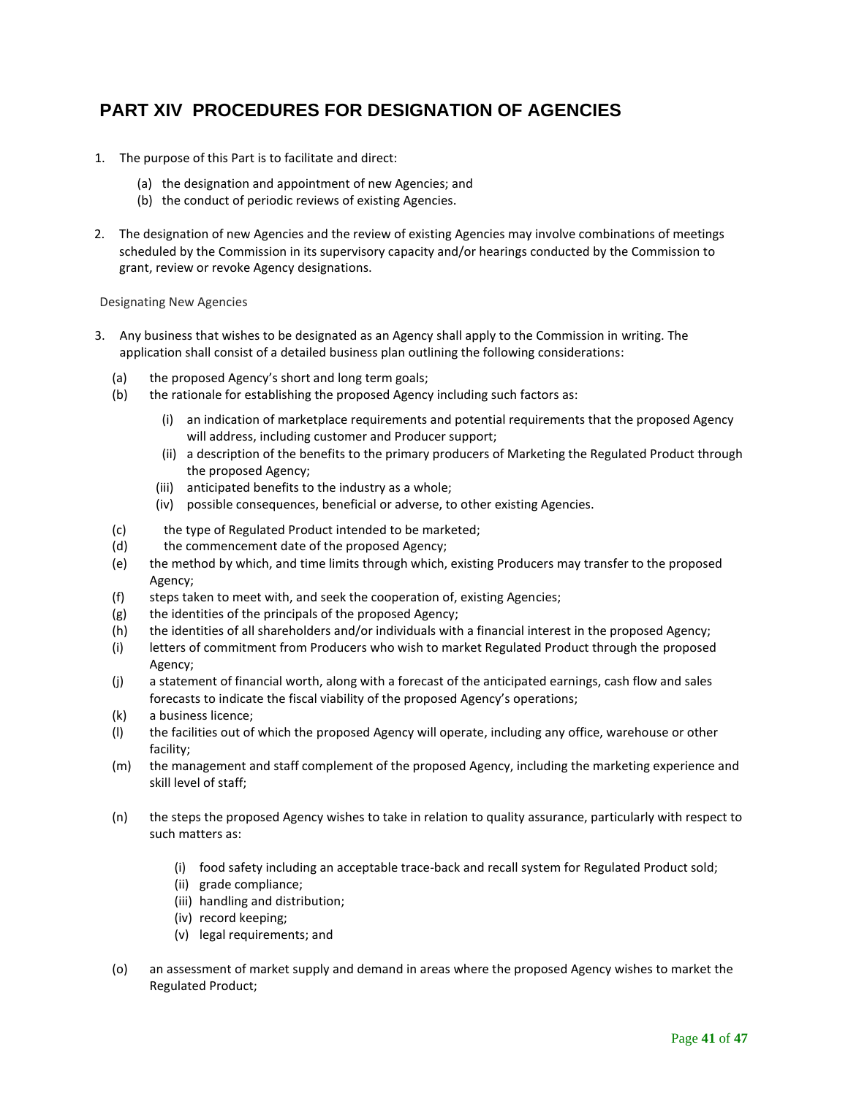# <span id="page-40-0"></span>**PART XIV PROCEDURES FOR DESIGNATION OF AGENCIES**

- 1. The purpose of this Part is to facilitate and direct:
	- (a) the designation and appointment of new Agencies; and
	- (b) the conduct of periodic reviews of existing Agencies.
- 2. The designation of new Agencies and the review of existing Agencies may involve combinations of meetings scheduled by the Commission in its supervisory capacity and/or hearings conducted by the Commission to grant, review or revoke Agency designations.

#### Designating New Agencies

- 3. Any business that wishes to be designated as an Agency shall apply to the Commission in writing. The application shall consist of a detailed business plan outlining the following considerations:
	- (a) the proposed Agency's short and long term goals;
	- (b) the rationale for establishing the proposed Agency including such factors as:
		- (i) an indication of marketplace requirements and potential requirements that the proposed Agency will address, including customer and Producer support;
		- (ii) a description of the benefits to the primary producers of Marketing the Regulated Product through the proposed Agency;
		- (iii) anticipated benefits to the industry as a whole;
		- (iv) possible consequences, beneficial or adverse, to other existing Agencies.
	- (c) the type of Regulated Product intended to be marketed;
	- (d) the commencement date of the proposed Agency;
	- (e) the method by which, and time limits through which, existing Producers may transfer to the proposed Agency;
	- (f) steps taken to meet with, and seek the cooperation of, existing Agencies;
	- (g) the identities of the principals of the proposed Agency;
	- (h) the identities of all shareholders and/or individuals with a financial interest in the proposed Agency;
	- (i) letters of commitment from Producers who wish to market Regulated Product through the proposed Agency;
	- (j) a statement of financial worth, along with a forecast of the anticipated earnings, cash flow and sales forecasts to indicate the fiscal viability of the proposed Agency's operations;
	- (k) a business licence;
	- (l) the facilities out of which the proposed Agency will operate, including any office, warehouse or other facility;
	- (m) the management and staff complement of the proposed Agency, including the marketing experience and skill level of staff;
	- (n) the steps the proposed Agency wishes to take in relation to quality assurance, particularly with respect to such matters as:
		- (i) food safety including an acceptable trace-back and recall system for Regulated Product sold;
		- (ii) grade compliance;
		- (iii) handling and distribution;
		- (iv) record keeping;
		- (v) legal requirements; and
	- (o) an assessment of market supply and demand in areas where the proposed Agency wishes to market the Regulated Product;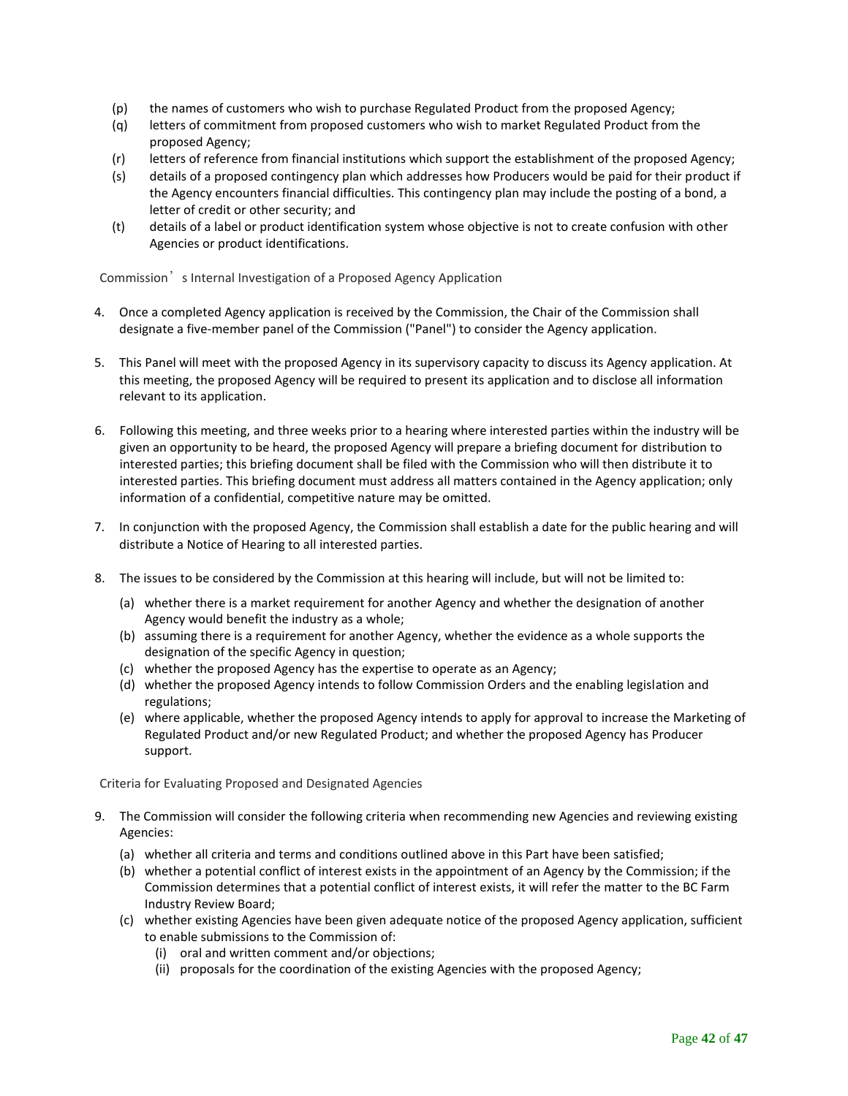- (p) the names of customers who wish to purchase Regulated Product from the proposed Agency;
- (q) letters of commitment from proposed customers who wish to market Regulated Product from the proposed Agency;
- (r) letters of reference from financial institutions which support the establishment of the proposed Agency;
- (s) details of a proposed contingency plan which addresses how Producers would be paid for their product if the Agency encounters financial difficulties. This contingency plan may include the posting of a bond, a letter of credit or other security; and
- (t) details of a label or product identification system whose objective is not to create confusion with other Agencies or product identifications.

Commission<sup>'</sup> s Internal Investigation of a Proposed Agency Application

- 4. Once a completed Agency application is received by the Commission, the Chair of the Commission shall designate a five-member panel of the Commission ("Panel") to consider the Agency application.
- 5. This Panel will meet with the proposed Agency in its supervisory capacity to discuss its Agency application. At this meeting, the proposed Agency will be required to present its application and to disclose all information relevant to its application.
- 6. Following this meeting, and three weeks prior to a hearing where interested parties within the industry will be given an opportunity to be heard, the proposed Agency will prepare a briefing document for distribution to interested parties; this briefing document shall be filed with the Commission who will then distribute it to interested parties. This briefing document must address all matters contained in the Agency application; only information of a confidential, competitive nature may be omitted.
- 7. In conjunction with the proposed Agency, the Commission shall establish a date for the public hearing and will distribute a Notice of Hearing to all interested parties.
- 8. The issues to be considered by the Commission at this hearing will include, but will not be limited to:
	- (a) whether there is a market requirement for another Agency and whether the designation of another Agency would benefit the industry as a whole;
	- (b) assuming there is a requirement for another Agency, whether the evidence as a whole supports the designation of the specific Agency in question;
	- (c) whether the proposed Agency has the expertise to operate as an Agency;
	- (d) whether the proposed Agency intends to follow Commission Orders and the enabling legislation and regulations;
	- (e) where applicable, whether the proposed Agency intends to apply for approval to increase the Marketing of Regulated Product and/or new Regulated Product; and whether the proposed Agency has Producer support.

Criteria for Evaluating Proposed and Designated Agencies

- 9. The Commission will consider the following criteria when recommending new Agencies and reviewing existing Agencies:
	- (a) whether all criteria and terms and conditions outlined above in this Part have been satisfied;
	- (b) whether a potential conflict of interest exists in the appointment of an Agency by the Commission; if the Commission determines that a potential conflict of interest exists, it will refer the matter to the BC Farm Industry Review Board;
	- (c) whether existing Agencies have been given adequate notice of the proposed Agency application, sufficient to enable submissions to the Commission of:
		- (i) oral and written comment and/or objections;
		- (ii) proposals for the coordination of the existing Agencies with the proposed Agency;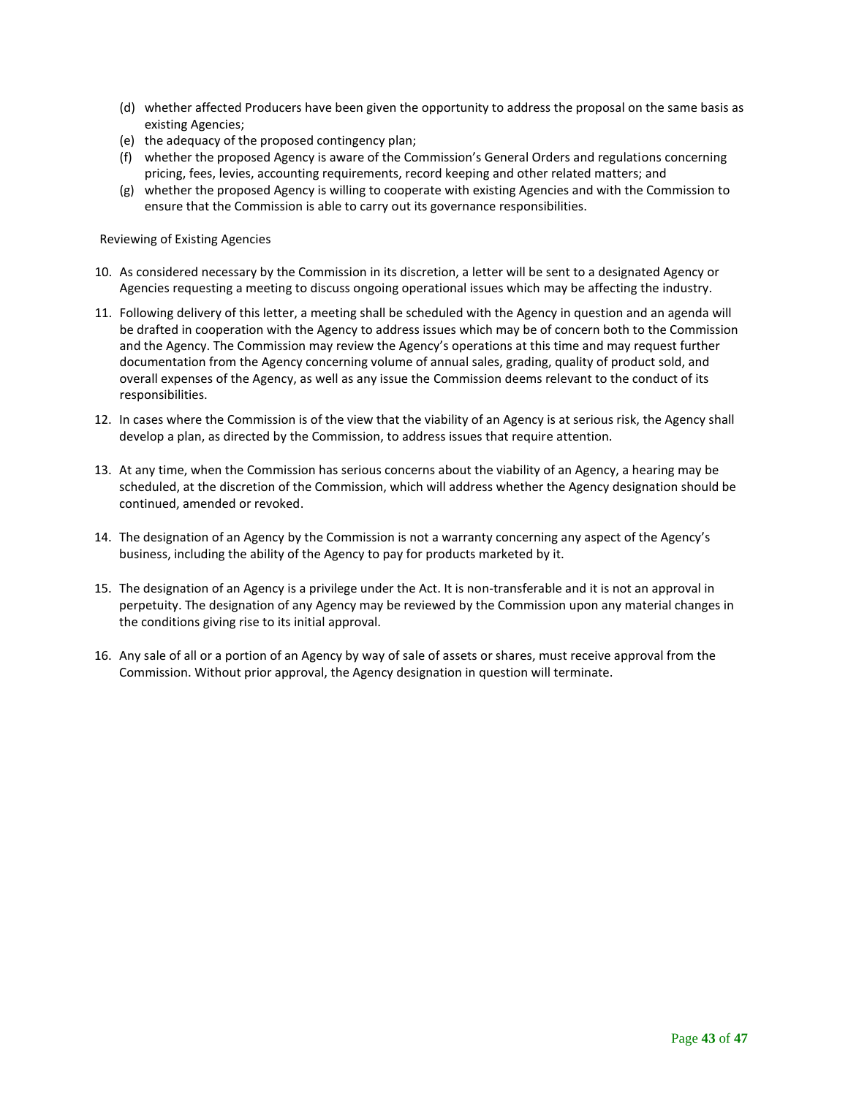- (d) whether affected Producers have been given the opportunity to address the proposal on the same basis as existing Agencies;
- (e) the adequacy of the proposed contingency plan;
- (f) whether the proposed Agency is aware of the Commission's General Orders and regulations concerning pricing, fees, levies, accounting requirements, record keeping and other related matters; and
- (g) whether the proposed Agency is willing to cooperate with existing Agencies and with the Commission to ensure that the Commission is able to carry out its governance responsibilities.

Reviewing of Existing Agencies

- 10. As considered necessary by the Commission in its discretion, a letter will be sent to a designated Agency or Agencies requesting a meeting to discuss ongoing operational issues which may be affecting the industry.
- 11. Following delivery of this letter, a meeting shall be scheduled with the Agency in question and an agenda will be drafted in cooperation with the Agency to address issues which may be of concern both to the Commission and the Agency. The Commission may review the Agency's operations at this time and may request further documentation from the Agency concerning volume of annual sales, grading, quality of product sold, and overall expenses of the Agency, as well as any issue the Commission deems relevant to the conduct of its responsibilities.
- 12. In cases where the Commission is of the view that the viability of an Agency is at serious risk, the Agency shall develop a plan, as directed by the Commission, to address issues that require attention.
- 13. At any time, when the Commission has serious concerns about the viability of an Agency, a hearing may be scheduled, at the discretion of the Commission, which will address whether the Agency designation should be continued, amended or revoked.
- 14. The designation of an Agency by the Commission is not a warranty concerning any aspect of the Agency's business, including the ability of the Agency to pay for products marketed by it.
- 15. The designation of an Agency is a privilege under the Act. It is non-transferable and it is not an approval in perpetuity. The designation of any Agency may be reviewed by the Commission upon any material changes in the conditions giving rise to its initial approval.
- 16. Any sale of all or a portion of an Agency by way of sale of assets or shares, must receive approval from the Commission. Without prior approval, the Agency designation in question will terminate.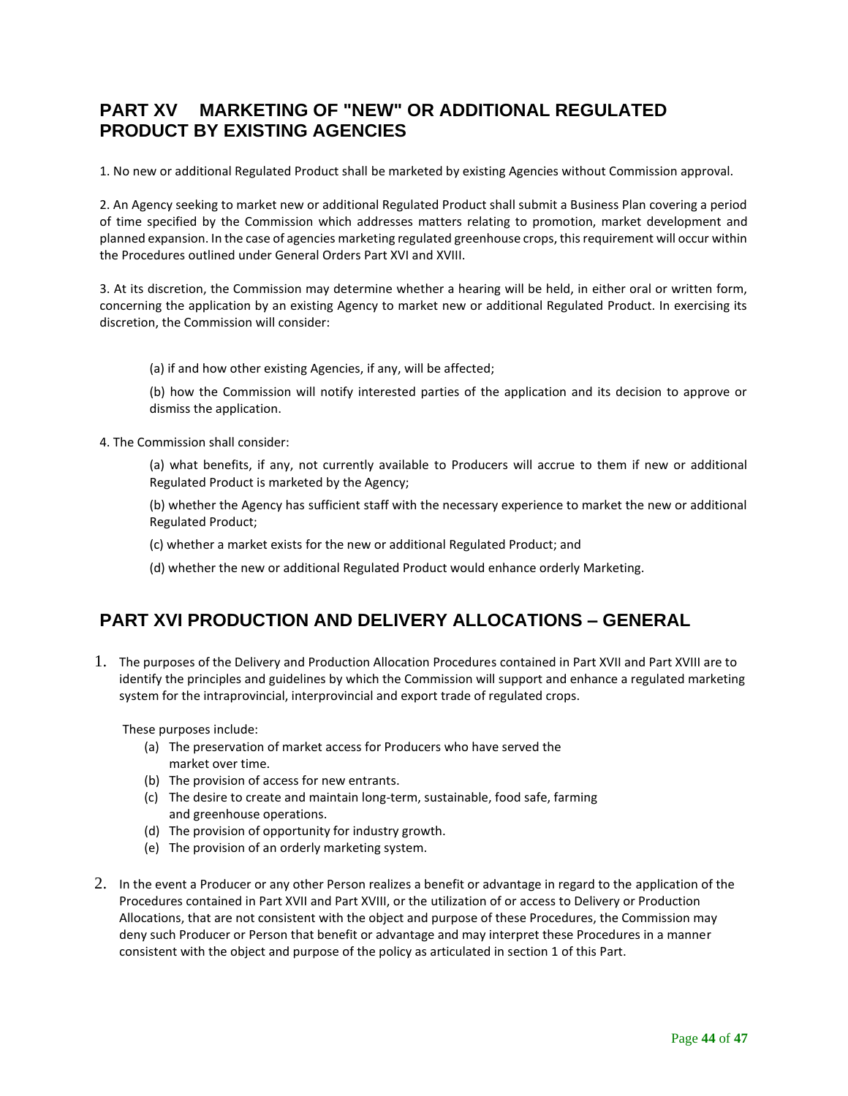# <span id="page-43-0"></span>**PART XV MARKETING OF "NEW" OR ADDITIONAL REGULATED PRODUCT BY EXISTING AGENCIES**

1. No new or additional Regulated Product shall be marketed by existing Agencies without Commission approval.

2. An Agency seeking to market new or additional Regulated Product shall submit a Business Plan covering a period of time specified by the Commission which addresses matters relating to promotion, market development and planned expansion. In the case of agencies marketing regulated greenhouse crops, this requirement will occur within the Procedures outlined under General Orders Part XVI and XVIII.

3. At its discretion, the Commission may determine whether a hearing will be held, in either oral or written form, concerning the application by an existing Agency to market new or additional Regulated Product. In exercising its discretion, the Commission will consider:

(a) if and how other existing Agencies, if any, will be affected;

(b) how the Commission will notify interested parties of the application and its decision to approve or dismiss the application.

4. The Commission shall consider:

(a) what benefits, if any, not currently available to Producers will accrue to them if new or additional Regulated Product is marketed by the Agency;

(b) whether the Agency has sufficient staff with the necessary experience to market the new or additional Regulated Product;

(c) whether a market exists for the new or additional Regulated Product; and

(d) whether the new or additional Regulated Product would enhance orderly Marketing.

# <span id="page-43-1"></span>**PART XVI PRODUCTION AND DELIVERY ALLOCATIONS – GENERAL**

1. The purposes of the Delivery and Production Allocation Procedures contained in Part XVII and Part XVIII are to identify the principles and guidelines by which the Commission will support and enhance a regulated marketing system for the intraprovincial, interprovincial and export trade of regulated crops.

These purposes include:

- (a) The preservation of market access for Producers who have served the market over time.
- (b) The provision of access for new entrants.
- (c) The desire to create and maintain long-term, sustainable, food safe, farming and greenhouse operations.
- (d) The provision of opportunity for industry growth.
- (e) The provision of an orderly marketing system.
- 2. In the event a Producer or any other Person realizes a benefit or advantage in regard to the application of the Procedures contained in Part XVII and Part XVIII, or the utilization of or access to Delivery or Production Allocations, that are not consistent with the object and purpose of these Procedures, the Commission may deny such Producer or Person that benefit or advantage and may interpret these Procedures in a manner consistent with the object and purpose of the policy as articulated in section 1 of this Part.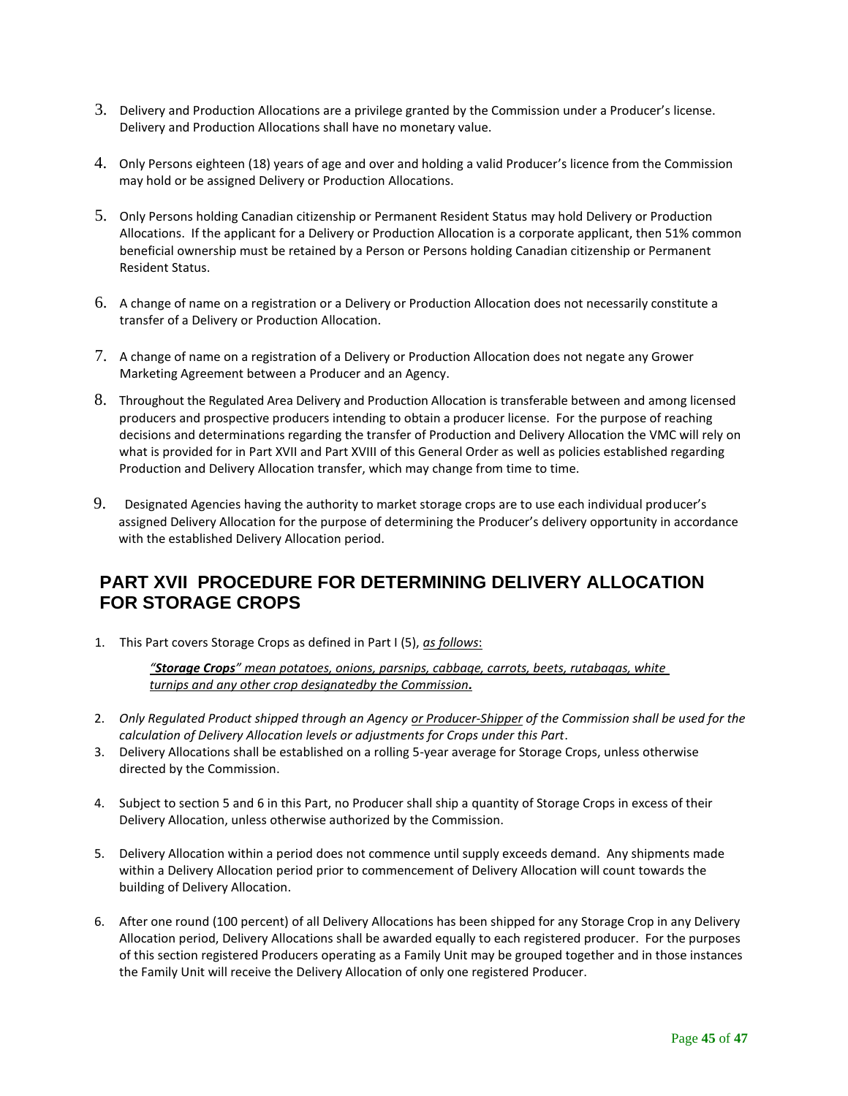- 3. Delivery and Production Allocations are a privilege granted by the Commission under a Producer's license. Delivery and Production Allocations shall have no monetary value.
- 4. Only Persons eighteen (18) years of age and over and holding a valid Producer's licence from the Commission may hold or be assigned Delivery or Production Allocations.
- 5. Only Persons holding Canadian citizenship or Permanent Resident Status may hold Delivery or Production Allocations. If the applicant for a Delivery or Production Allocation is a corporate applicant, then 51% common beneficial ownership must be retained by a Person or Persons holding Canadian citizenship or Permanent Resident Status.
- 6. A change of name on a registration or a Delivery or Production Allocation does not necessarily constitute a transfer of a Delivery or Production Allocation.
- 7. A change of name on a registration of a Delivery or Production Allocation does not negate any Grower Marketing Agreement between a Producer and an Agency.
- 8. Throughout the Regulated Area Delivery and Production Allocation is transferable between and among licensed producers and prospective producers intending to obtain a producer license. For the purpose of reaching decisions and determinations regarding the transfer of Production and Delivery Allocation the VMC will rely on what is provided for in Part XVII and Part XVIII of this General Order as well as policies established regarding Production and Delivery Allocation transfer, which may change from time to time.
- 9. Designated Agencies having the authority to market storage crops are to use each individual producer's assigned Delivery Allocation for the purpose of determining the Producer's delivery opportunity in accordance with the established Delivery Allocation period.

# <span id="page-44-0"></span>**PART XVII PROCEDURE FOR DETERMINING DELIVERY ALLOCATION FOR STORAGE CROPS**

1. This Part covers Storage Crops as defined in Part I (5), *as follows*:

*"Storage Crops" mean potatoes, onions, parsnips, cabbage, carrots, beets, rutabagas, white turnips and any other crop designatedby the Commission.*

- 2. *Only Regulated Product shipped through an Agency or Producer-Shipper of the Commission shall be used for the calculation of Delivery Allocation levels or adjustments for Crops under this Part*.
- 3. Delivery Allocations shall be established on a rolling 5-year average for Storage Crops, unless otherwise directed by the Commission.
- 4. Subject to section 5 and 6 in this Part, no Producer shall ship a quantity of Storage Crops in excess of their Delivery Allocation, unless otherwise authorized by the Commission.
- 5. Delivery Allocation within a period does not commence until supply exceeds demand. Any shipments made within a Delivery Allocation period prior to commencement of Delivery Allocation will count towards the building of Delivery Allocation.
- 6. After one round (100 percent) of all Delivery Allocations has been shipped for any Storage Crop in any Delivery Allocation period, Delivery Allocations shall be awarded equally to each registered producer. For the purposes of this section registered Producers operating as a Family Unit may be grouped together and in those instances the Family Unit will receive the Delivery Allocation of only one registered Producer.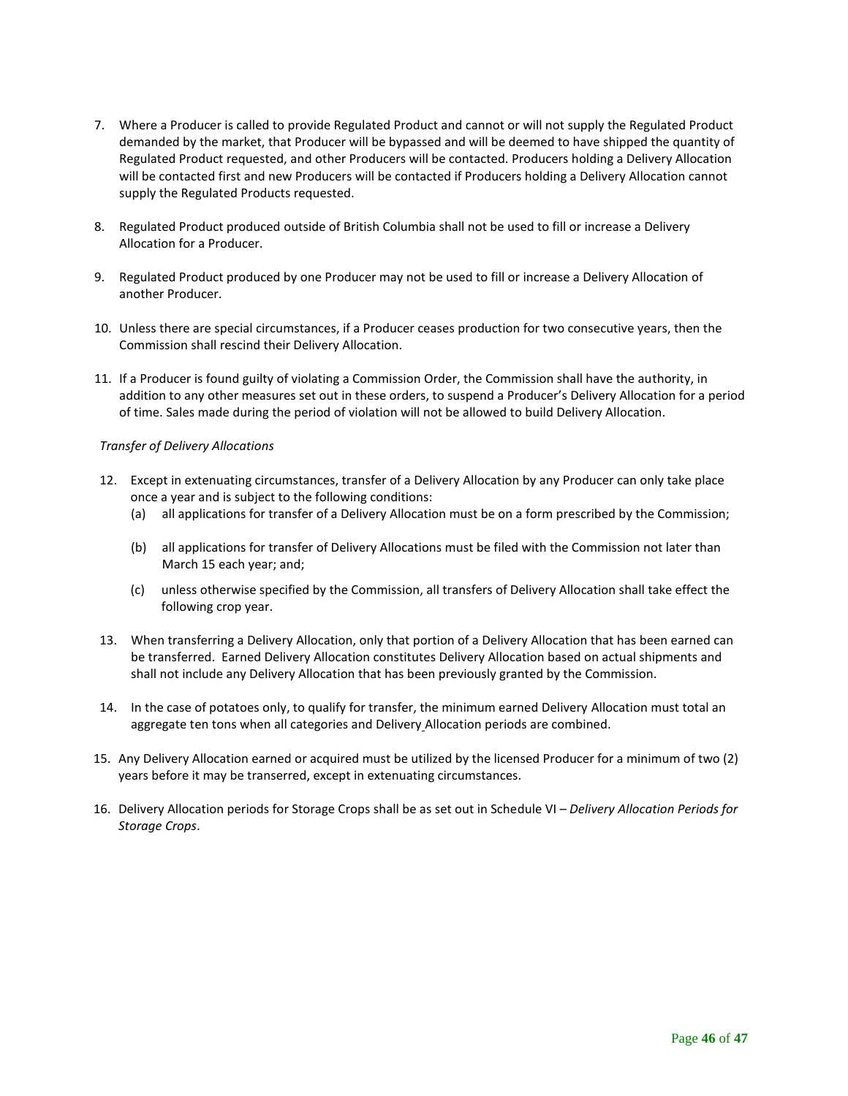- 7. Where a Producer is called to provide Regulated Product and cannot or will not supply the Regulated Product demanded by the market, that Producer will be bypassed and will be deemed to have shipped the quantity of Regulated Product requested, and other Producers will be contacted. Producers holding a Delivery Allocation will be contacted first and new Producers will be contacted if Producers holding a Delivery Allocation cannot supply the Regulated Products requested.
- 8. Regulated Product produced outside of British Columbia shall not be used to fill or increase a Delivery Allocation for a Producer.
- 9. Regulated Product produced by one Producer may not be used to fill or increase a Delivery Allocation of another Producer.
- 10. Unless there are special circumstances, if a Producer ceases production for two consecutive years, then the Commission shall rescind their Delivery Allocation.
- 11. If a Producer is found guilty of violating a Commission Order, the Commission shall have the authority, in addition to any other measures set out in these orders, to suspend a Producer's Delivery Allocation for a period of time. Sales made during the period of violation will not be allowed to build Delivery Allocation.

#### *Transfer of Delivery Allocations*

- 12. Except in extenuating circumstances, transfer of a Delivery Allocation by any Producer can only take place once a year and is subject to the following conditions:
	- (a) all applications for transfer of a Delivery Allocation must be on a form prescribed by the Commission;
	- (b) all applications for transfer of Delivery Allocations must be filed with the Commission not later than March 15 each year; and;
	- (c) unless otherwise specified by the Commission, all transfers of Delivery Allocation shall take effect the following crop year.
- 13. When transferring a Delivery Allocation, only that portion of a Delivery Allocation that has been earned can be transferred. Earned Delivery Allocation constitutes Delivery Allocation based on actual shipments and shall not include any Delivery Allocation that has been previously granted by the Commission.
- 14. In the case of potatoes only, to qualify for transfer, the minimum earned Delivery Allocation must total an aggregate ten tons when all categories and Delivery Allocation periods are combined.
- 15. Any Delivery Allocation earned or acquired must be utilized by the licensed Producer for a minimum of two (2) years before it may be transerred, except in extenuating circumstances.
- 16. Delivery Allocation periods for Storage Crops shall be as set out in Schedule VI *Delivery Allocation Periods for Storage Crops*.